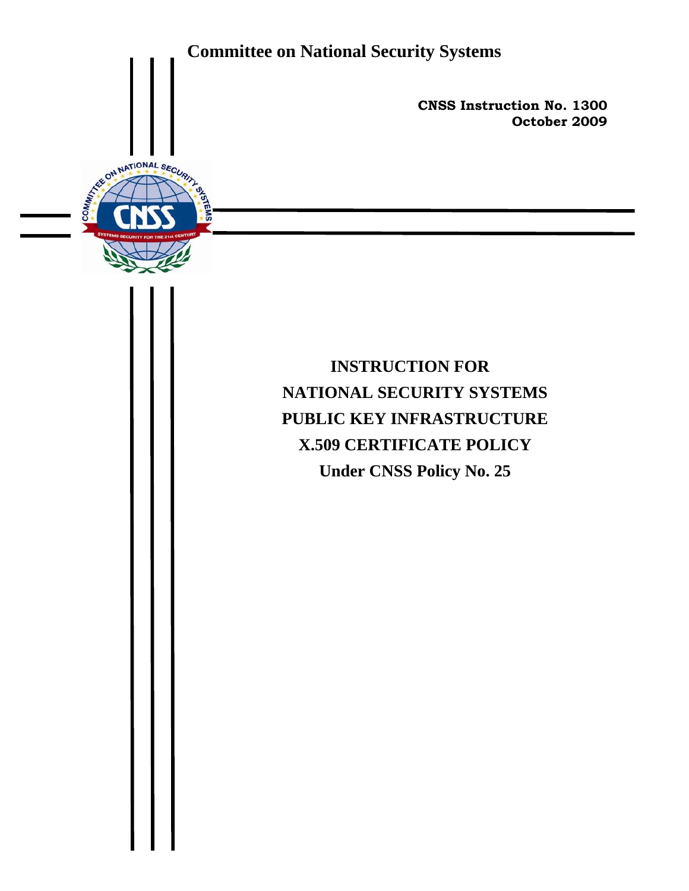# **Committee on National Security Systems**

**CNSS Instruction No. 1300 October 2009**



**INSTRUCTION FOR NATIONAL SECURITY SYSTEMS PUBLIC KEY INFRASTRUCTURE X.509 CERTIFICATE POLICY Under CNSS Policy No. 25**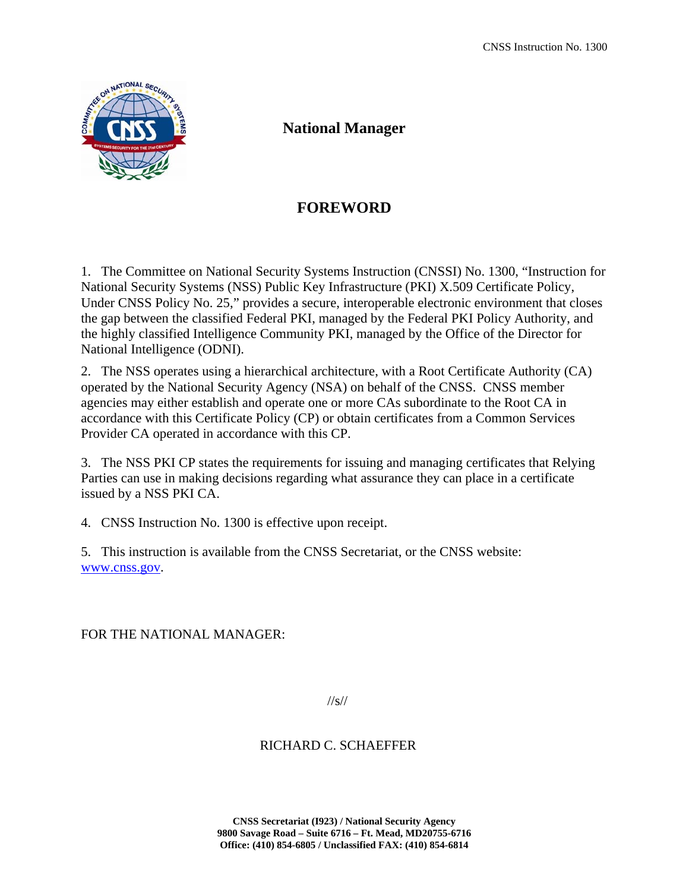

# **National Manager**

# **FOREWORD**

1. The Committee on National Security Systems Instruction (CNSSI) No. 1300, "Instruction for National Security Systems (NSS) Public Key Infrastructure (PKI) X.509 Certificate Policy, Under CNSS Policy No. 25," provides a secure, interoperable electronic environment that closes the gap between the classified Federal PKI, managed by the Federal PKI Policy Authority, and the highly classified Intelligence Community PKI, managed by the Office of the Director for National Intelligence (ODNI).

2. The NSS operates using a hierarchical architecture, with a Root Certificate Authority (CA) operated by the National Security Agency (NSA) on behalf of the CNSS. CNSS member agencies may either establish and operate one or more CAs subordinate to the Root CA in accordance with this Certificate Policy (CP) or obtain certificates from a Common Services Provider CA operated in accordance with this CP.

3. The NSS PKI CP states the requirements for issuing and managing certificates that Relying Parties can use in making decisions regarding what assurance they can place in a certificate issued by a NSS PKI CA.

4. CNSS Instruction No. 1300 is effective upon receipt.

5. This instruction is available from the CNSS Secretariat, or the CNSS website: [www.cnss.gov.](http://www.cnss.gov/)

FOR THE NATIONAL MANAGER:

//s//

# RICHARD C. SCHAEFFER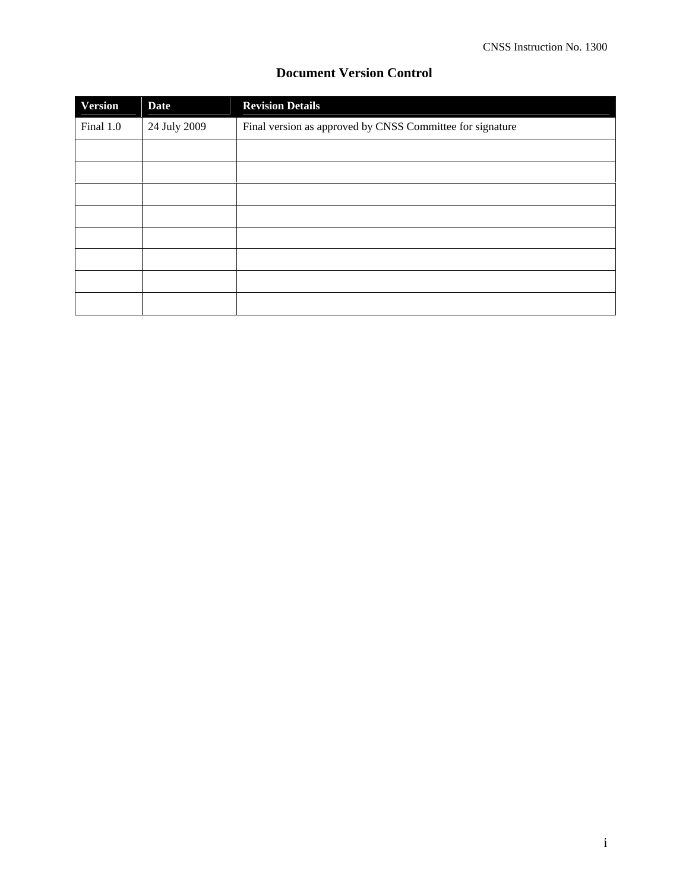# **Document Version Control**

| <b>Version</b> | <b>Date</b>  | <b>Revision Details</b>                                   |  |
|----------------|--------------|-----------------------------------------------------------|--|
| Final 1.0      | 24 July 2009 | Final version as approved by CNSS Committee for signature |  |
|                |              |                                                           |  |
|                |              |                                                           |  |
|                |              |                                                           |  |
|                |              |                                                           |  |
|                |              |                                                           |  |
|                |              |                                                           |  |
|                |              |                                                           |  |
|                |              |                                                           |  |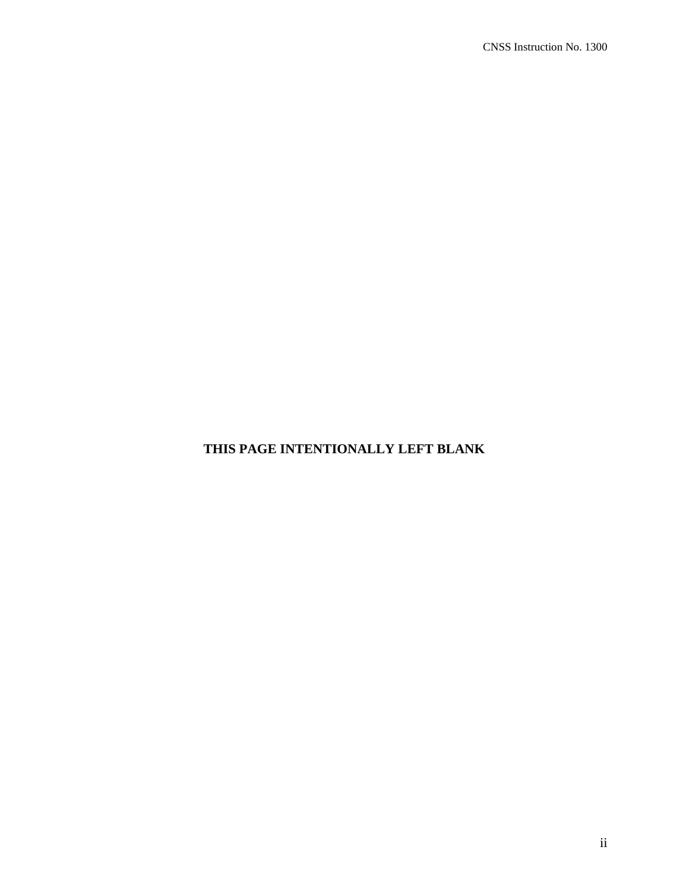# **THIS PAGE INTENTIONALLY LEFT BLANK**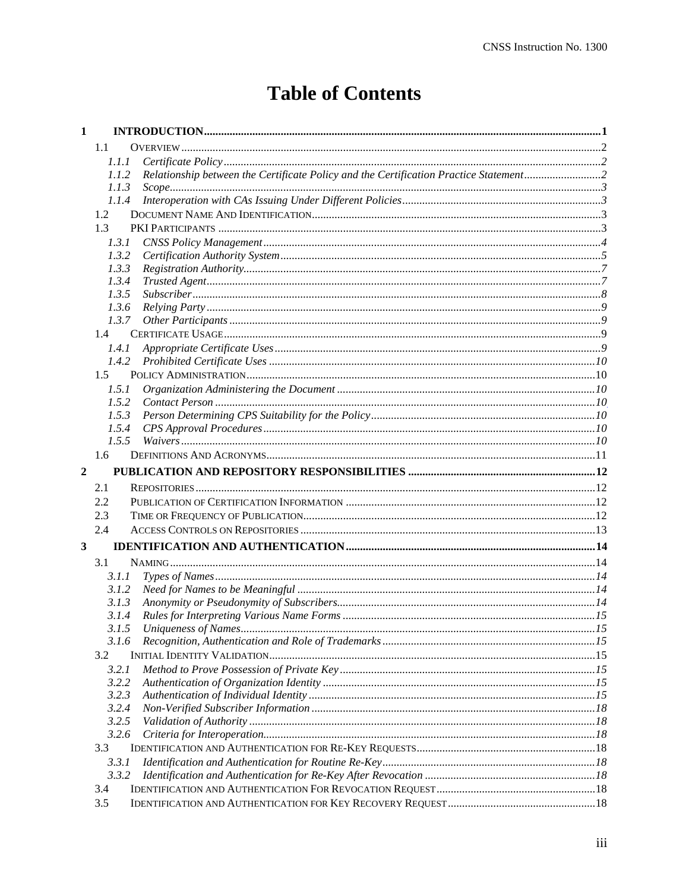# **Table of Contents**

| $\mathbf{1}$   |                |                                                                                       |  |
|----------------|----------------|---------------------------------------------------------------------------------------|--|
|                | 1.1            |                                                                                       |  |
|                | 1.1.1          |                                                                                       |  |
|                | 1.1.2          | Relationship between the Certificate Policy and the Certification Practice Statement2 |  |
|                | 1.1.3          |                                                                                       |  |
|                | 1.1.4          |                                                                                       |  |
|                | 1.2            |                                                                                       |  |
|                | 1.3            |                                                                                       |  |
|                | 1.3.1          |                                                                                       |  |
|                | 1.3.2          |                                                                                       |  |
|                | 1.3.3          |                                                                                       |  |
|                | 1.3.4          |                                                                                       |  |
|                | 1.3.5          |                                                                                       |  |
|                | 1.3.6          |                                                                                       |  |
|                | 1.3.7          |                                                                                       |  |
|                | $1.4^{\circ}$  |                                                                                       |  |
|                | 1.4.1          |                                                                                       |  |
|                | 1.4.2          |                                                                                       |  |
|                | 1.5            |                                                                                       |  |
|                | 1.5.1          |                                                                                       |  |
|                | 1.5.2          |                                                                                       |  |
|                | 1.5.3          |                                                                                       |  |
|                | 1.5.4<br>1.5.5 | $Waivers \dots 10$                                                                    |  |
|                | 1.6            |                                                                                       |  |
|                |                |                                                                                       |  |
| $\overline{2}$ |                |                                                                                       |  |
|                | 2.1            |                                                                                       |  |
|                | 2.2            |                                                                                       |  |
|                | 2.3            |                                                                                       |  |
|                | 2.4            |                                                                                       |  |
| 3              |                |                                                                                       |  |
|                | 3.1            |                                                                                       |  |
|                | 3.1.1          |                                                                                       |  |
|                | 3.1.2          |                                                                                       |  |
|                | 3.1.3          |                                                                                       |  |
|                | 3.1.4          |                                                                                       |  |
|                |                |                                                                                       |  |
|                | 3.1.6          |                                                                                       |  |
|                | 3.2            |                                                                                       |  |
|                | 3.2.1          |                                                                                       |  |
|                | 3.2.2<br>3.2.3 |                                                                                       |  |
|                | 3.2.4          |                                                                                       |  |
|                | 3.2.5          |                                                                                       |  |
|                | 3.2.6          |                                                                                       |  |
|                | 3.3            |                                                                                       |  |
|                | 3.3.1          |                                                                                       |  |
|                | 3.3.2          |                                                                                       |  |
|                | 3.4            |                                                                                       |  |
|                | 3.5            |                                                                                       |  |
|                |                |                                                                                       |  |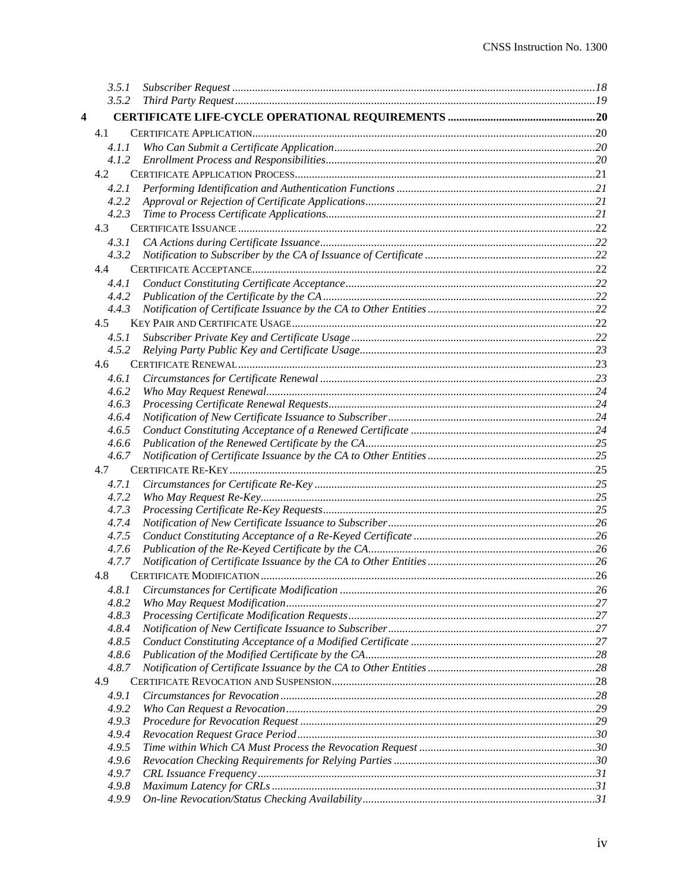|                         | 3.5.1          |  |
|-------------------------|----------------|--|
|                         | 3.5.2          |  |
| $\overline{\mathbf{4}}$ |                |  |
|                         | 4.1            |  |
|                         | 4.1.1          |  |
|                         | 4.1.2          |  |
|                         | 4.2            |  |
|                         | 4.2.1          |  |
|                         | 4.2.2          |  |
|                         | 4.2.3          |  |
|                         | 4.3            |  |
|                         | 4.3.1          |  |
|                         | 4.3.2          |  |
|                         | 4.4            |  |
|                         | 4.4.1          |  |
|                         | 4.4.2          |  |
|                         | 4.4.3          |  |
|                         | 4.5            |  |
|                         | 4.5.1          |  |
|                         | 4.5.2          |  |
|                         | 4.6            |  |
|                         | 4.6.1          |  |
|                         | 4.6.2          |  |
|                         | 4.6.3          |  |
|                         | 4.6.4          |  |
|                         | 4.6.5          |  |
|                         | 4.6.6          |  |
|                         | 4.6.7          |  |
|                         | 4.7            |  |
|                         | 4.7.1          |  |
|                         | 4.7.2          |  |
|                         | 4.7.3          |  |
|                         | 4.7.4          |  |
|                         | 4.7.5          |  |
|                         | 4.7.6          |  |
|                         | 4.7.7          |  |
|                         | 4.8            |  |
|                         | 4.8.1          |  |
|                         | 4.8.2          |  |
|                         | 4.8.3          |  |
|                         | 4.8.4<br>4.8.5 |  |
|                         | 4.8.6          |  |
|                         | 4.8.7          |  |
|                         | 4.9            |  |
|                         | 4.9.1          |  |
|                         | 4.9.2          |  |
|                         | 4.9.3          |  |
|                         | 4.9.4          |  |
|                         | 4.9.5          |  |
|                         | 4.9.6          |  |
|                         | 4.9.7          |  |
|                         | 4.9.8          |  |
|                         | 4.9.9          |  |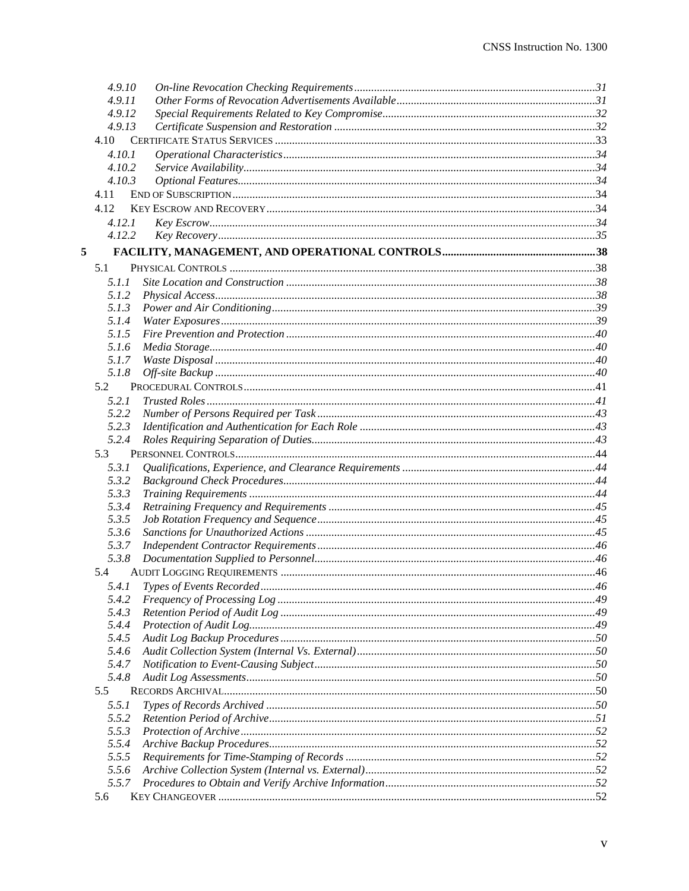|   | 4.9.10         |  |
|---|----------------|--|
|   | 4.9.11         |  |
|   | 4.9.12         |  |
|   | 4.9.13         |  |
|   | 4.10           |  |
|   | 4.10.1         |  |
|   | 4.10.2         |  |
|   | 4.10.3         |  |
|   | 4.11           |  |
|   | 4.12           |  |
|   | 4.12.1         |  |
|   | 4.12.2         |  |
| 5 |                |  |
|   | 5.1            |  |
|   | 5.1.1          |  |
|   | 5.1.2          |  |
|   | 5.1.3          |  |
|   | 5.1.4          |  |
|   | 5.1.5          |  |
|   | 5.1.6          |  |
|   | 5.1.7          |  |
|   | 5.1.8          |  |
|   | 5.2            |  |
|   | 5.2.1          |  |
|   | 5.2.2          |  |
|   | 5.2.3          |  |
|   | 5.2.4          |  |
|   | 5.3            |  |
|   | 5.3.1          |  |
|   | 5.3.2          |  |
|   | 5.3.3          |  |
|   | 5.3.4          |  |
|   | 5.3.5          |  |
|   | 5.3.6          |  |
|   | 5.3.7          |  |
|   | 5.3.8          |  |
|   | 5.4            |  |
|   |                |  |
|   | 5.4.2<br>5.4.3 |  |
|   | 5.4.4          |  |
|   | 5.4.5          |  |
|   | 5.4.6          |  |
|   | 5.4.7          |  |
|   | 5.4.8          |  |
|   | 5.5            |  |
|   | 5.5.1          |  |
|   | 5.5.2          |  |
|   | 5.5.3          |  |
|   | 5.5.4          |  |
|   | 5.5.5          |  |
|   | 5.5.6          |  |
|   | 5.5.7          |  |
|   | 5.6            |  |
|   |                |  |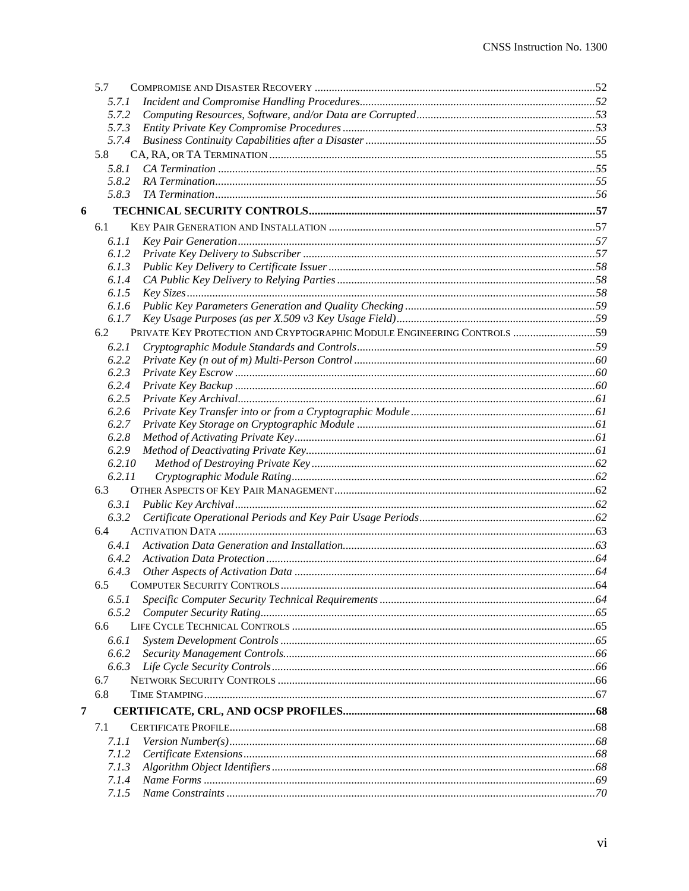|   | 5.7            |                                                                          |  |
|---|----------------|--------------------------------------------------------------------------|--|
|   | 5.7.1          |                                                                          |  |
|   | 5.7.2          |                                                                          |  |
|   | 5.7.3          |                                                                          |  |
|   | 5.7.4          |                                                                          |  |
|   | 5.8            |                                                                          |  |
|   | 5.8.1          |                                                                          |  |
|   | 5.8.2          |                                                                          |  |
|   | 5.8.3          |                                                                          |  |
|   |                |                                                                          |  |
| 6 |                |                                                                          |  |
|   | 6.1            |                                                                          |  |
|   | 6.1.1          |                                                                          |  |
|   | 6.1.2          |                                                                          |  |
|   | 6.1.3          |                                                                          |  |
|   | 6.1.4          |                                                                          |  |
|   | 6.1.5          |                                                                          |  |
|   | 6.1.6          |                                                                          |  |
|   | 6.1.7          |                                                                          |  |
|   | 6.2            | PRIVATE KEY PROTECTION AND CRYPTOGRAPHIC MODULE ENGINEERING CONTROLS  59 |  |
|   | 6.2.1          |                                                                          |  |
|   | 6.2.2          |                                                                          |  |
|   | 6.2.3          |                                                                          |  |
|   | 6.2.4          |                                                                          |  |
|   | 6.2.5          |                                                                          |  |
|   | 6.2.6          |                                                                          |  |
|   | 6.2.7          |                                                                          |  |
|   | 6.2.8          |                                                                          |  |
|   | 6.2.9          |                                                                          |  |
|   | 6.2.10         |                                                                          |  |
|   | 6.2.11         |                                                                          |  |
|   | 6.3            |                                                                          |  |
|   | 6.3.1          |                                                                          |  |
|   | 6.3.2          |                                                                          |  |
|   | 6.4            |                                                                          |  |
|   | 6.4.1          |                                                                          |  |
|   | 6.4.2          |                                                                          |  |
|   | 6.4.3          |                                                                          |  |
|   |                |                                                                          |  |
|   |                |                                                                          |  |
|   | 6.5.1<br>6.5.2 |                                                                          |  |
|   |                |                                                                          |  |
|   | 6.6            |                                                                          |  |
|   | 6.6.1          |                                                                          |  |
|   | 6.6.2          |                                                                          |  |
|   | 6.6.3          |                                                                          |  |
|   | 6.7            |                                                                          |  |
|   | 6.8            |                                                                          |  |
| 7 |                |                                                                          |  |
|   | 7.1            |                                                                          |  |
|   | <i>7.1.1</i>   |                                                                          |  |
|   | 7.1.2          |                                                                          |  |
|   | 7.1.3          |                                                                          |  |
|   | 7.1.4          |                                                                          |  |
|   | 7.1.5          |                                                                          |  |
|   |                |                                                                          |  |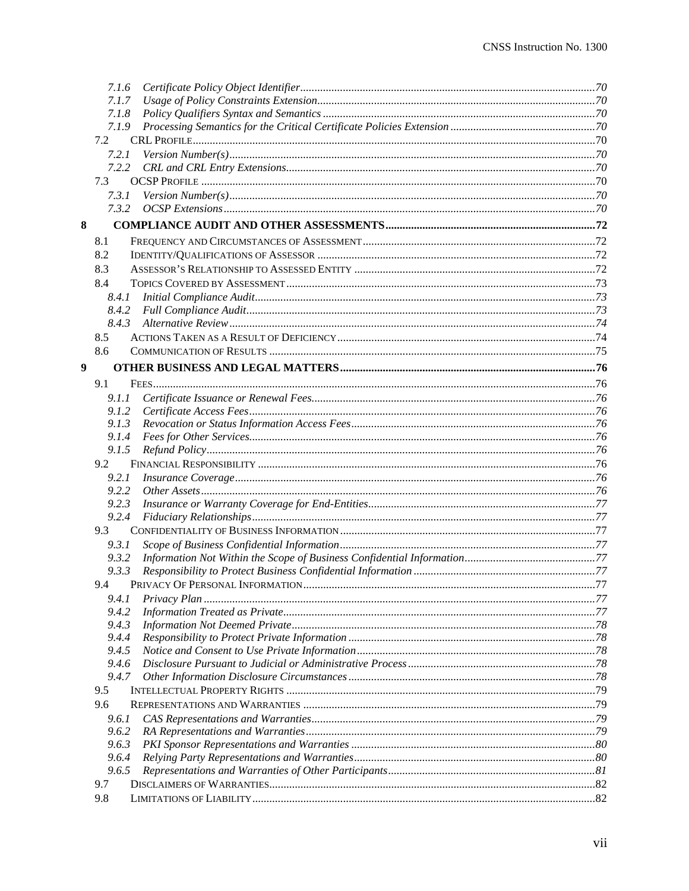| 7.1.6 |                                                                                                                                                                                                                                                        |      |
|-------|--------------------------------------------------------------------------------------------------------------------------------------------------------------------------------------------------------------------------------------------------------|------|
| 7.1.7 |                                                                                                                                                                                                                                                        |      |
| 7.1.8 |                                                                                                                                                                                                                                                        |      |
| 7.1.9 |                                                                                                                                                                                                                                                        |      |
| 7.2   |                                                                                                                                                                                                                                                        |      |
| 7.2.1 |                                                                                                                                                                                                                                                        |      |
| 7.2.2 |                                                                                                                                                                                                                                                        |      |
| 7.3   |                                                                                                                                                                                                                                                        |      |
| 7.3.1 |                                                                                                                                                                                                                                                        |      |
| 7.3.2 |                                                                                                                                                                                                                                                        |      |
|       |                                                                                                                                                                                                                                                        |      |
|       |                                                                                                                                                                                                                                                        |      |
|       |                                                                                                                                                                                                                                                        |      |
|       |                                                                                                                                                                                                                                                        |      |
|       |                                                                                                                                                                                                                                                        |      |
|       |                                                                                                                                                                                                                                                        |      |
| 8.4.1 |                                                                                                                                                                                                                                                        |      |
| 8.4.2 |                                                                                                                                                                                                                                                        |      |
|       |                                                                                                                                                                                                                                                        |      |
|       |                                                                                                                                                                                                                                                        |      |
| 8.6   |                                                                                                                                                                                                                                                        |      |
|       |                                                                                                                                                                                                                                                        |      |
|       |                                                                                                                                                                                                                                                        |      |
|       |                                                                                                                                                                                                                                                        |      |
|       |                                                                                                                                                                                                                                                        |      |
|       |                                                                                                                                                                                                                                                        |      |
|       |                                                                                                                                                                                                                                                        |      |
|       |                                                                                                                                                                                                                                                        |      |
|       |                                                                                                                                                                                                                                                        |      |
|       |                                                                                                                                                                                                                                                        |      |
|       |                                                                                                                                                                                                                                                        |      |
|       |                                                                                                                                                                                                                                                        |      |
|       |                                                                                                                                                                                                                                                        |      |
|       |                                                                                                                                                                                                                                                        |      |
|       |                                                                                                                                                                                                                                                        |      |
|       |                                                                                                                                                                                                                                                        |      |
|       |                                                                                                                                                                                                                                                        |      |
|       |                                                                                                                                                                                                                                                        |      |
|       |                                                                                                                                                                                                                                                        | . 77 |
|       |                                                                                                                                                                                                                                                        |      |
|       |                                                                                                                                                                                                                                                        |      |
|       |                                                                                                                                                                                                                                                        |      |
|       |                                                                                                                                                                                                                                                        |      |
|       |                                                                                                                                                                                                                                                        |      |
|       |                                                                                                                                                                                                                                                        |      |
|       |                                                                                                                                                                                                                                                        |      |
|       |                                                                                                                                                                                                                                                        |      |
| 9.6   |                                                                                                                                                                                                                                                        |      |
| 9.6.1 |                                                                                                                                                                                                                                                        |      |
| 9.6.2 |                                                                                                                                                                                                                                                        |      |
| 9.6.3 |                                                                                                                                                                                                                                                        |      |
| 9.6.4 |                                                                                                                                                                                                                                                        |      |
| 9.6.5 |                                                                                                                                                                                                                                                        |      |
| 9.7   |                                                                                                                                                                                                                                                        |      |
| 9.8   |                                                                                                                                                                                                                                                        |      |
|       | 8.1<br>8.2<br>8.3<br>8.4<br>8.4.3<br>8.5<br>9.1<br>9.1.1<br>9.1.2<br>9.1.3<br>9.1.4<br>9.1.5<br>9.2<br>9.2.1<br>9.2.2<br>9.2.3<br>9.2.4<br>9.3<br>9.3.1<br>9.3.2<br>9.3.3<br>9.4<br>9.4.1<br>9.4.2<br>9.4.3<br>9.4.4<br>9.4.5<br>9.4.6<br>9.4.7<br>9.5 |      |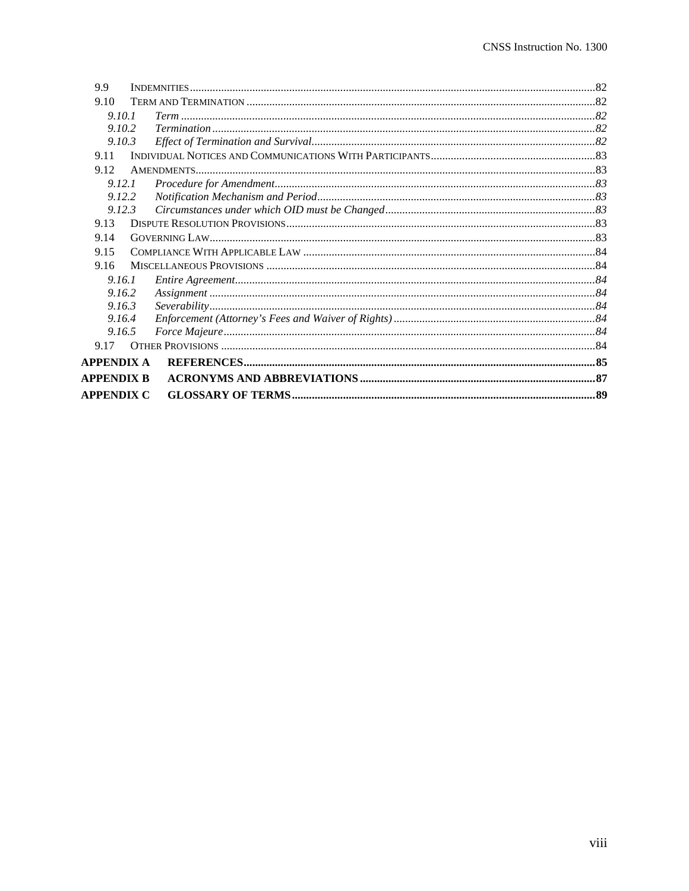| 9.9               |      |  |
|-------------------|------|--|
| 9.10              |      |  |
| 9.10.1            | Term |  |
| 9.10.2            |      |  |
| 9.10.3            |      |  |
| 9.11              |      |  |
| 9.12              |      |  |
| 9.12.1            |      |  |
| 9.12.2            |      |  |
| 9.12.3            |      |  |
| 9.13              |      |  |
| 9.14              |      |  |
| 9.15              |      |  |
| 9.16              |      |  |
| 9.16.1            |      |  |
| 9.16.2            |      |  |
| 9.16.3            |      |  |
| 9.16.4            |      |  |
| 9.16.5            |      |  |
| 9.17              |      |  |
| <b>APPENDIX A</b> |      |  |
| <b>APPENDIX B</b> |      |  |
| <b>APPENDIX C</b> |      |  |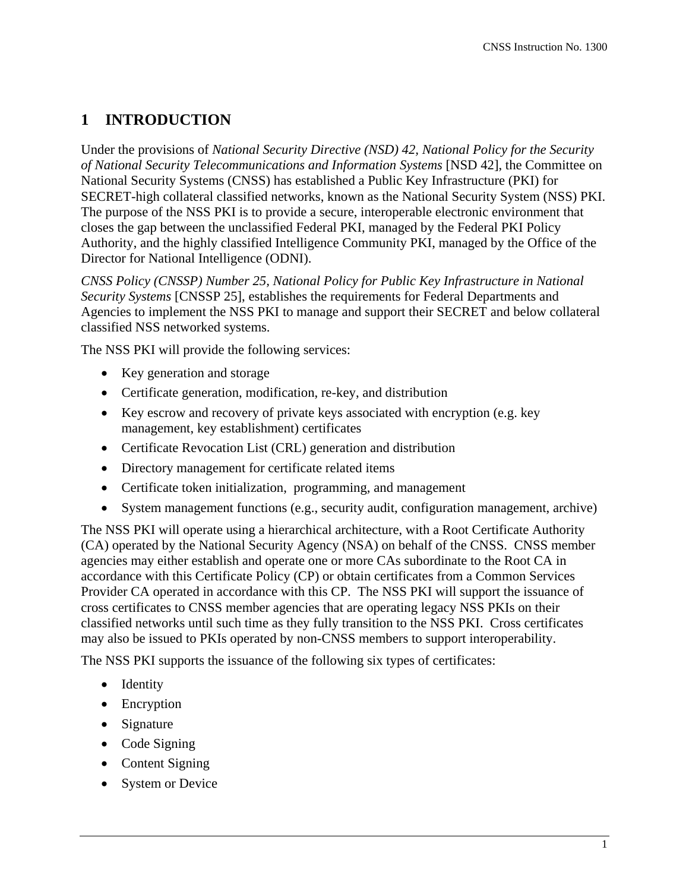# <span id="page-10-0"></span>**1 INTRODUCTION**

Under the provisions of *National Security Directive (NSD) 42, National Policy for the Security of National Security Telecommunications and Information Systems* [NSD 42], the Committee on National Security Systems (CNSS) has established a Public Key Infrastructure (PKI) for SECRET-high collateral classified networks, known as the National Security System (NSS) PKI. The purpose of the NSS PKI is to provide a secure, interoperable electronic environment that closes the gap between the unclassified Federal PKI, managed by the Federal PKI Policy Authority, and the highly classified Intelligence Community PKI, managed by the Office of the Director for National Intelligence (ODNI).

*CNSS Policy (CNSSP) Number 25, National Policy for Public Key Infrastructure in National Security Systems* [CNSSP 25], establishes the requirements for Federal Departments and Agencies to implement the NSS PKI to manage and support their SECRET and below collateral classified NSS networked systems.

The NSS PKI will provide the following services:

- Key generation and storage
- Certificate generation, modification, re-key, and distribution
- Key escrow and recovery of private keys associated with encryption (e.g. key management, key establishment) certificates
- Certificate Revocation List (CRL) generation and distribution
- Directory management for certificate related items
- Certificate token initialization, programming, and management
- System management functions (e.g., security audit, configuration management, archive)

The NSS PKI will operate using a hierarchical architecture, with a Root Certificate Authority (CA) operated by the National Security Agency (NSA) on behalf of the CNSS. CNSS member agencies may either establish and operate one or more CAs subordinate to the Root CA in accordance with this Certificate Policy (CP) or obtain certificates from a Common Services Provider CA operated in accordance with this CP. The NSS PKI will support the issuance of cross certificates to CNSS member agencies that are operating legacy NSS PKIs on their classified networks until such time as they fully transition to the NSS PKI. Cross certificates may also be issued to PKIs operated by non-CNSS members to support interoperability.

The NSS PKI supports the issuance of the following six types of certificates:

- Identity
- Encryption
- Signature
- Code Signing
- Content Signing
- System or Device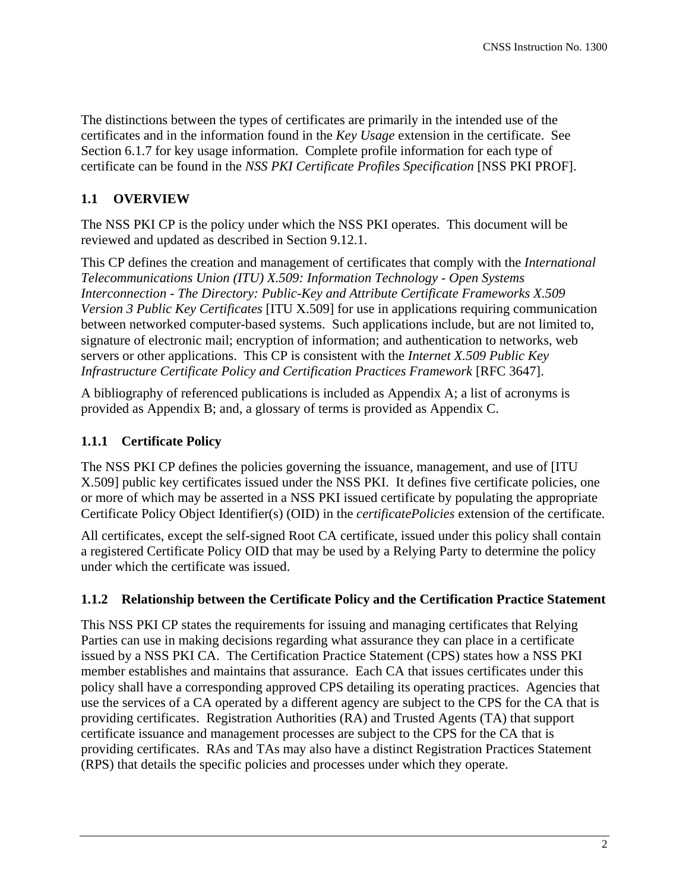<span id="page-11-0"></span>The distinctions between the types of certificates are primarily in the intended use of the certificates and in the information found in the *Key Usage* extension in the certificate. See Section [6.1.7](#page-68-1) for key usage information. Complete profile information for each type of certificate can be found in the *NSS PKI Certificate Profiles Specification* [NSS PKI PROF].

# **1.1 OVERVIEW**

The NSS PKI CP is the policy under which the NSS PKI operates. This document will be reviewed and updated as described in Section [9.12.1.](#page-92-1)

This CP defines the creation and management of certificates that comply with the *International Telecommunications Union (ITU) X.509: Information Technology - Open Systems Interconnection - The Directory: Public-Key and Attribute Certificate Frameworks X.509 Version 3 Public Key Certificates* [ITU X.509] for use in applications requiring communication between networked computer-based systems. Such applications include, but are not limited to, signature of electronic mail; encryption of information; and authentication to networks, web servers or other applications. This CP is consistent with the *Internet X.509 Public Key Infrastructure Certificate Policy and Certification Practices Framework* [RFC 3647].

A bibliography of referenced publications is included as [Appendix A;](#page-94-1) a list of acronyms is provided as [Appendix B](#page-96-1); and, a glossary of terms is provided as [Appendix C.](#page-98-1)

# **1.1.1 Certificate Policy**

The NSS PKI CP defines the policies governing the issuance, management, and use of [ITU X.509] public key certificates issued under the NSS PKI. It defines five certificate policies, one or more of which may be asserted in a NSS PKI issued certificate by populating the appropriate Certificate Policy Object Identifier(s) (OID) in the *certificatePolicies* extension of the certificate.

All certificates, except the self-signed Root CA certificate, issued under this policy shall contain a registered Certificate Policy OID that may be used by a Relying Party to determine the policy under which the certificate was issued.

# **1.1.2 Relationship between the Certificate Policy and the Certification Practice Statement**

This NSS PKI CP states the requirements for issuing and managing certificates that Relying Parties can use in making decisions regarding what assurance they can place in a certificate issued by a NSS PKI CA. The Certification Practice Statement (CPS) states how a NSS PKI member establishes and maintains that assurance. Each CA that issues certificates under this policy shall have a corresponding approved CPS detailing its operating practices. Agencies that use the services of a CA operated by a different agency are subject to the CPS for the CA that is providing certificates. Registration Authorities (RA) and Trusted Agents (TA) that support certificate issuance and management processes are subject to the CPS for the CA that is providing certificates. RAs and TAs may also have a distinct Registration Practices Statement (RPS) that details the specific policies and processes under which they operate.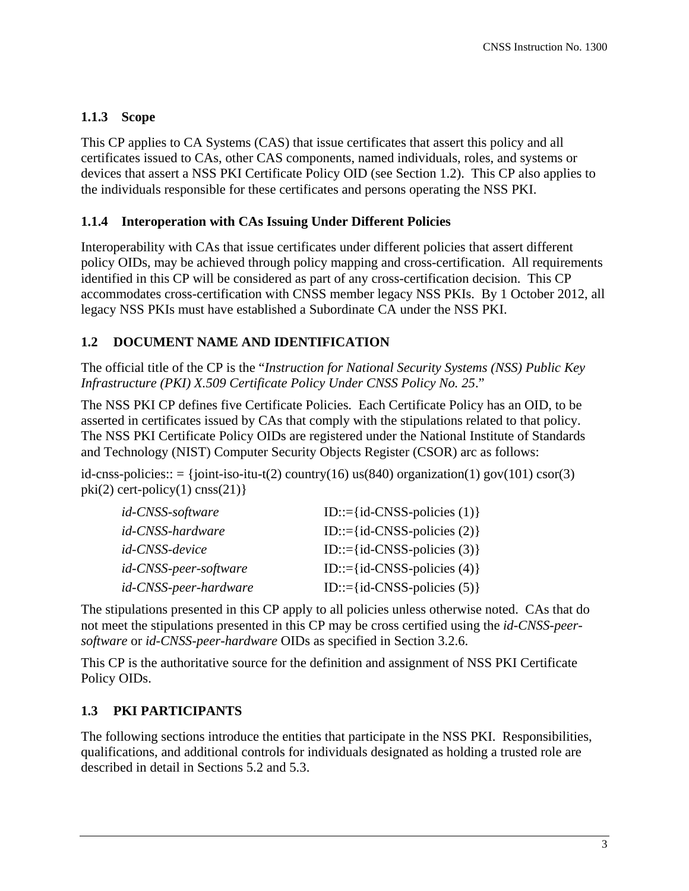# <span id="page-12-0"></span>**1.1.3 Scope**

This CP applies to CA Systems (CAS) that issue certificates that assert this policy and all certificates issued to CAs, other CAS components, named individuals, roles, and systems or devices that assert a NSS PKI Certificate Policy OID (see Section [1.2\)](#page-12-1). This CP also applies to the individuals responsible for these certificates and persons operating the NSS PKI.

### **1.1.4 Interoperation with CAs Issuing Under Different Policies**

Interoperability with CAs that issue certificates under different policies that assert different policy OIDs, may be achieved through policy mapping and cross-certification. All requirements identified in this CP will be considered as part of any cross-certification decision. This CP accommodates cross-certification with CNSS member legacy NSS PKIs. By 1 October 2012, all legacy NSS PKIs must have established a Subordinate CA under the NSS PKI.

# <span id="page-12-1"></span>**1.2 DOCUMENT NAME AND IDENTIFICATION**

The official title of the CP is the "*Instruction for National Security Systems (NSS) Public Key Infrastructure (PKI) X.509 Certificate Policy Under CNSS Policy No. 25*."

The NSS PKI CP defines five Certificate Policies. Each Certificate Policy has an OID, to be asserted in certificates issued by CAs that comply with the stipulations related to that policy. The NSS PKI Certificate Policy OIDs are registered under the National Institute of Standards and Technology (NIST) Computer Security Objects Register (CSOR) arc as follows:

id-cnss-policies:: = {joint-iso-itu-t(2) country(16) us(840) organization(1) gov(101) csor(3) pki(2) cert-policy(1) cnss(21) }

| <i>id-CNSS-software</i> | $ID ::= {id-CNSS-policies(1)}$            |
|-------------------------|-------------------------------------------|
| id-CNSS-hardware        | ID::= $\{id\text{-CNSS-policies}(2)\}\$   |
| id-CNSS-device          | ID::= $\{id\text{-CNSS-policies } (3)\}\$ |
| id-CNSS-peer-software   | ID::= $\{id\text{-CNSS-policies } (4)\}$  |
| id-CNSS-peer-hardware   | ID::= $\{id\text{-CNSS-policies}(5)\}\$   |

The stipulations presented in this CP apply to all policies unless otherwise noted. CAs that do not meet the stipulations presented in this CP may be cross certified using the *id-CNSS-peersoftware* or *id-CNSS-peer-hardware* OIDs as specified in Section [3.2.6](#page-27-1).

This CP is the authoritative source for the definition and assignment of NSS PKI Certificate Policy OIDs.

# **1.3 PKI PARTICIPANTS**

The following sections introduce the entities that participate in the NSS PKI. Responsibilities, qualifications, and additional controls for individuals designated as holding a trusted role are described in detail in Sections [5.2](#page-50-1) and [5.3](#page-53-1).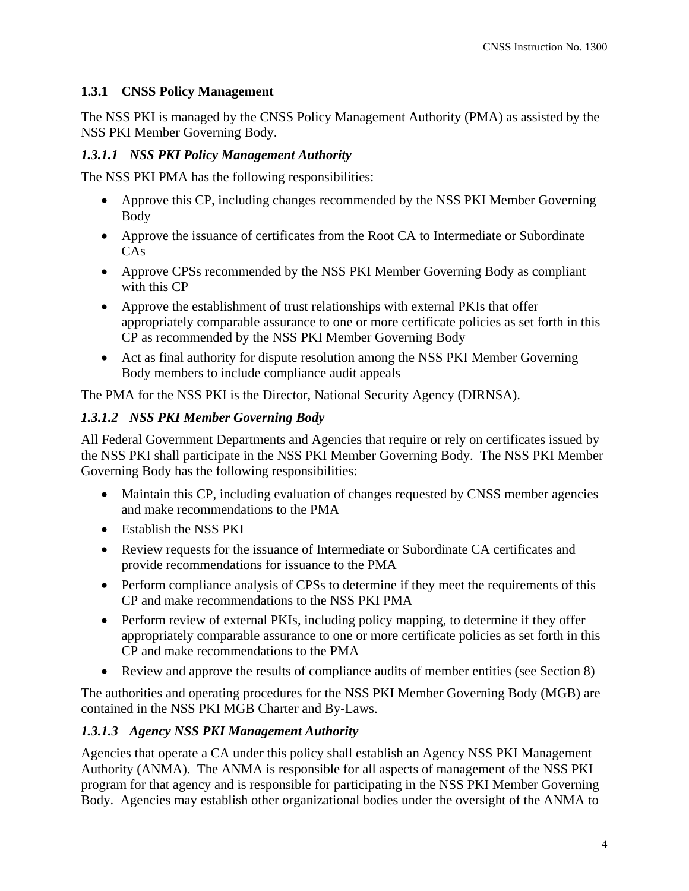# <span id="page-13-0"></span>**1.3.1 CNSS Policy Management**

The NSS PKI is managed by the CNSS Policy Management Authority (PMA) as assisted by the NSS PKI Member Governing Body.

### <span id="page-13-1"></span>*1.3.1.1 NSS PKI Policy Management Authority*

The NSS PKI PMA has the following responsibilities:

- Approve this CP, including changes recommended by the NSS PKI Member Governing Body
- Approve the issuance of certificates from the Root CA to Intermediate or Subordinate CAs
- Approve CPSs recommended by the NSS PKI Member Governing Body as compliant with this CP
- Approve the establishment of trust relationships with external PKIs that offer appropriately comparable assurance to one or more certificate policies as set forth in this CP as recommended by the NSS PKI Member Governing Body
- Act as final authority for dispute resolution among the NSS PKI Member Governing Body members to include compliance audit appeals

The PMA for the NSS PKI is the Director, National Security Agency (DIRNSA).

# *1.3.1.2 NSS PKI Member Governing Body*

All Federal Government Departments and Agencies that require or rely on certificates issued by the NSS PKI shall participate in the NSS PKI Member Governing Body. The NSS PKI Member Governing Body has the following responsibilities:

- Maintain this CP, including evaluation of changes requested by CNSS member agencies and make recommendations to the PMA
- Establish the NSS PKI
- Review requests for the issuance of Intermediate or Subordinate CA certificates and provide recommendations for issuance to the PMA
- Perform compliance analysis of CPSs to determine if they meet the requirements of this CP and make recommendations to the NSS PKI PMA
- Perform review of external PKIs, including policy mapping, to determine if they offer appropriately comparable assurance to one or more certificate policies as set forth in this CP and make recommendations to the PMA
- Review and approve the results of compliance audits of member entities (see Section [8\)](#page-81-1)

The authorities and operating procedures for the NSS PKI Member Governing Body (MGB) are contained in the NSS PKI MGB Charter and By-Laws.

# *1.3.1.3 Agency NSS PKI Management Authority*

Agencies that operate a CA under this policy shall establish an Agency NSS PKI Management Authority (ANMA). The ANMA is responsible for all aspects of management of the NSS PKI program for that agency and is responsible for participating in the NSS PKI Member Governing Body. Agencies may establish other organizational bodies under the oversight of the ANMA to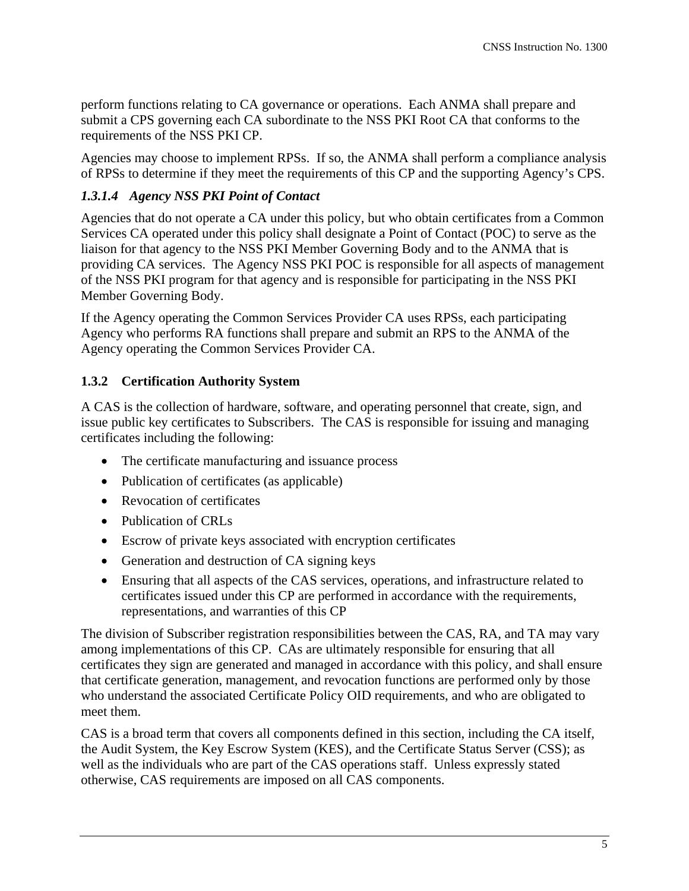<span id="page-14-0"></span>perform functions relating to CA governance or operations. Each ANMA shall prepare and submit a CPS governing each CA subordinate to the NSS PKI Root CA that conforms to the requirements of the NSS PKI CP.

Agencies may choose to implement RPSs. If so, the ANMA shall perform a compliance analysis of RPSs to determine if they meet the requirements of this CP and the supporting Agency's CPS.

# *1.3.1.4 Agency NSS PKI Point of Contact*

Agencies that do not operate a CA under this policy, but who obtain certificates from a Common Services CA operated under this policy shall designate a Point of Contact (POC) to serve as the liaison for that agency to the NSS PKI Member Governing Body and to the ANMA that is providing CA services. The Agency NSS PKI POC is responsible for all aspects of management of the NSS PKI program for that agency and is responsible for participating in the NSS PKI Member Governing Body.

If the Agency operating the Common Services Provider CA uses RPSs, each participating Agency who performs RA functions shall prepare and submit an RPS to the ANMA of the Agency operating the Common Services Provider CA.

# **1.3.2 Certification Authority System**

A CAS is the collection of hardware, software, and operating personnel that create, sign, and issue public key certificates to Subscribers. The CAS is responsible for issuing and managing certificates including the following:

- The certificate manufacturing and issuance process
- Publication of certificates (as applicable)
- Revocation of certificates
- Publication of CRLs
- Escrow of private keys associated with encryption certificates
- Generation and destruction of CA signing keys
- Ensuring that all aspects of the CAS services, operations, and infrastructure related to certificates issued under this CP are performed in accordance with the requirements, representations, and warranties of this CP

The division of Subscriber registration responsibilities between the CAS, RA, and TA may vary among implementations of this CP. CAs are ultimately responsible for ensuring that all certificates they sign are generated and managed in accordance with this policy, and shall ensure that certificate generation, management, and revocation functions are performed only by those who understand the associated Certificate Policy OID requirements, and who are obligated to meet them.

CAS is a broad term that covers all components defined in this section, including the CA itself, the Audit System, the Key Escrow System (KES), and the Certificate Status Server (CSS); as well as the individuals who are part of the CAS operations staff. Unless expressly stated otherwise, CAS requirements are imposed on all CAS components.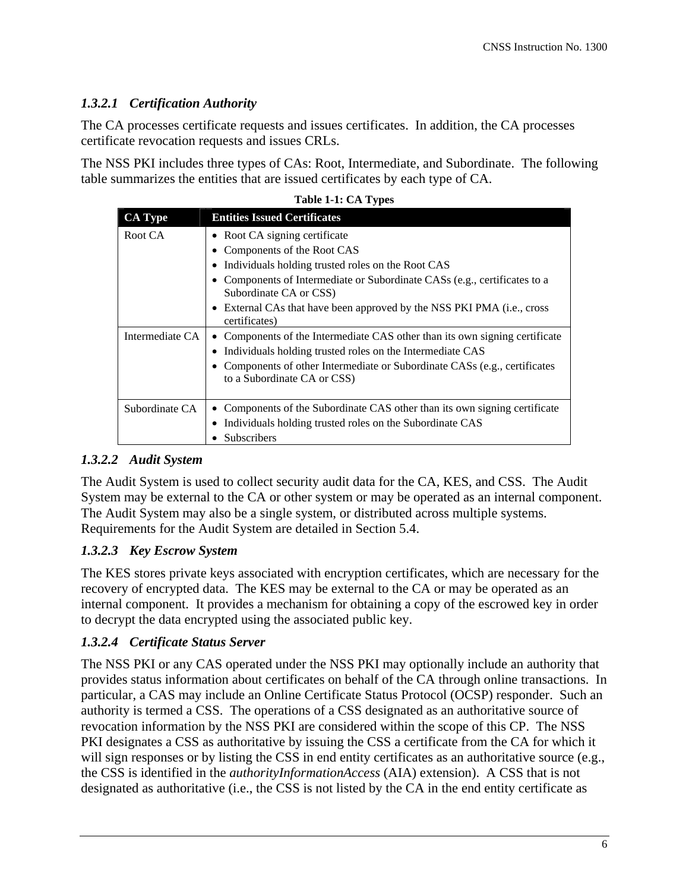# *1.3.2.1 Certification Authority*

The CA processes certificate requests and issues certificates. In addition, the CA processes certificate revocation requests and issues CRLs.

The NSS PKI includes three types of CAs: Root, Intermediate, and Subordinate. The following table summarizes the entities that are issued certificates by each type of CA.

| CA Type         | <b>Entities Issued Certificates</b>                                                                     |
|-----------------|---------------------------------------------------------------------------------------------------------|
| Root CA         | • Root CA signing certificate                                                                           |
|                 | Components of the Root CAS                                                                              |
|                 | Individuals holding trusted roles on the Root CAS                                                       |
|                 | Components of Intermediate or Subordinate CASs (e.g., certificates to a<br>Subordinate CA or CSS)       |
|                 | • External CAs that have been approved by the NSS PKI PMA (i.e., cross<br>certificates)                 |
| Intermediate CA | Components of the Intermediate CAS other than its own signing certificate                               |
|                 | Individuals holding trusted roles on the Intermediate CAS                                               |
|                 | Components of other Intermediate or Subordinate CASs (e.g., certificates<br>to a Subordinate CA or CSS) |
| Subordinate CA  | Components of the Subordinate CAS other than its own signing certificate                                |
|                 | Individuals holding trusted roles on the Subordinate CAS                                                |
|                 | <b>Subscribers</b>                                                                                      |

#### **Table 1-1: CA Types**

# *1.3.2.2 Audit System*

The Audit System is used to collect security audit data for the CA, KES, and CSS. The Audit System may be external to the CA or other system or may be operated as an internal component. The Audit System may also be a single system, or distributed across multiple systems. Requirements for the Audit System are detailed in Section [5.4.](#page-55-1)

# *1.3.2.3 Key Escrow System*

The KES stores private keys associated with encryption certificates, which are necessary for the recovery of encrypted data. The KES may be external to the CA or may be operated as an internal component. It provides a mechanism for obtaining a copy of the escrowed key in order to decrypt the data encrypted using the associated public key.

# *1.3.2.4 Certificate Status Server*

The NSS PKI or any CAS operated under the NSS PKI may optionally include an authority that provides status information about certificates on behalf of the CA through online transactions. In particular, a CAS may include an Online Certificate Status Protocol (OCSP) responder. Such an authority is termed a CSS. The operations of a CSS designated as an authoritative source of revocation information by the NSS PKI are considered within the scope of this CP. The NSS PKI designates a CSS as authoritative by issuing the CSS a certificate from the CA for which it will sign responses or by listing the CSS in end entity certificates as an authoritative source (e.g., the CSS is identified in the *authorityInformationAccess* (AIA) extension). A CSS that is not designated as authoritative (i.e., the CSS is not listed by the CA in the end entity certificate as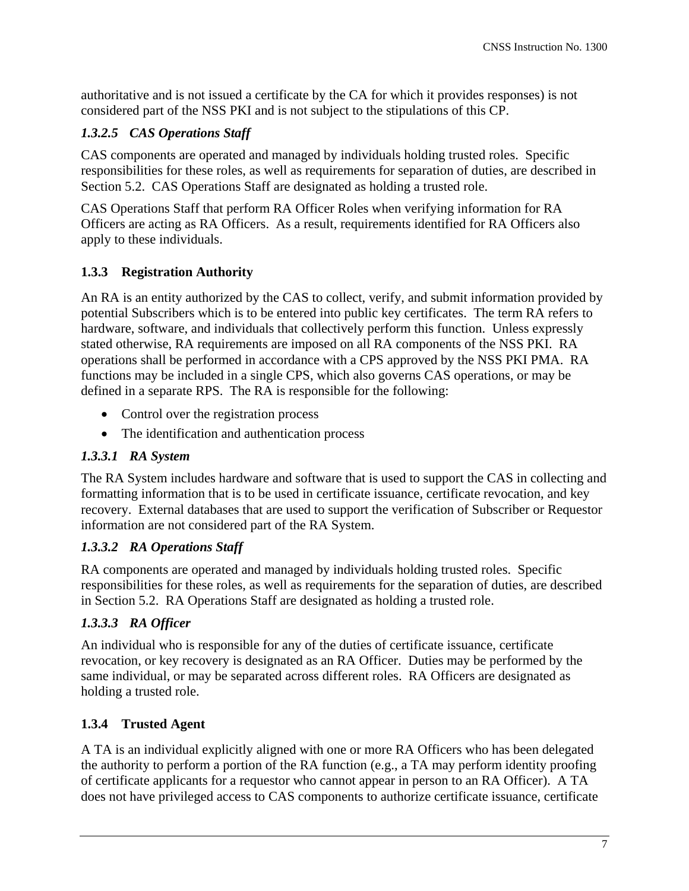<span id="page-16-0"></span>authoritative and is not issued a certificate by the CA for which it provides responses) is not considered part of the NSS PKI and is not subject to the stipulations of this CP.

# *1.3.2.5 CAS Operations Staff*

CAS components are operated and managed by individuals holding trusted roles. Specific responsibilities for these roles, as well as requirements for separation of duties, are described in Section [5.2](#page-50-1). CAS Operations Staff are designated as holding a trusted role.

CAS Operations Staff that perform RA Officer Roles when verifying information for RA Officers are acting as RA Officers. As a result, requirements identified for RA Officers also apply to these individuals.

# **1.3.3 Registration Authority**

An RA is an entity authorized by the CAS to collect, verify, and submit information provided by potential Subscribers which is to be entered into public key certificates. The term RA refers to hardware, software, and individuals that collectively perform this function. Unless expressly stated otherwise, RA requirements are imposed on all RA components of the NSS PKI. RA operations shall be performed in accordance with a CPS approved by the NSS PKI PMA. RA functions may be included in a single CPS, which also governs CAS operations, or may be defined in a separate RPS. The RA is responsible for the following:

- Control over the registration process
- The identification and authentication process

# *1.3.3.1 RA System*

The RA System includes hardware and software that is used to support the CAS in collecting and formatting information that is to be used in certificate issuance, certificate revocation, and key recovery. External databases that are used to support the verification of Subscriber or Requestor information are not considered part of the RA System.

# *1.3.3.2 RA Operations Staff*

RA components are operated and managed by individuals holding trusted roles. Specific responsibilities for these roles, as well as requirements for the separation of duties, are described in Section [5.2](#page-50-1). RA Operations Staff are designated as holding a trusted role.

# *1.3.3.3 RA Officer*

An individual who is responsible for any of the duties of certificate issuance, certificate revocation, or key recovery is designated as an RA Officer. Duties may be performed by the same individual, or may be separated across different roles. RA Officers are designated as holding a trusted role.

# **1.3.4 Trusted Agent**

A TA is an individual explicitly aligned with one or more RA Officers who has been delegated the authority to perform a portion of the RA function (e.g., a TA may perform identity proofing of certificate applicants for a requestor who cannot appear in person to an RA Officer). A TA does not have privileged access to CAS components to authorize certificate issuance, certificate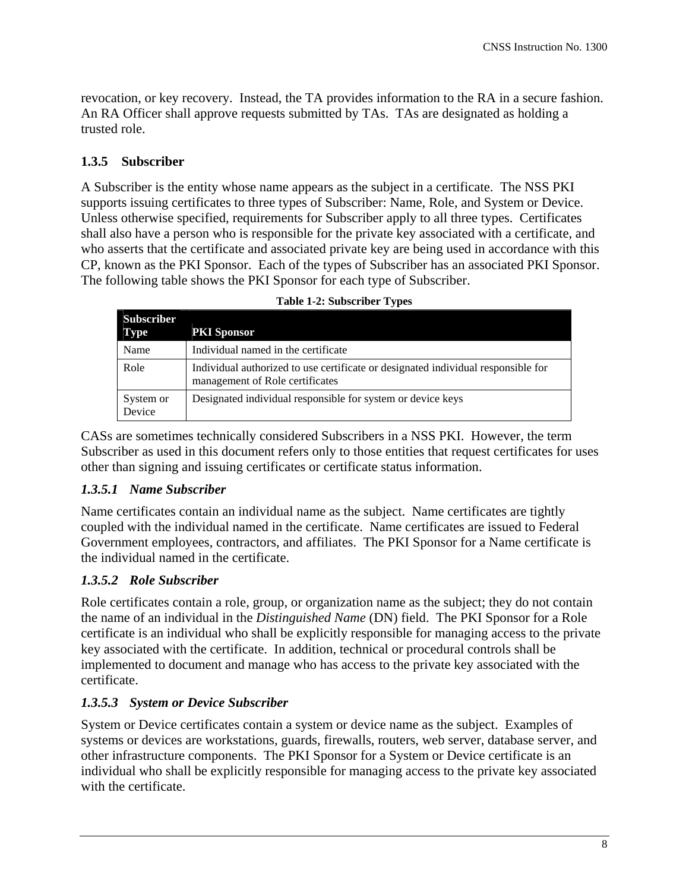<span id="page-17-0"></span>revocation, or key recovery. Instead, the TA provides information to the RA in a secure fashion. An RA Officer shall approve requests submitted by TAs. TAs are designated as holding a trusted role.

### **1.3.5 Subscriber**

A Subscriber is the entity whose name appears as the subject in a certificate. The NSS PKI supports issuing certificates to three types of Subscriber: Name, Role, and System or Device. Unless otherwise specified, requirements for Subscriber apply to all three types. Certificates shall also have a person who is responsible for the private key associated with a certificate, and who asserts that the certificate and associated private key are being used in accordance with this CP, known as the PKI Sponsor. Each of the types of Subscriber has an associated PKI Sponsor. The following table shows the PKI Sponsor for each type of Subscriber.

| Subscriber<br><b>Type</b> | <b>PKI Sponsor</b>                                                                                                   |
|---------------------------|----------------------------------------------------------------------------------------------------------------------|
| Name                      | Individual named in the certificate                                                                                  |
| Role                      | Individual authorized to use certificate or designated individual responsible for<br>management of Role certificates |
| System or<br>Device       | Designated individual responsible for system or device keys                                                          |

|  | <b>Table 1-2: Subscriber Types</b> |  |
|--|------------------------------------|--|
|  |                                    |  |

CASs are sometimes technically considered Subscribers in a NSS PKI. However, the term Subscriber as used in this document refers only to those entities that request certificates for uses other than signing and issuing certificates or certificate status information.

#### *1.3.5.1 Name Subscriber*

Name certificates contain an individual name as the subject. Name certificates are tightly coupled with the individual named in the certificate. Name certificates are issued to Federal Government employees, contractors, and affiliates. The PKI Sponsor for a Name certificate is the individual named in the certificate.

# *1.3.5.2 Role Subscriber*

Role certificates contain a role, group, or organization name as the subject; they do not contain the name of an individual in the *Distinguished Name* (DN) field. The PKI Sponsor for a Role certificate is an individual who shall be explicitly responsible for managing access to the private key associated with the certificate. In addition, technical or procedural controls shall be implemented to document and manage who has access to the private key associated with the certificate.

# *1.3.5.3 System or Device Subscriber*

System or Device certificates contain a system or device name as the subject. Examples of systems or devices are workstations, guards, firewalls, routers, web server, database server, and other infrastructure components. The PKI Sponsor for a System or Device certificate is an individual who shall be explicitly responsible for managing access to the private key associated with the certificate.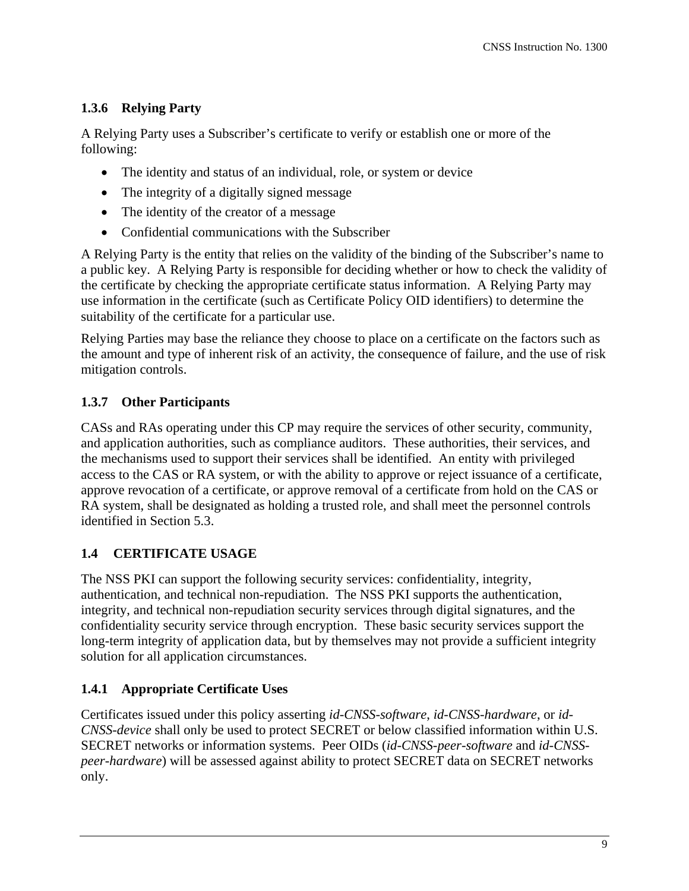# <span id="page-18-0"></span>**1.3.6 Relying Party**

A Relying Party uses a Subscriber's certificate to verify or establish one or more of the following:

- The identity and status of an individual, role, or system or device
- The integrity of a digitally signed message
- The identity of the creator of a message
- Confidential communications with the Subscriber

A Relying Party is the entity that relies on the validity of the binding of the Subscriber's name to a public key. A Relying Party is responsible for deciding whether or how to check the validity of the certificate by checking the appropriate certificate status information. A Relying Party may use information in the certificate (such as Certificate Policy OID identifiers) to determine the suitability of the certificate for a particular use.

Relying Parties may base the reliance they choose to place on a certificate on the factors such as the amount and type of inherent risk of an activity, the consequence of failure, and the use of risk mitigation controls.

# **1.3.7 Other Participants**

CASs and RAs operating under this CP may require the services of other security, community, and application authorities, such as compliance auditors. These authorities, their services, and the mechanisms used to support their services shall be identified. An entity with privileged access to the CAS or RA system, or with the ability to approve or reject issuance of a certificate, approve revocation of a certificate, or approve removal of a certificate from hold on the CAS or RA system, shall be designated as holding a trusted role, and shall meet the personnel controls identified in Section [5.3](#page-53-1).

# **1.4 CERTIFICATE USAGE**

The NSS PKI can support the following security services: confidentiality, integrity, authentication, and technical non-repudiation. The NSS PKI supports the authentication, integrity, and technical non-repudiation security services through digital signatures, and the confidentiality security service through encryption. These basic security services support the long-term integrity of application data, but by themselves may not provide a sufficient integrity solution for all application circumstances.

# **1.4.1 Appropriate Certificate Uses**

Certificates issued under this policy asserting *id-CNSS-software*, *id-CNSS-hardware*, or *id-CNSS-device* shall only be used to protect SECRET or below classified information within U.S. SECRET networks or information systems. Peer OIDs (*id-CNSS-peer-software* and *id-CNSSpeer-hardware*) will be assessed against ability to protect SECRET data on SECRET networks only.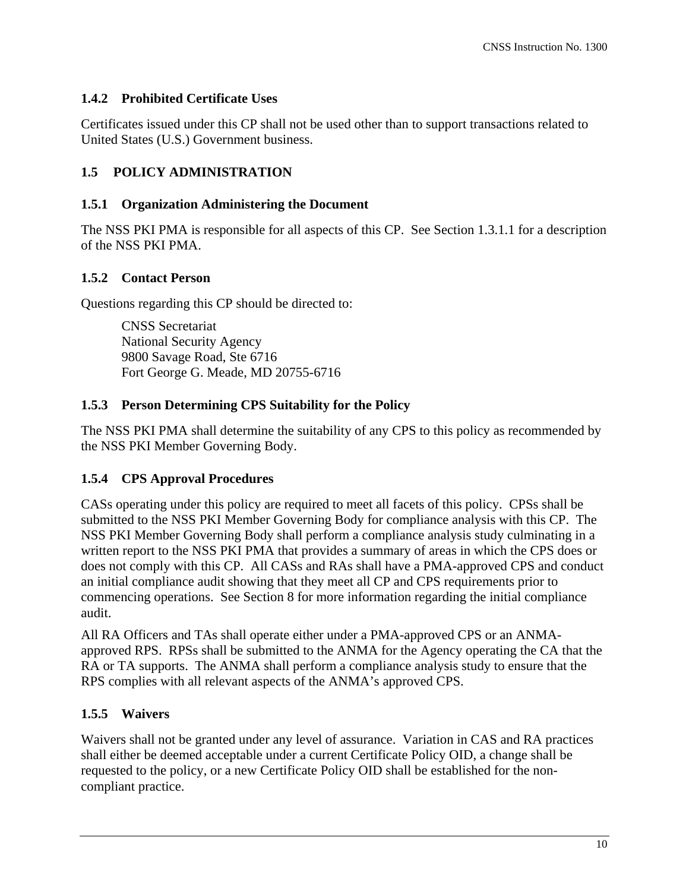# <span id="page-19-0"></span>**1.4.2 Prohibited Certificate Uses**

Certificates issued under this CP shall not be used other than to support transactions related to United States (U.S.) Government business.

# **1.5 POLICY ADMINISTRATION**

#### **1.5.1 Organization Administering the Document**

The NSS PKI PMA is responsible for all aspects of this CP. See Section [1.3.1.1](#page-13-1) for a description of the NSS PKI PMA.

# <span id="page-19-1"></span>**1.5.2 Contact Person**

Questions regarding this CP should be directed to:

CNSS Secretariat National Security Agency 9800 Savage Road, Ste 6716 Fort George G. Meade, MD 20755-6716

# **1.5.3 Person Determining CPS Suitability for the Policy**

The NSS PKI PMA shall determine the suitability of any CPS to this policy as recommended by the NSS PKI Member Governing Body.

# **1.5.4 CPS Approval Procedures**

CASs operating under this policy are required to meet all facets of this policy. CPSs shall be submitted to the NSS PKI Member Governing Body for compliance analysis with this CP. The NSS PKI Member Governing Body shall perform a compliance analysis study culminating in a written report to the NSS PKI PMA that provides a summary of areas in which the CPS does or does not comply with this CP. All CASs and RAs shall have a PMA-approved CPS and conduct an initial compliance audit showing that they meet all CP and CPS requirements prior to commencing operations. See Section [8](#page-81-1) for more information regarding the initial compliance audit.

All RA Officers and TAs shall operate either under a PMA-approved CPS or an ANMAapproved RPS. RPSs shall be submitted to the ANMA for the Agency operating the CA that the RA or TA supports. The ANMA shall perform a compliance analysis study to ensure that the RPS complies with all relevant aspects of the ANMA's approved CPS.

# **1.5.5 Waivers**

Waivers shall not be granted under any level of assurance. Variation in CAS and RA practices shall either be deemed acceptable under a current Certificate Policy OID, a change shall be requested to the policy, or a new Certificate Policy OID shall be established for the noncompliant practice.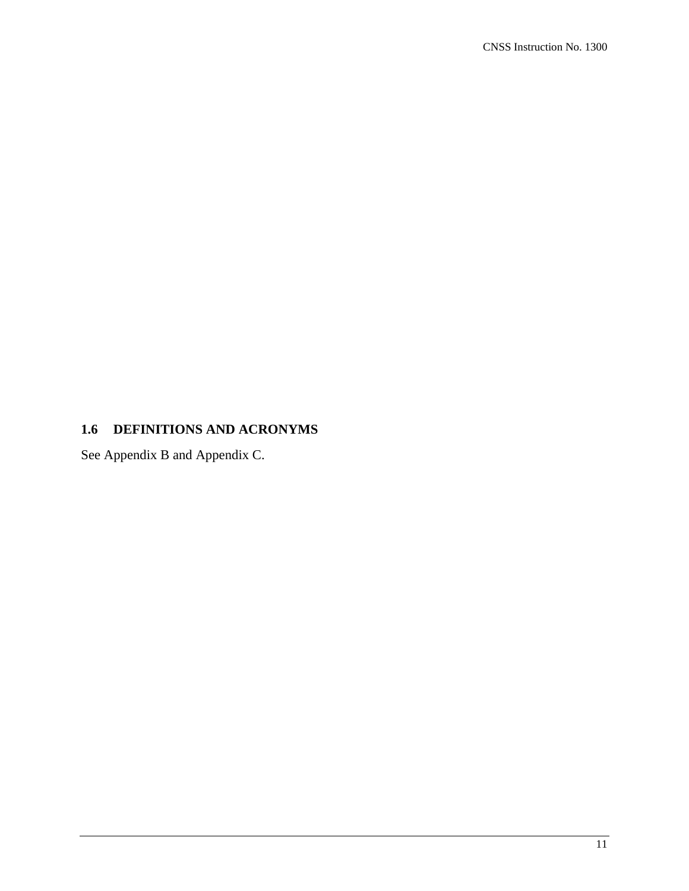# <span id="page-20-0"></span>**1.6 DEFINITIONS AND ACRONYMS**

See [Appendix B](#page-96-1) and [Appendix C](#page-98-1).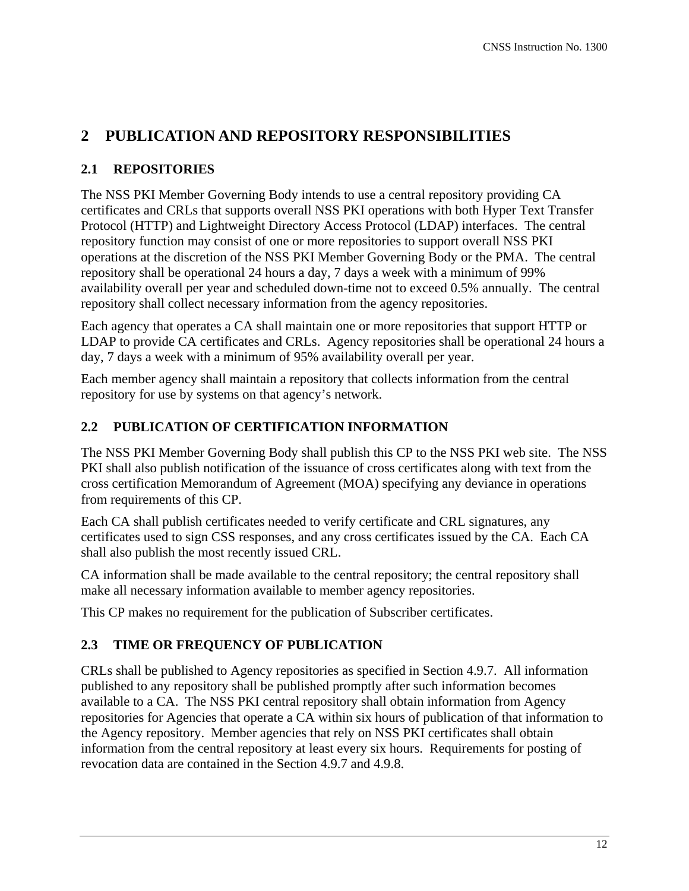# <span id="page-21-0"></span>**2 PUBLICATION AND REPOSITORY RESPONSIBILITIES**

# **2.1 REPOSITORIES**

The NSS PKI Member Governing Body intends to use a central repository providing CA certificates and CRLs that supports overall NSS PKI operations with both Hyper Text Transfer Protocol (HTTP) and Lightweight Directory Access Protocol (LDAP) interfaces. The central repository function may consist of one or more repositories to support overall NSS PKI operations at the discretion of the NSS PKI Member Governing Body or the PMA. The central repository shall be operational 24 hours a day, 7 days a week with a minimum of 99% availability overall per year and scheduled down-time not to exceed 0.5% annually. The central repository shall collect necessary information from the agency repositories.

Each agency that operates a CA shall maintain one or more repositories that support HTTP or LDAP to provide CA certificates and CRLs. Agency repositories shall be operational 24 hours a day, 7 days a week with a minimum of 95% availability overall per year.

Each member agency shall maintain a repository that collects information from the central repository for use by systems on that agency's network.

### <span id="page-21-1"></span>**2.2 PUBLICATION OF CERTIFICATION INFORMATION**

The NSS PKI Member Governing Body shall publish this CP to the NSS PKI web site. The NSS PKI shall also publish notification of the issuance of cross certificates along with text from the cross certification Memorandum of Agreement (MOA) specifying any deviance in operations from requirements of this CP.

Each CA shall publish certificates needed to verify certificate and CRL signatures, any certificates used to sign CSS responses, and any cross certificates issued by the CA. Each CA shall also publish the most recently issued CRL.

CA information shall be made available to the central repository; the central repository shall make all necessary information available to member agency repositories.

This CP makes no requirement for the publication of Subscriber certificates.

# **2.3 TIME OR FREQUENCY OF PUBLICATION**

CRLs shall be published to Agency repositories as specified in Section [4.9.7.](#page-40-1) All information published to any repository shall be published promptly after such information becomes available to a CA. The NSS PKI central repository shall obtain information from Agency repositories for Agencies that operate a CA within six hours of publication of that information to the Agency repository. Member agencies that rely on NSS PKI certificates shall obtain information from the central repository at least every six hours. Requirements for posting of revocation data are contained in the Section [4.9.7](#page-40-1) and [4.9.8](#page-40-2).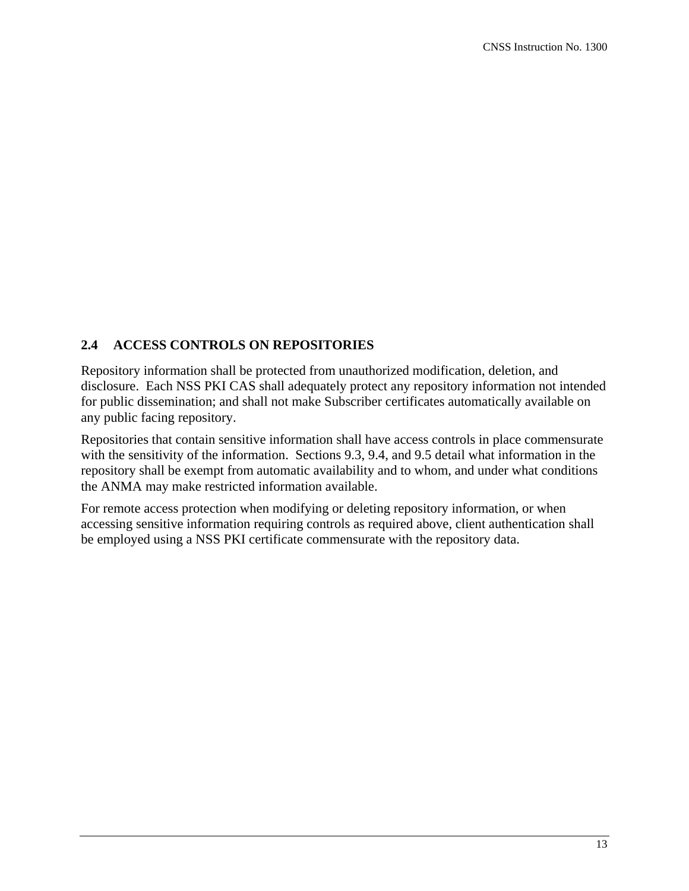# <span id="page-22-0"></span>**2.4 ACCESS CONTROLS ON REPOSITORIES**

Repository information shall be protected from unauthorized modification, deletion, and disclosure. Each NSS PKI CAS shall adequately protect any repository information not intended for public dissemination; and shall not make Subscriber certificates automatically available on any public facing repository.

Repositories that contain sensitive information shall have access controls in place commensurate with the sensitivity of the information. Sections [9.3](#page-86-1), [9.4](#page-86-2), and [9.5](#page-88-1) detail what information in the repository shall be exempt from automatic availability and to whom, and under what conditions the ANMA may make restricted information available.

For remote access protection when modifying or deleting repository information, or when accessing sensitive information requiring controls as required above, client authentication shall be employed using a NSS PKI certificate commensurate with the repository data.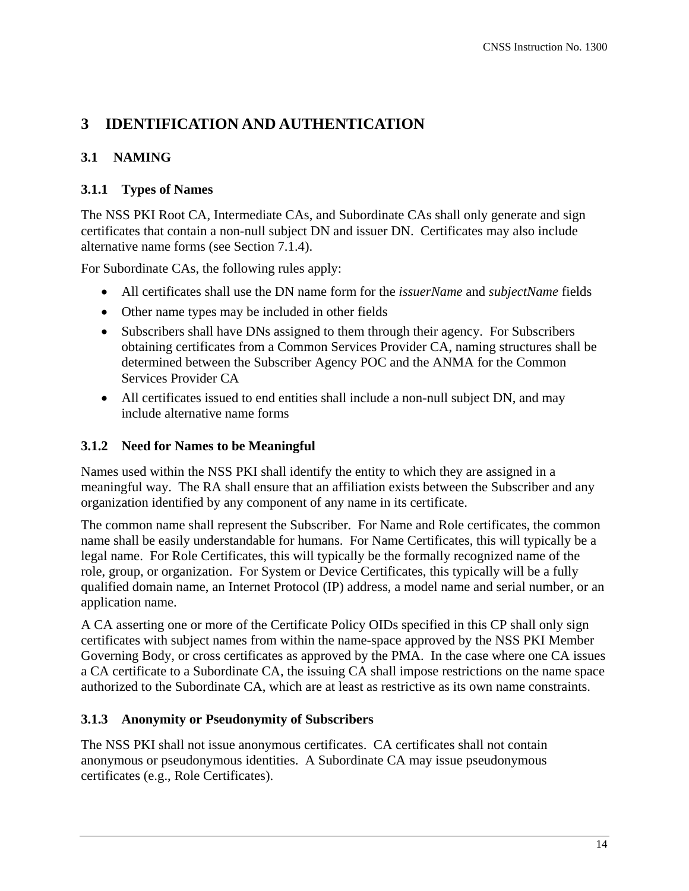# <span id="page-23-0"></span>**3 IDENTIFICATION AND AUTHENTICATION**

# **3.1 NAMING**

### **3.1.1 Types of Names**

The NSS PKI Root CA, Intermediate CAs, and Subordinate CAs shall only generate and sign certificates that contain a non-null subject DN and issuer DN. Certificates may also include alternative name forms (see Section [7.1.4\)](#page-78-1).

For Subordinate CAs, the following rules apply:

- All certificates shall use the DN name form for the *issuerName* and *subjectName* fields
- Other name types may be included in other fields
- Subscribers shall have DNs assigned to them through their agency. For Subscribers obtaining certificates from a Common Services Provider CA, naming structures shall be determined between the Subscriber Agency POC and the ANMA for the Common Services Provider CA
- All certificates issued to end entities shall include a non-null subject DN, and may include alternative name forms

### **3.1.2 Need for Names to be Meaningful**

Names used within the NSS PKI shall identify the entity to which they are assigned in a meaningful way. The RA shall ensure that an affiliation exists between the Subscriber and any organization identified by any component of any name in its certificate.

The common name shall represent the Subscriber. For Name and Role certificates, the common name shall be easily understandable for humans. For Name Certificates, this will typically be a legal name. For Role Certificates, this will typically be the formally recognized name of the role, group, or organization. For System or Device Certificates, this typically will be a fully qualified domain name, an Internet Protocol (IP) address, a model name and serial number, or an application name.

A CA asserting one or more of the Certificate Policy OIDs specified in this CP shall only sign certificates with subject names from within the name-space approved by the NSS PKI Member Governing Body, or cross certificates as approved by the PMA. In the case where one CA issues a CA certificate to a Subordinate CA, the issuing CA shall impose restrictions on the name space authorized to the Subordinate CA, which are at least as restrictive as its own name constraints.

# **3.1.3 Anonymity or Pseudonymity of Subscribers**

The NSS PKI shall not issue anonymous certificates. CA certificates shall not contain anonymous or pseudonymous identities. A Subordinate CA may issue pseudonymous certificates (e.g., Role Certificates).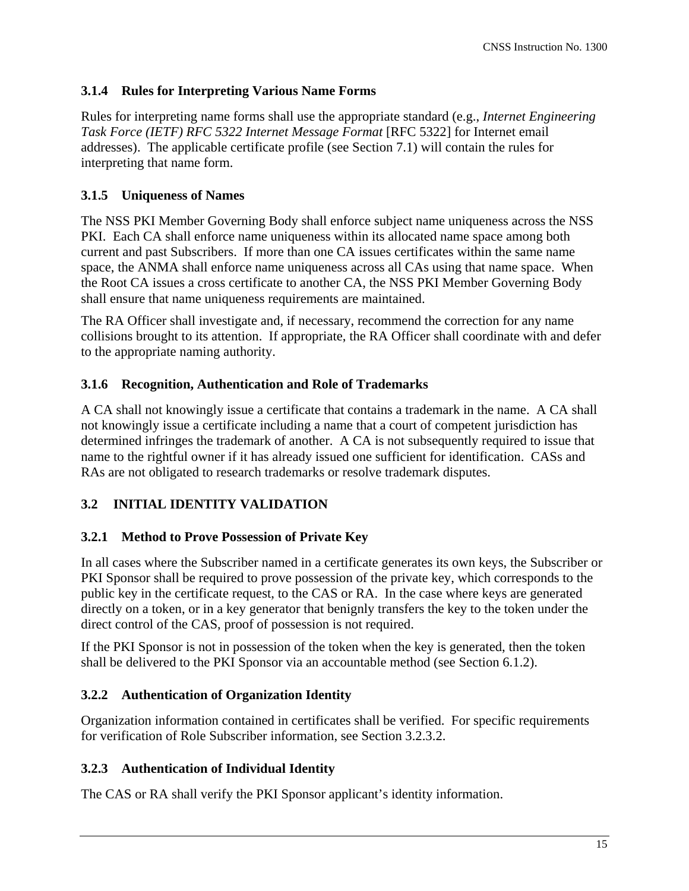#### <span id="page-24-0"></span>**3.1.4 Rules for Interpreting Various Name Forms**

Rules for interpreting name forms shall use the appropriate standard (e.g., *Internet Engineering Task Force (IETF) RFC 5322 Internet Message Format* [RFC 5322] for Internet email addresses). The applicable certificate profile (see Section [7.1](#page-77-1)) will contain the rules for interpreting that name form.

### **3.1.5 Uniqueness of Names**

The NSS PKI Member Governing Body shall enforce subject name uniqueness across the NSS PKI. Each CA shall enforce name uniqueness within its allocated name space among both current and past Subscribers. If more than one CA issues certificates within the same name space, the ANMA shall enforce name uniqueness across all CAs using that name space. When the Root CA issues a cross certificate to another CA, the NSS PKI Member Governing Body shall ensure that name uniqueness requirements are maintained.

The RA Officer shall investigate and, if necessary, recommend the correction for any name collisions brought to its attention. If appropriate, the RA Officer shall coordinate with and defer to the appropriate naming authority.

### **3.1.6 Recognition, Authentication and Role of Trademarks**

A CA shall not knowingly issue a certificate that contains a trademark in the name. A CA shall not knowingly issue a certificate including a name that a court of competent jurisdiction has determined infringes the trademark of another. A CA is not subsequently required to issue that name to the rightful owner if it has already issued one sufficient for identification. CASs and RAs are not obligated to research trademarks or resolve trademark disputes.

# <span id="page-24-3"></span>**3.2 INITIAL IDENTITY VALIDATION**

#### **3.2.1 Method to Prove Possession of Private Key**

In all cases where the Subscriber named in a certificate generates its own keys, the Subscriber or PKI Sponsor shall be required to prove possession of the private key, which corresponds to the public key in the certificate request, to the CAS or RA. In the case where keys are generated directly on a token, or in a key generator that benignly transfers the key to the token under the direct control of the CAS, proof of possession is not required.

If the PKI Sponsor is not in possession of the token when the key is generated, then the token shall be delivered to the PKI Sponsor via an accountable method (see Section [6.1.2\)](#page-66-1).

#### <span id="page-24-2"></span>**3.2.2 Authentication of Organization Identity**

Organization information contained in certificates shall be verified. For specific requirements for verification of Role Subscriber information, see Section [3.2.3.2](#page-26-0).

#### <span id="page-24-1"></span>**3.2.3 Authentication of Individual Identity**

The CAS or RA shall verify the PKI Sponsor applicant's identity information.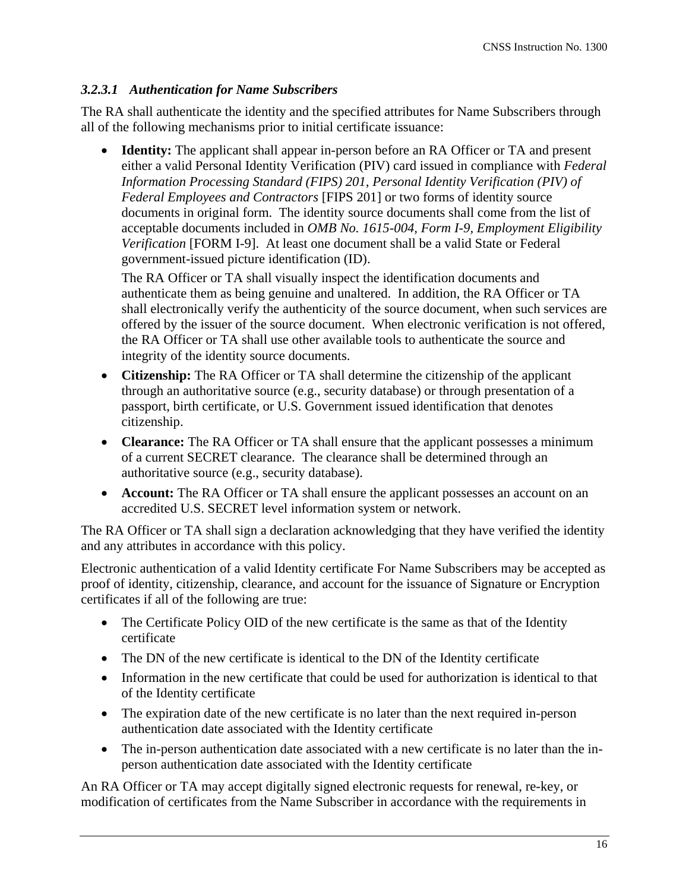### <span id="page-25-0"></span>*3.2.3.1 Authentication for Name Subscribers*

The RA shall authenticate the identity and the specified attributes for Name Subscribers through all of the following mechanisms prior to initial certificate issuance:

• **Identity:** The applicant shall appear in-person before an RA Officer or TA and present either a valid Personal Identity Verification (PIV) card issued in compliance with *Federal Information Processing Standard (FIPS) 201, Personal Identity Verification (PIV) of Federal Employees and Contractors* [FIPS 201] or two forms of identity source documents in original form. The identity source documents shall come from the list of acceptable documents included in *OMB No. 1615-004, Form I-9, Employment Eligibility Verification* [FORM I-9]. At least one document shall be a valid State or Federal government-issued picture identification (ID).

The RA Officer or TA shall visually inspect the identification documents and authenticate them as being genuine and unaltered. In addition, the RA Officer or TA shall electronically verify the authenticity of the source document, when such services are offered by the issuer of the source document. When electronic verification is not offered, the RA Officer or TA shall use other available tools to authenticate the source and integrity of the identity source documents.

- **Citizenship:** The RA Officer or TA shall determine the citizenship of the applicant through an authoritative source (e.g., security database) or through presentation of a passport, birth certificate, or U.S. Government issued identification that denotes citizenship.
- **Clearance:** The RA Officer or TA shall ensure that the applicant possesses a minimum of a current SECRET clearance. The clearance shall be determined through an authoritative source (e.g., security database).
- **Account:** The RA Officer or TA shall ensure the applicant possesses an account on an accredited U.S. SECRET level information system or network.

The RA Officer or TA shall sign a declaration acknowledging that they have verified the identity and any attributes in accordance with this policy.

Electronic authentication of a valid Identity certificate For Name Subscribers may be accepted as proof of identity, citizenship, clearance, and account for the issuance of Signature or Encryption certificates if all of the following are true:

- The Certificate Policy OID of the new certificate is the same as that of the Identity certificate
- The DN of the new certificate is identical to the DN of the Identity certificate
- Information in the new certificate that could be used for authorization is identical to that of the Identity certificate
- The expiration date of the new certificate is no later than the next required in-person authentication date associated with the Identity certificate
- The in-person authentication date associated with a new certificate is no later than the inperson authentication date associated with the Identity certificate

An RA Officer or TA may accept digitally signed electronic requests for renewal, re-key, or modification of certificates from the Name Subscriber in accordance with the requirements in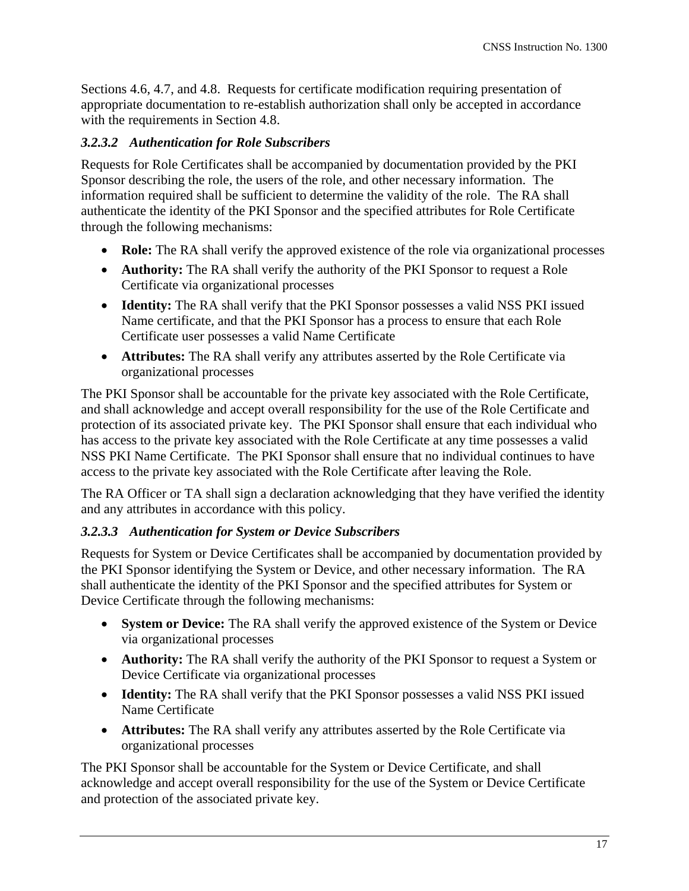Sections 4.6, 4.7, and 4.8. Requests for certificate modification requiring presentation of appropriate documentation to re-establish authorization shall only be accepted in accordance with the requirements in Section 4.8.

# <span id="page-26-0"></span>*3.2.3.2 Authentication for Role Subscribers*

Requests for Role Certificates shall be accompanied by documentation provided by the PKI Sponsor describing the role, the users of the role, and other necessary information. The information required shall be sufficient to determine the validity of the role. The RA shall authenticate the identity of the PKI Sponsor and the specified attributes for Role Certificate through the following mechanisms:

- **Role:** The RA shall verify the approved existence of the role via organizational processes
- **Authority:** The RA shall verify the authority of the PKI Sponsor to request a Role Certificate via organizational processes
- **Identity:** The RA shall verify that the PKI Sponsor possesses a valid NSS PKI issued Name certificate, and that the PKI Sponsor has a process to ensure that each Role Certificate user possesses a valid Name Certificate
- **Attributes:** The RA shall verify any attributes asserted by the Role Certificate via organizational processes

The PKI Sponsor shall be accountable for the private key associated with the Role Certificate, and shall acknowledge and accept overall responsibility for the use of the Role Certificate and protection of its associated private key. The PKI Sponsor shall ensure that each individual who has access to the private key associated with the Role Certificate at any time possesses a valid NSS PKI Name Certificate. The PKI Sponsor shall ensure that no individual continues to have access to the private key associated with the Role Certificate after leaving the Role.

The RA Officer or TA shall sign a declaration acknowledging that they have verified the identity and any attributes in accordance with this policy.

#### *3.2.3.3 Authentication for System or Device Subscribers*

Requests for System or Device Certificates shall be accompanied by documentation provided by the PKI Sponsor identifying the System or Device, and other necessary information. The RA shall authenticate the identity of the PKI Sponsor and the specified attributes for System or Device Certificate through the following mechanisms:

- **System or Device:** The RA shall verify the approved existence of the System or Device via organizational processes
- **Authority:** The RA shall verify the authority of the PKI Sponsor to request a System or Device Certificate via organizational processes
- **Identity:** The RA shall verify that the PKI Sponsor possesses a valid NSS PKI issued Name Certificate
- **Attributes:** The RA shall verify any attributes asserted by the Role Certificate via organizational processes

The PKI Sponsor shall be accountable for the System or Device Certificate, and shall acknowledge and accept overall responsibility for the use of the System or Device Certificate and protection of the associated private key.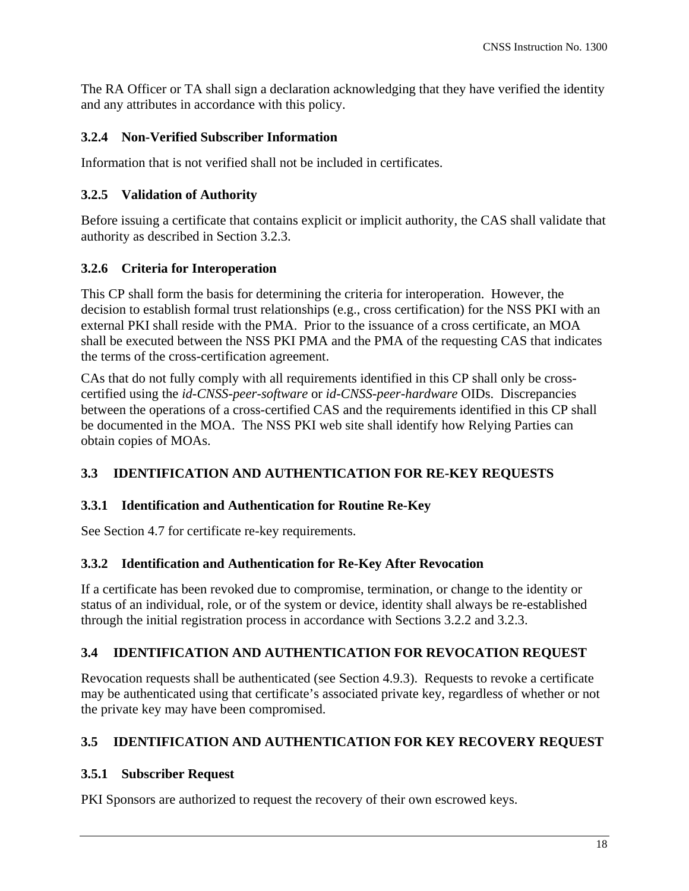<span id="page-27-0"></span>The RA Officer or TA shall sign a declaration acknowledging that they have verified the identity and any attributes in accordance with this policy.

### **3.2.4 Non-Verified Subscriber Information**

Information that is not verified shall not be included in certificates.

### **3.2.5 Validation of Authority**

Before issuing a certificate that contains explicit or implicit authority, the CAS shall validate that authority as described in Section [3.2.3.](#page-24-1)

### <span id="page-27-1"></span>**3.2.6 Criteria for Interoperation**

This CP shall form the basis for determining the criteria for interoperation. However, the decision to establish formal trust relationships (e.g., cross certification) for the NSS PKI with an external PKI shall reside with the PMA. Prior to the issuance of a cross certificate, an MOA shall be executed between the NSS PKI PMA and the PMA of the requesting CAS that indicates the terms of the cross-certification agreement.

CAs that do not fully comply with all requirements identified in this CP shall only be crosscertified using the *id-CNSS-peer-software* or *id-CNSS-peer-hardware* OIDs. Discrepancies between the operations of a cross-certified CAS and the requirements identified in this CP shall be documented in the MOA. The NSS PKI web site shall identify how Relying Parties can obtain copies of MOAs.

# **3.3 IDENTIFICATION AND AUTHENTICATION FOR RE-KEY REQUESTS**

# **3.3.1 Identification and Authentication for Routine Re-Key**

See Section [4.7](#page-34-1) for certificate re-key requirements.

#### **3.3.2 Identification and Authentication for Re-Key After Revocation**

If a certificate has been revoked due to compromise, termination, or change to the identity or status of an individual, role, or of the system or device, identity shall always be re-established through the initial registration process in accordance with Sections [3.2.2](#page-24-2) and [3.2.3](#page-24-1).

# **3.4 IDENTIFICATION AND AUTHENTICATION FOR REVOCATION REQUEST**

Revocation requests shall be authenticated (see Section [4.9.3](#page-38-1)). Requests to revoke a certificate may be authenticated using that certificate's associated private key, regardless of whether or not the private key may have been compromised.

# **3.5 IDENTIFICATION AND AUTHENTICATION FOR KEY RECOVERY REQUEST**

# **3.5.1 Subscriber Request**

PKI Sponsors are authorized to request the recovery of their own escrowed keys.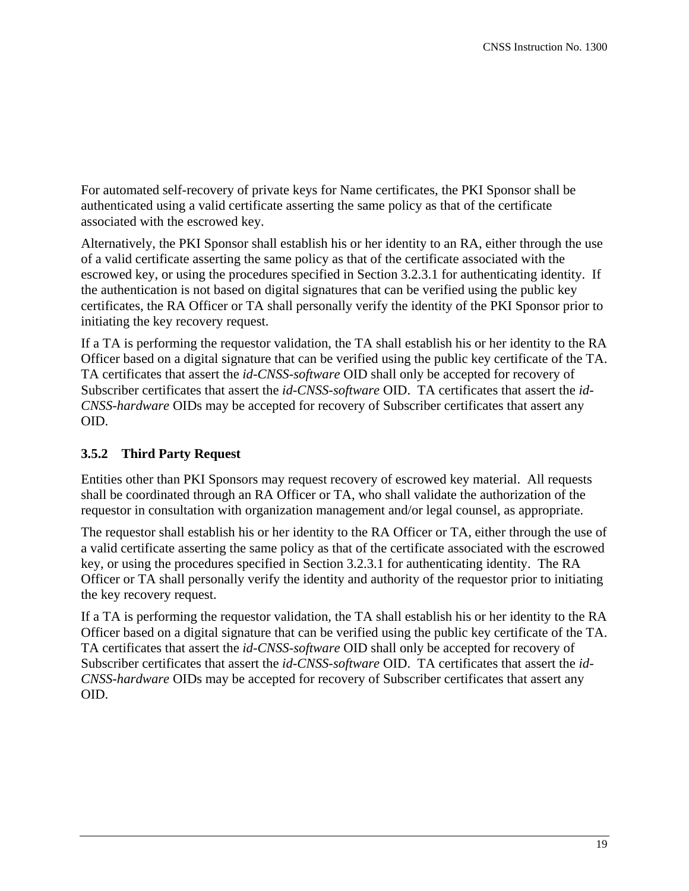<span id="page-28-0"></span>For automated self-recovery of private keys for Name certificates, the PKI Sponsor shall be authenticated using a valid certificate asserting the same policy as that of the certificate associated with the escrowed key.

Alternatively, the PKI Sponsor shall establish his or her identity to an RA, either through the use of a valid certificate asserting the same policy as that of the certificate associated with the escrowed key, or using the procedures specified in Section [3.2.3.1](#page-25-0) for authenticating identity. If the authentication is not based on digital signatures that can be verified using the public key certificates, the RA Officer or TA shall personally verify the identity of the PKI Sponsor prior to initiating the key recovery request.

If a TA is performing the requestor validation, the TA shall establish his or her identity to the RA Officer based on a digital signature that can be verified using the public key certificate of the TA. TA certificates that assert the *id-CNSS-software* OID shall only be accepted for recovery of Subscriber certificates that assert the *id-CNSS-software* OID. TA certificates that assert the *id-CNSS-hardware* OIDs may be accepted for recovery of Subscriber certificates that assert any OID.

### **3.5.2 Third Party Request**

Entities other than PKI Sponsors may request recovery of escrowed key material. All requests shall be coordinated through an RA Officer or TA, who shall validate the authorization of the requestor in consultation with organization management and/or legal counsel, as appropriate.

The requestor shall establish his or her identity to the RA Officer or TA, either through the use of a valid certificate asserting the same policy as that of the certificate associated with the escrowed key, or using the procedures specified in Section [3.2.3.1](#page-25-0) for authenticating identity. The RA Officer or TA shall personally verify the identity and authority of the requestor prior to initiating the key recovery request.

If a TA is performing the requestor validation, the TA shall establish his or her identity to the RA Officer based on a digital signature that can be verified using the public key certificate of the TA. TA certificates that assert the *id-CNSS-software* OID shall only be accepted for recovery of Subscriber certificates that assert the *id-CNSS-software* OID. TA certificates that assert the *id-CNSS-hardware* OIDs may be accepted for recovery of Subscriber certificates that assert any OID.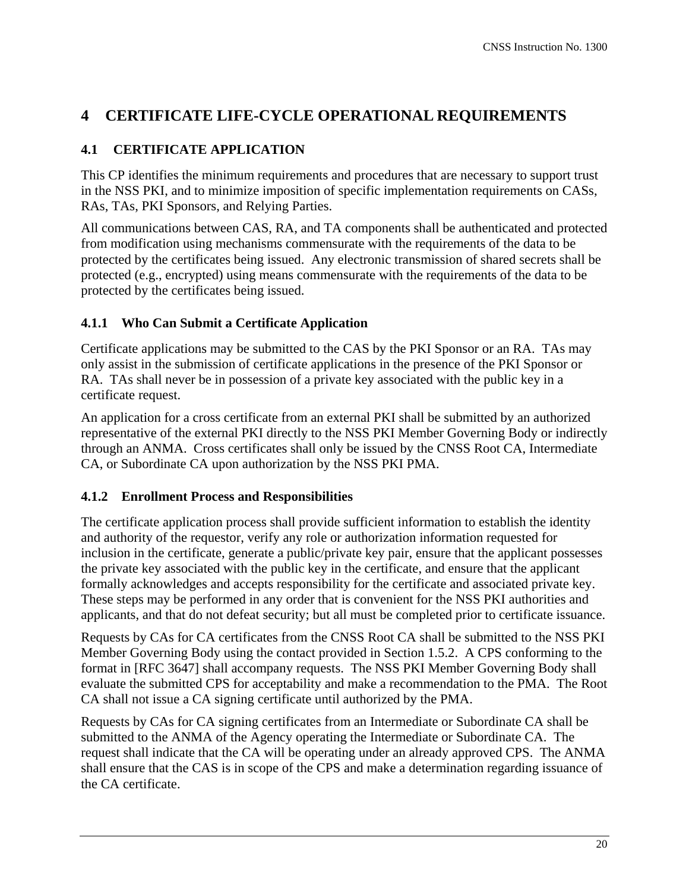# <span id="page-29-0"></span>**4 CERTIFICATE LIFE-CYCLE OPERATIONAL REQUIREMENTS**

# **4.1 CERTIFICATE APPLICATION**

This CP identifies the minimum requirements and procedures that are necessary to support trust in the NSS PKI, and to minimize imposition of specific implementation requirements on CASs, RAs, TAs, PKI Sponsors, and Relying Parties.

All communications between CAS, RA, and TA components shall be authenticated and protected from modification using mechanisms commensurate with the requirements of the data to be protected by the certificates being issued. Any electronic transmission of shared secrets shall be protected (e.g., encrypted) using means commensurate with the requirements of the data to be protected by the certificates being issued.

### **4.1.1 Who Can Submit a Certificate Application**

Certificate applications may be submitted to the CAS by the PKI Sponsor or an RA. TAs may only assist in the submission of certificate applications in the presence of the PKI Sponsor or RA. TAs shall never be in possession of a private key associated with the public key in a certificate request.

An application for a cross certificate from an external PKI shall be submitted by an authorized representative of the external PKI directly to the NSS PKI Member Governing Body or indirectly through an ANMA. Cross certificates shall only be issued by the CNSS Root CA, Intermediate CA, or Subordinate CA upon authorization by the NSS PKI PMA.

#### **4.1.2 Enrollment Process and Responsibilities**

The certificate application process shall provide sufficient information to establish the identity and authority of the requestor, verify any role or authorization information requested for inclusion in the certificate, generate a public/private key pair, ensure that the applicant possesses the private key associated with the public key in the certificate, and ensure that the applicant formally acknowledges and accepts responsibility for the certificate and associated private key. These steps may be performed in any order that is convenient for the NSS PKI authorities and applicants, and that do not defeat security; but all must be completed prior to certificate issuance.

Requests by CAs for CA certificates from the CNSS Root CA shall be submitted to the NSS PKI Member Governing Body using the contact provided in Section [1.5.2](#page-19-1). A CPS conforming to the format in [RFC 3647] shall accompany requests. The NSS PKI Member Governing Body shall evaluate the submitted CPS for acceptability and make a recommendation to the PMA. The Root CA shall not issue a CA signing certificate until authorized by the PMA.

Requests by CAs for CA signing certificates from an Intermediate or Subordinate CA shall be submitted to the ANMA of the Agency operating the Intermediate or Subordinate CA. The request shall indicate that the CA will be operating under an already approved CPS. The ANMA shall ensure that the CAS is in scope of the CPS and make a determination regarding issuance of the CA certificate.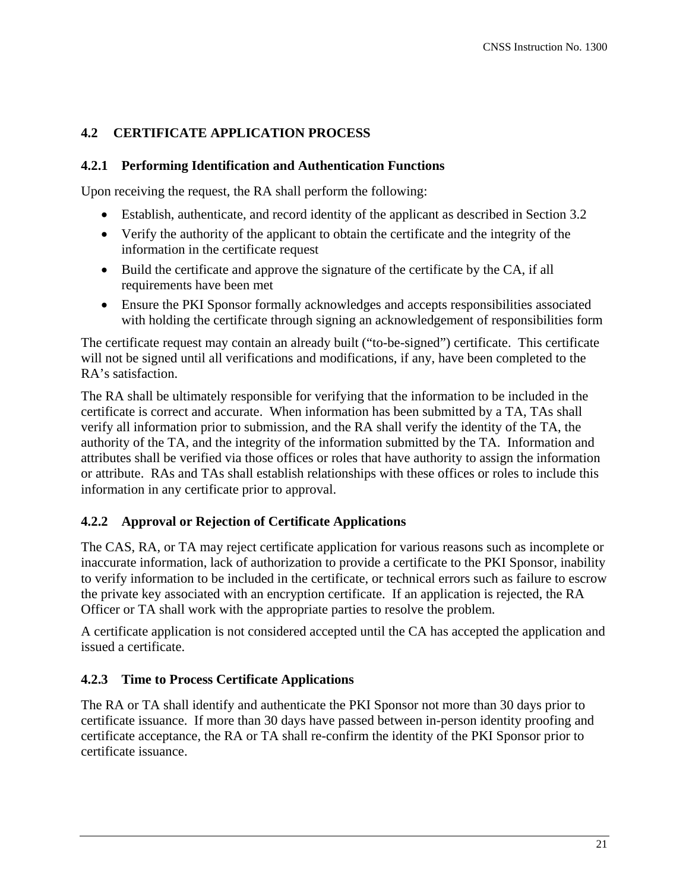# <span id="page-30-0"></span>**4.2 CERTIFICATE APPLICATION PROCESS**

#### **4.2.1 Performing Identification and Authentication Functions**

Upon receiving the request, the RA shall perform the following:

- Establish, authenticate, and record identity of the applicant as described in Section 3.2
- Verify the authority of the applicant to obtain the certificate and the integrity of the information in the certificate request
- Build the certificate and approve the signature of the certificate by the CA, if all requirements have been met
- Ensure the PKI Sponsor formally acknowledges and accepts responsibilities associated with holding the certificate through signing an acknowledgement of responsibilities form

The certificate request may contain an already built ("to-be-signed") certificate. This certificate will not be signed until all verifications and modifications, if any, have been completed to the RA's satisfaction.

The RA shall be ultimately responsible for verifying that the information to be included in the certificate is correct and accurate. When information has been submitted by a TA, TAs shall verify all information prior to submission, and the RA shall verify the identity of the TA, the authority of the TA, and the integrity of the information submitted by the TA. Information and attributes shall be verified via those offices or roles that have authority to assign the information or attribute. RAs and TAs shall establish relationships with these offices or roles to include this information in any certificate prior to approval.

#### **4.2.2 Approval or Rejection of Certificate Applications**

The CAS, RA, or TA may reject certificate application for various reasons such as incomplete or inaccurate information, lack of authorization to provide a certificate to the PKI Sponsor, inability to verify information to be included in the certificate, or technical errors such as failure to escrow the private key associated with an encryption certificate. If an application is rejected, the RA Officer or TA shall work with the appropriate parties to resolve the problem.

A certificate application is not considered accepted until the CA has accepted the application and issued a certificate.

#### **4.2.3 Time to Process Certificate Applications**

The RA or TA shall identify and authenticate the PKI Sponsor not more than 30 days prior to certificate issuance. If more than 30 days have passed between in-person identity proofing and certificate acceptance, the RA or TA shall re-confirm the identity of the PKI Sponsor prior to certificate issuance.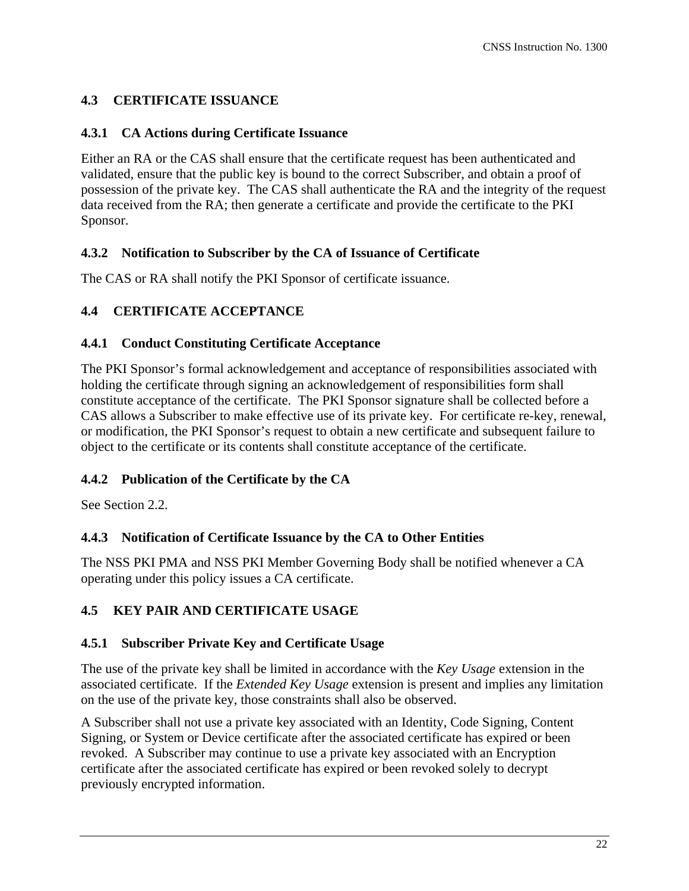# <span id="page-31-0"></span>**4.3 CERTIFICATE ISSUANCE**

### **4.3.1 CA Actions during Certificate Issuance**

Either an RA or the CAS shall ensure that the certificate request has been authenticated and validated, ensure that the public key is bound to the correct Subscriber, and obtain a proof of possession of the private key. The CAS shall authenticate the RA and the integrity of the request data received from the RA; then generate a certificate and provide the certificate to the PKI Sponsor.

### **4.3.2 Notification to Subscriber by the CA of Issuance of Certificate**

The CAS or RA shall notify the PKI Sponsor of certificate issuance.

### **4.4 CERTIFICATE ACCEPTANCE**

### **4.4.1 Conduct Constituting Certificate Acceptance**

The PKI Sponsor's formal acknowledgement and acceptance of responsibilities associated with holding the certificate through signing an acknowledgement of responsibilities form shall constitute acceptance of the certificate. The PKI Sponsor signature shall be collected before a CAS allows a Subscriber to make effective use of its private key. For certificate re-key, renewal, or modification, the PKI Sponsor's request to obtain a new certificate and subsequent failure to object to the certificate or its contents shall constitute acceptance of the certificate.

# **4.4.2 Publication of the Certificate by the CA**

See Section [2.2](#page-21-1).

#### **4.4.3 Notification of Certificate Issuance by the CA to Other Entities**

The NSS PKI PMA and NSS PKI Member Governing Body shall be notified whenever a CA operating under this policy issues a CA certificate.

# **4.5 KEY PAIR AND CERTIFICATE USAGE**

#### **4.5.1 Subscriber Private Key and Certificate Usage**

The use of the private key shall be limited in accordance with the *Key Usage* extension in the associated certificate. If the *Extended Key Usage* extension is present and implies any limitation on the use of the private key, those constraints shall also be observed.

A Subscriber shall not use a private key associated with an Identity, Code Signing, Content Signing, or System or Device certificate after the associated certificate has expired or been revoked. A Subscriber may continue to use a private key associated with an Encryption certificate after the associated certificate has expired or been revoked solely to decrypt previously encrypted information.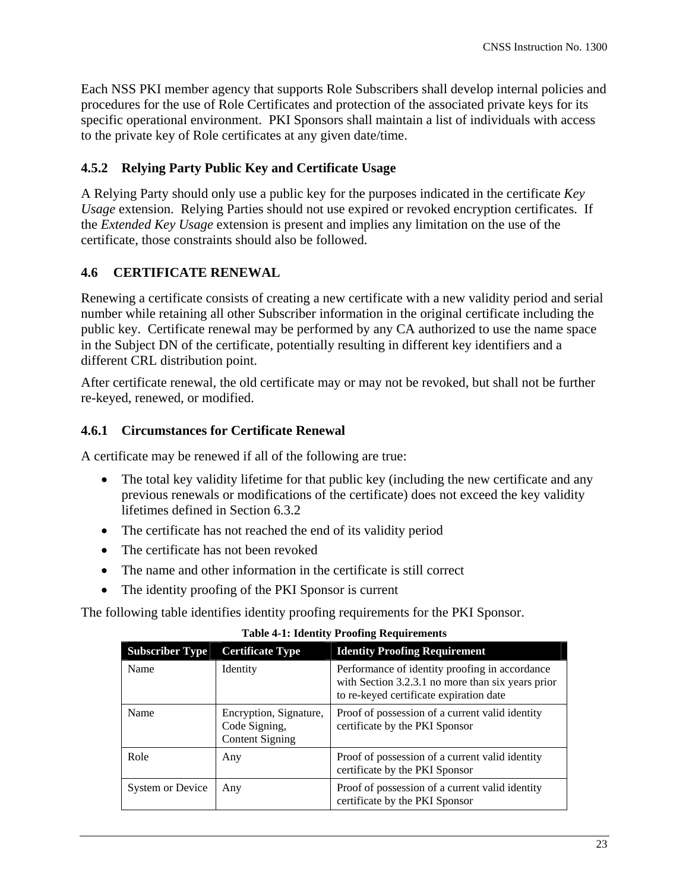<span id="page-32-0"></span>Each NSS PKI member agency that supports Role Subscribers shall develop internal policies and procedures for the use of Role Certificates and protection of the associated private keys for its specific operational environment. PKI Sponsors shall maintain a list of individuals with access to the private key of Role certificates at any given date/time.

# **4.5.2 Relying Party Public Key and Certificate Usage**

A Relying Party should only use a public key for the purposes indicated in the certificate *Key Usage* extension. Relying Parties should not use expired or revoked encryption certificates. If the *Extended Key Usage* extension is present and implies any limitation on the use of the certificate, those constraints should also be followed.

# **4.6 CERTIFICATE RENEWAL**

Renewing a certificate consists of creating a new certificate with a new validity period and serial number while retaining all other Subscriber information in the original certificate including the public key. Certificate renewal may be performed by any CA authorized to use the name space in the Subject DN of the certificate, potentially resulting in different key identifiers and a different CRL distribution point.

After certificate renewal, the old certificate may or may not be revoked, but shall not be further re-keyed, renewed, or modified.

# <span id="page-32-1"></span>**4.6.1 Circumstances for Certificate Renewal**

A certificate may be renewed if all of the following are true:

- The total key validity lifetime for that public key (including the new certificate and any previous renewals or modifications of the certificate) does not exceed the key validity lifetimes defined in Section [6.3.2](#page-71-1)
- The certificate has not reached the end of its validity period
- The certificate has not been revoked
- The name and other information in the certificate is still correct
- The identity proofing of the PKI Sponsor is current

The following table identifies identity proofing requirements for the PKI Sponsor.

| <b>Table 4-1: Identity Proofing Requirements</b> |  |  |
|--------------------------------------------------|--|--|
|--------------------------------------------------|--|--|

| <b>Subscriber Type</b>  | <b>Certificate Type</b>                                           | <b>Identity Proofing Requirement</b>                                                                                                           |
|-------------------------|-------------------------------------------------------------------|------------------------------------------------------------------------------------------------------------------------------------------------|
| Name                    | Identity                                                          | Performance of identity proofing in accordance<br>with Section 3.2.3.1 no more than six years prior<br>to re-keyed certificate expiration date |
| Name                    | Encryption, Signature,<br>Code Signing,<br><b>Content Signing</b> | Proof of possession of a current valid identity<br>certificate by the PKI Sponsor                                                              |
| Role                    | Any                                                               | Proof of possession of a current valid identity<br>certificate by the PKI Sponsor                                                              |
| <b>System or Device</b> | Any                                                               | Proof of possession of a current valid identity<br>certificate by the PKI Sponsor                                                              |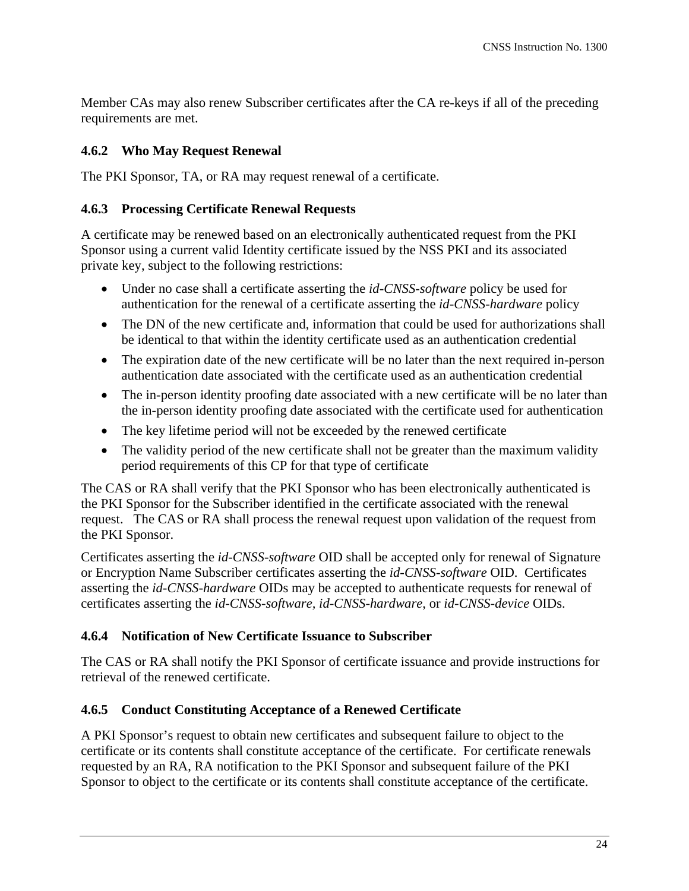<span id="page-33-0"></span>Member CAs may also renew Subscriber certificates after the CA re-keys if all of the preceding requirements are met.

# **4.6.2 Who May Request Renewal**

The PKI Sponsor, TA, or RA may request renewal of a certificate.

# **4.6.3 Processing Certificate Renewal Requests**

A certificate may be renewed based on an electronically authenticated request from the PKI Sponsor using a current valid Identity certificate issued by the NSS PKI and its associated private key, subject to the following restrictions:

- Under no case shall a certificate asserting the *id-CNSS-software* policy be used for authentication for the renewal of a certificate asserting the *id-CNSS-hardware* policy
- The DN of the new certificate and, information that could be used for authorizations shall be identical to that within the identity certificate used as an authentication credential
- The expiration date of the new certificate will be no later than the next required in-person authentication date associated with the certificate used as an authentication credential
- The in-person identity proofing date associated with a new certificate will be no later than the in-person identity proofing date associated with the certificate used for authentication
- The key lifetime period will not be exceeded by the renewed certificate
- The validity period of the new certificate shall not be greater than the maximum validity period requirements of this CP for that type of certificate

The CAS or RA shall verify that the PKI Sponsor who has been electronically authenticated is the PKI Sponsor for the Subscriber identified in the certificate associated with the renewal request. The CAS or RA shall process the renewal request upon validation of the request from the PKI Sponsor.

Certificates asserting the *id-CNSS-software* OID shall be accepted only for renewal of Signature or Encryption Name Subscriber certificates asserting the *id-CNSS-software* OID. Certificates asserting the *id-CNSS-hardware* OIDs may be accepted to authenticate requests for renewal of certificates asserting the *id-CNSS-software, id-CNSS-hardware*, or *id-CNSS-device* OIDs.

# **4.6.4 Notification of New Certificate Issuance to Subscriber**

The CAS or RA shall notify the PKI Sponsor of certificate issuance and provide instructions for retrieval of the renewed certificate.

#### **4.6.5 Conduct Constituting Acceptance of a Renewed Certificate**

A PKI Sponsor's request to obtain new certificates and subsequent failure to object to the certificate or its contents shall constitute acceptance of the certificate. For certificate renewals requested by an RA, RA notification to the PKI Sponsor and subsequent failure of the PKI Sponsor to object to the certificate or its contents shall constitute acceptance of the certificate.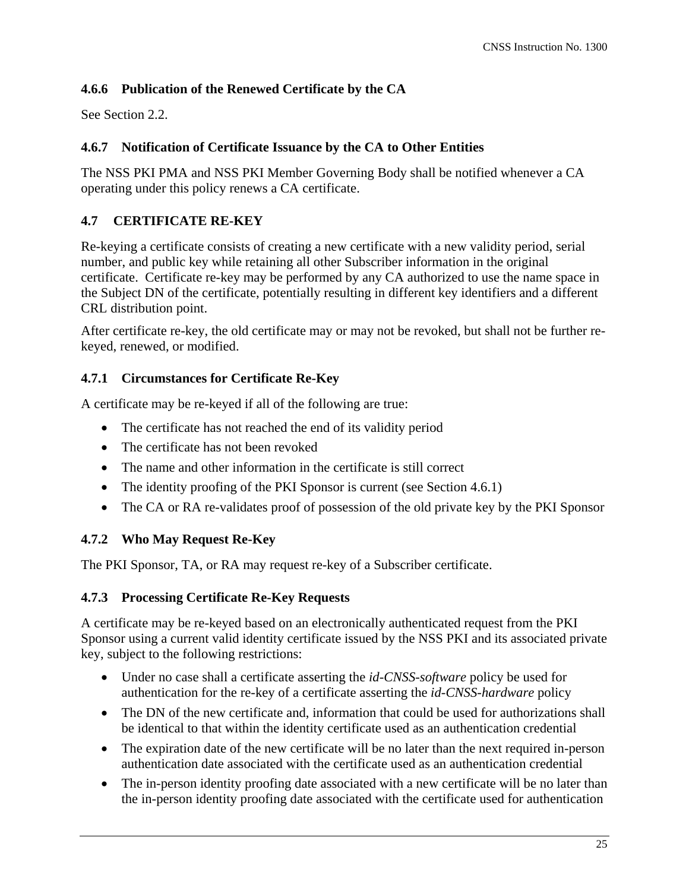# <span id="page-34-0"></span>**4.6.6 Publication of the Renewed Certificate by the CA**

See Section [2.2](#page-21-1).

### **4.6.7 Notification of Certificate Issuance by the CA to Other Entities**

The NSS PKI PMA and NSS PKI Member Governing Body shall be notified whenever a CA operating under this policy renews a CA certificate.

# <span id="page-34-1"></span>**4.7 CERTIFICATE RE-KEY**

Re-keying a certificate consists of creating a new certificate with a new validity period, serial number, and public key while retaining all other Subscriber information in the original certificate. Certificate re-key may be performed by any CA authorized to use the name space in the Subject DN of the certificate, potentially resulting in different key identifiers and a different CRL distribution point.

After certificate re-key, the old certificate may or may not be revoked, but shall not be further rekeyed, renewed, or modified.

# **4.7.1 Circumstances for Certificate Re-Key**

A certificate may be re-keyed if all of the following are true:

- The certificate has not reached the end of its validity period
- The certificate has not been revoked
- The name and other information in the certificate is still correct
- The identity proofing of the PKI Sponsor is current (see Section [4.6.1](#page-32-1))
- The CA or RA re-validates proof of possession of the old private key by the PKI Sponsor

# **4.7.2 Who May Request Re-Key**

The PKI Sponsor, TA, or RA may request re-key of a Subscriber certificate.

# **4.7.3 Processing Certificate Re-Key Requests**

A certificate may be re-keyed based on an electronically authenticated request from the PKI Sponsor using a current valid identity certificate issued by the NSS PKI and its associated private key, subject to the following restrictions:

- Under no case shall a certificate asserting the *id-CNSS-software* policy be used for authentication for the re-key of a certificate asserting the *id-CNSS-hardware* policy
- The DN of the new certificate and, information that could be used for authorizations shall be identical to that within the identity certificate used as an authentication credential
- The expiration date of the new certificate will be no later than the next required in-person authentication date associated with the certificate used as an authentication credential
- The in-person identity proofing date associated with a new certificate will be no later than the in-person identity proofing date associated with the certificate used for authentication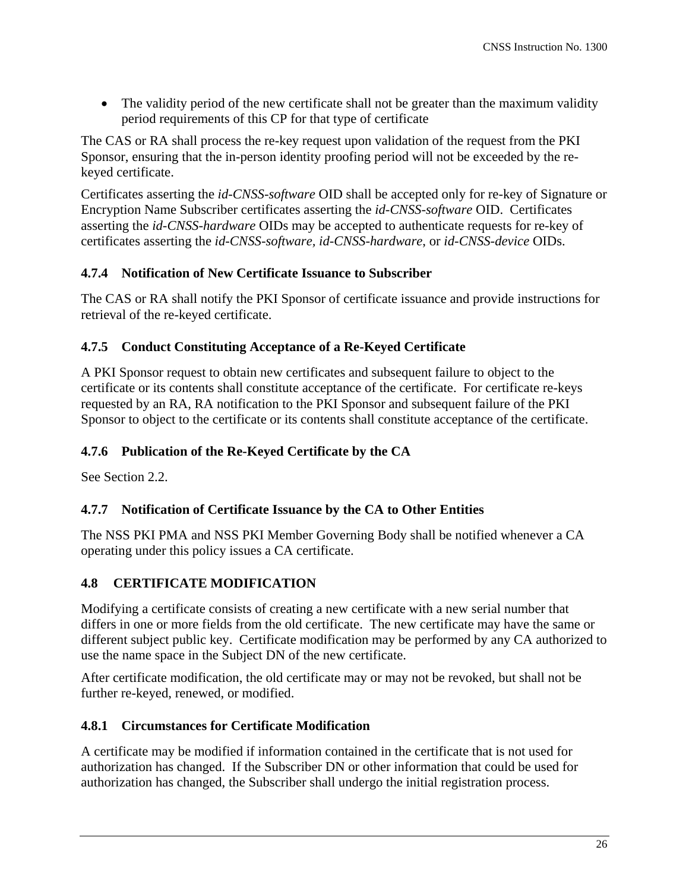<span id="page-35-0"></span>• The validity period of the new certificate shall not be greater than the maximum validity period requirements of this CP for that type of certificate

The CAS or RA shall process the re-key request upon validation of the request from the PKI Sponsor, ensuring that the in-person identity proofing period will not be exceeded by the rekeyed certificate.

Certificates asserting the *id-CNSS-software* OID shall be accepted only for re-key of Signature or Encryption Name Subscriber certificates asserting the *id-CNSS-software* OID. Certificates asserting the *id-CNSS-hardware* OIDs may be accepted to authenticate requests for re-key of certificates asserting the *id-CNSS-software, id-CNSS-hardware*, or *id-CNSS-device* OIDs.

# **4.7.4 Notification of New Certificate Issuance to Subscriber**

The CAS or RA shall notify the PKI Sponsor of certificate issuance and provide instructions for retrieval of the re-keyed certificate.

# **4.7.5 Conduct Constituting Acceptance of a Re-Keyed Certificate**

A PKI Sponsor request to obtain new certificates and subsequent failure to object to the certificate or its contents shall constitute acceptance of the certificate. For certificate re-keys requested by an RA, RA notification to the PKI Sponsor and subsequent failure of the PKI Sponsor to object to the certificate or its contents shall constitute acceptance of the certificate.

# **4.7.6 Publication of the Re-Keyed Certificate by the CA**

See Section [2.2](#page-21-1).

# **4.7.7 Notification of Certificate Issuance by the CA to Other Entities**

The NSS PKI PMA and NSS PKI Member Governing Body shall be notified whenever a CA operating under this policy issues a CA certificate.

# **4.8 CERTIFICATE MODIFICATION**

Modifying a certificate consists of creating a new certificate with a new serial number that differs in one or more fields from the old certificate. The new certificate may have the same or different subject public key. Certificate modification may be performed by any CA authorized to use the name space in the Subject DN of the new certificate.

After certificate modification, the old certificate may or may not be revoked, but shall not be further re-keyed, renewed, or modified.

#### **4.8.1 Circumstances for Certificate Modification**

A certificate may be modified if information contained in the certificate that is not used for authorization has changed. If the Subscriber DN or other information that could be used for authorization has changed, the Subscriber shall undergo the initial registration process.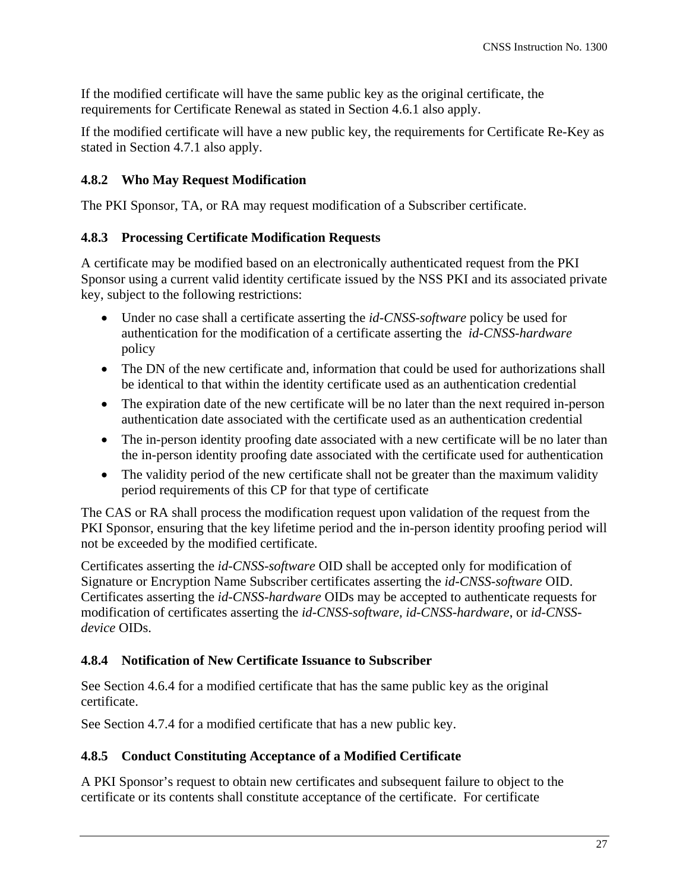If the modified certificate will have the same public key as the original certificate, the requirements for Certificate Renewal as stated in Section [4.6.1](#page-32-0) also apply.

If the modified certificate will have a new public key, the requirements for Certificate Re-Key as stated in Section [4.7.1](#page-34-0) also apply.

# **4.8.2 Who May Request Modification**

The PKI Sponsor, TA, or RA may request modification of a Subscriber certificate.

# **4.8.3 Processing Certificate Modification Requests**

A certificate may be modified based on an electronically authenticated request from the PKI Sponsor using a current valid identity certificate issued by the NSS PKI and its associated private key, subject to the following restrictions:

- Under no case shall a certificate asserting the *id-CNSS-software* policy be used for authentication for the modification of a certificate asserting the *id-CNSS-hardware* policy
- The DN of the new certificate and, information that could be used for authorizations shall be identical to that within the identity certificate used as an authentication credential
- The expiration date of the new certificate will be no later than the next required in-person authentication date associated with the certificate used as an authentication credential
- The in-person identity proofing date associated with a new certificate will be no later than the in-person identity proofing date associated with the certificate used for authentication
- The validity period of the new certificate shall not be greater than the maximum validity period requirements of this CP for that type of certificate

The CAS or RA shall process the modification request upon validation of the request from the PKI Sponsor, ensuring that the key lifetime period and the in-person identity proofing period will not be exceeded by the modified certificate.

Certificates asserting the *id-CNSS-software* OID shall be accepted only for modification of Signature or Encryption Name Subscriber certificates asserting the *id-CNSS-software* OID. Certificates asserting the *id-CNSS-hardware* OIDs may be accepted to authenticate requests for modification of certificates asserting the *id-CNSS-software, id-CNSS-hardware*, or *id-CNSSdevice* OIDs.

# **4.8.4 Notification of New Certificate Issuance to Subscriber**

See Section [4.6.4](#page-33-0) for a modified certificate that has the same public key as the original certificate.

See Section [4.7.4](#page-35-0) for a modified certificate that has a new public key.

#### **4.8.5 Conduct Constituting Acceptance of a Modified Certificate**

A PKI Sponsor's request to obtain new certificates and subsequent failure to object to the certificate or its contents shall constitute acceptance of the certificate. For certificate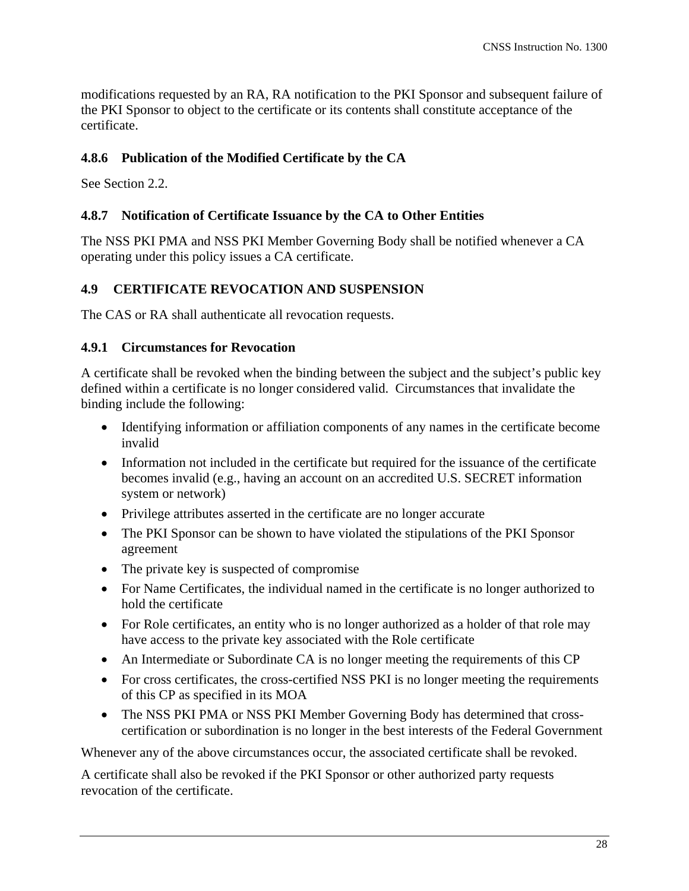modifications requested by an RA, RA notification to the PKI Sponsor and subsequent failure of the PKI Sponsor to object to the certificate or its contents shall constitute acceptance of the certificate.

#### **4.8.6 Publication of the Modified Certificate by the CA**

See Section [2.2](#page-21-0).

#### **4.8.7 Notification of Certificate Issuance by the CA to Other Entities**

The NSS PKI PMA and NSS PKI Member Governing Body shall be notified whenever a CA operating under this policy issues a CA certificate.

#### **4.9 CERTIFICATE REVOCATION AND SUSPENSION**

The CAS or RA shall authenticate all revocation requests.

#### **4.9.1 Circumstances for Revocation**

A certificate shall be revoked when the binding between the subject and the subject's public key defined within a certificate is no longer considered valid. Circumstances that invalidate the binding include the following:

- Identifying information or affiliation components of any names in the certificate become invalid
- Information not included in the certificate but required for the issuance of the certificate becomes invalid (e.g., having an account on an accredited U.S. SECRET information system or network)
- Privilege attributes asserted in the certificate are no longer accurate
- The PKI Sponsor can be shown to have violated the stipulations of the PKI Sponsor agreement
- The private key is suspected of compromise
- For Name Certificates, the individual named in the certificate is no longer authorized to hold the certificate
- For Role certificates, an entity who is no longer authorized as a holder of that role may have access to the private key associated with the Role certificate
- An Intermediate or Subordinate CA is no longer meeting the requirements of this CP
- For cross certificates, the cross-certified NSS PKI is no longer meeting the requirements of this CP as specified in its MOA
- The NSS PKI PMA or NSS PKI Member Governing Body has determined that crosscertification or subordination is no longer in the best interests of the Federal Government

Whenever any of the above circumstances occur, the associated certificate shall be revoked.

A certificate shall also be revoked if the PKI Sponsor or other authorized party requests revocation of the certificate.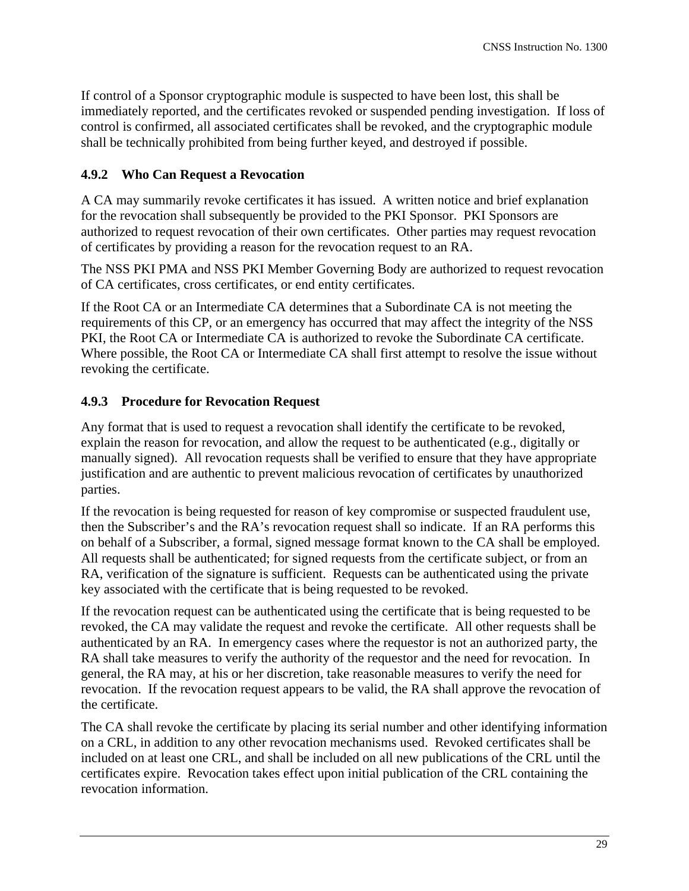If control of a Sponsor cryptographic module is suspected to have been lost, this shall be immediately reported, and the certificates revoked or suspended pending investigation. If loss of control is confirmed, all associated certificates shall be revoked, and the cryptographic module shall be technically prohibited from being further keyed, and destroyed if possible.

# **4.9.2 Who Can Request a Revocation**

A CA may summarily revoke certificates it has issued. A written notice and brief explanation for the revocation shall subsequently be provided to the PKI Sponsor. PKI Sponsors are authorized to request revocation of their own certificates. Other parties may request revocation of certificates by providing a reason for the revocation request to an RA.

The NSS PKI PMA and NSS PKI Member Governing Body are authorized to request revocation of CA certificates, cross certificates, or end entity certificates.

If the Root CA or an Intermediate CA determines that a Subordinate CA is not meeting the requirements of this CP, or an emergency has occurred that may affect the integrity of the NSS PKI, the Root CA or Intermediate CA is authorized to revoke the Subordinate CA certificate. Where possible, the Root CA or Intermediate CA shall first attempt to resolve the issue without revoking the certificate.

# <span id="page-38-0"></span>**4.9.3 Procedure for Revocation Request**

Any format that is used to request a revocation shall identify the certificate to be revoked, explain the reason for revocation, and allow the request to be authenticated (e.g., digitally or manually signed). All revocation requests shall be verified to ensure that they have appropriate justification and are authentic to prevent malicious revocation of certificates by unauthorized parties.

If the revocation is being requested for reason of key compromise or suspected fraudulent use, then the Subscriber's and the RA's revocation request shall so indicate. If an RA performs this on behalf of a Subscriber, a formal, signed message format known to the CA shall be employed. All requests shall be authenticated; for signed requests from the certificate subject, or from an RA, verification of the signature is sufficient. Requests can be authenticated using the private key associated with the certificate that is being requested to be revoked.

If the revocation request can be authenticated using the certificate that is being requested to be revoked, the CA may validate the request and revoke the certificate. All other requests shall be authenticated by an RA. In emergency cases where the requestor is not an authorized party, the RA shall take measures to verify the authority of the requestor and the need for revocation. In general, the RA may, at his or her discretion, take reasonable measures to verify the need for revocation. If the revocation request appears to be valid, the RA shall approve the revocation of the certificate.

The CA shall revoke the certificate by placing its serial number and other identifying information on a CRL, in addition to any other revocation mechanisms used. Revoked certificates shall be included on at least one CRL, and shall be included on all new publications of the CRL until the certificates expire. Revocation takes effect upon initial publication of the CRL containing the revocation information.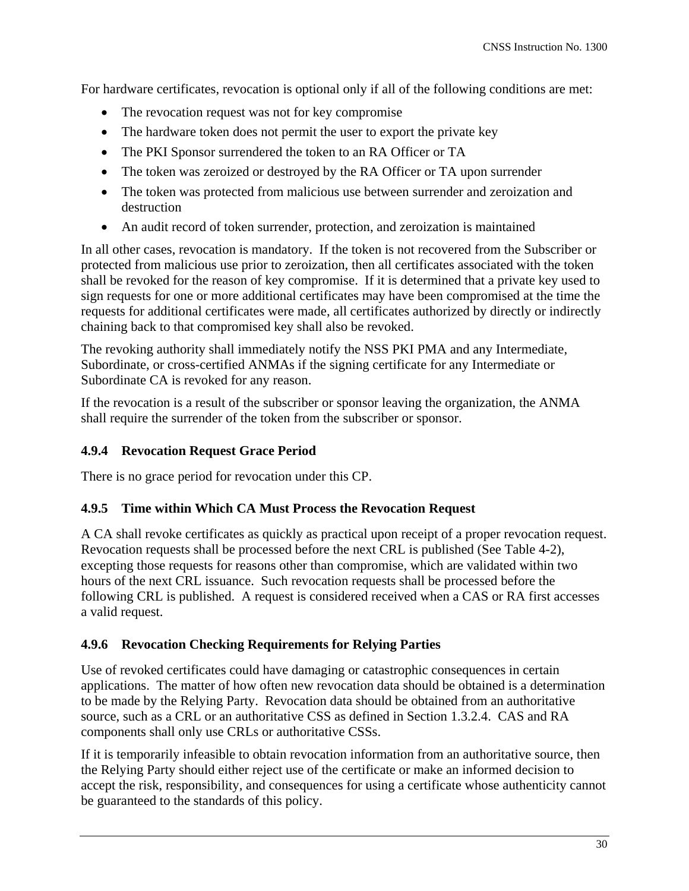For hardware certificates, revocation is optional only if all of the following conditions are met:

- The revocation request was not for key compromise
- The hardware token does not permit the user to export the private key
- The PKI Sponsor surrendered the token to an RA Officer or TA
- The token was zeroized or destroyed by the RA Officer or TA upon surrender
- The token was protected from malicious use between surrender and zeroization and destruction
- An audit record of token surrender, protection, and zeroization is maintained

In all other cases, revocation is mandatory. If the token is not recovered from the Subscriber or protected from malicious use prior to zeroization, then all certificates associated with the token shall be revoked for the reason of key compromise. If it is determined that a private key used to sign requests for one or more additional certificates may have been compromised at the time the requests for additional certificates were made, all certificates authorized by directly or indirectly chaining back to that compromised key shall also be revoked.

The revoking authority shall immediately notify the NSS PKI PMA and any Intermediate, Subordinate, or cross-certified ANMAs if the signing certificate for any Intermediate or Subordinate CA is revoked for any reason.

If the revocation is a result of the subscriber or sponsor leaving the organization, the ANMA shall require the surrender of the token from the subscriber or sponsor.

# **4.9.4 Revocation Request Grace Period**

There is no grace period for revocation under this CP.

#### **4.9.5 Time within Which CA Must Process the Revocation Request**

A CA shall revoke certificates as quickly as practical upon receipt of a proper revocation request. Revocation requests shall be processed before the next CRL is published (See Table 4-2[\),](#page-40-0)  [excepting those requests for reasons other than compromise, which are validated within two](#page-40-0)  [hours of the next CRL issuance. Such revocation requests shall be processed before the](#page-40-0)  [following CRL is published. A request is considered received when a CAS or RA first accesses](#page-40-0)  [a valid request.](#page-40-0) 

#### **4.9.6 Revocation Checking Requirements for Relying Parties**

Use of revoked certificates could have damaging or catastrophic consequences in certain applications. The matter of how often new revocation data should be obtained is a determination to be made by the Relying Party. Revocation data should be obtained from an authoritative source, such as a CRL or an authoritative CSS as defined in Section [1.3.2.4.](#page-15-0) CAS and RA components shall only use CRLs or authoritative CSSs.

If it is temporarily infeasible to obtain revocation information from an authoritative source, then the Relying Party should either reject use of the certificate or make an informed decision to accept the risk, responsibility, and consequences for using a certificate whose authenticity cannot be guaranteed to the standards of this policy.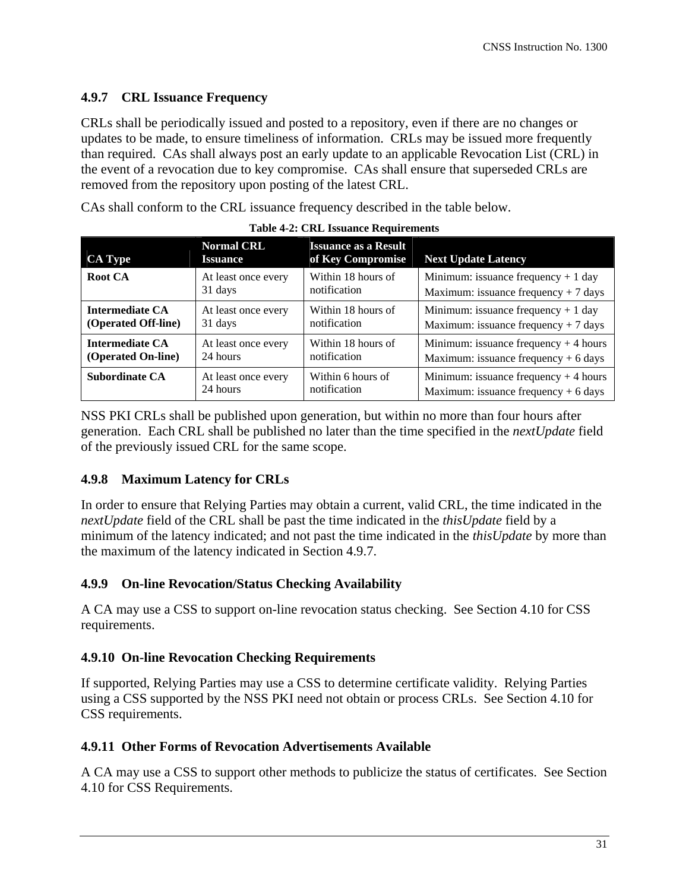# <span id="page-40-1"></span>**4.9.7 CRL Issuance Frequency**

CRLs shall be periodically issued and posted to a repository, even if there are no changes or updates to be made, to ensure timeliness of information. CRLs may be issued more frequently than required. CAs shall always post an early update to an applicable Revocation List (CRL) in the event of a revocation due to key compromise. CAs shall ensure that superseded CRLs are removed from the repository upon posting of the latest CRL.

CAs shall conform to the CRL issuance frequency described in the table below.

<span id="page-40-0"></span>

| <b>CA Type</b>         | <b>Normal CRL</b><br><b>Issuance</b> | <b>Issuance as a Result</b><br>of Key Compromise | <b>Next Update Latency</b>             |
|------------------------|--------------------------------------|--------------------------------------------------|----------------------------------------|
| Root CA                | At least once every                  | Within 18 hours of                               | Minimum: issuance frequency $+1$ day   |
|                        | 31 days                              | notification                                     | Maximum: issuance frequency $+7$ days  |
| <b>Intermediate CA</b> | At least once every                  | Within 18 hours of                               | Minimum: issuance frequency $+1$ day   |
| (Operated Off-line)    | 31 days                              | notification                                     | Maximum: issuance frequency $+7$ days  |
| <b>Intermediate CA</b> | At least once every                  | Within 18 hours of                               | Minimum: issuance frequency $+4$ hours |
| (Operated On-line)     | 24 hours                             | notification                                     | Maximum: issuance frequency $+ 6$ days |
| <b>Subordinate CA</b>  | At least once every                  | Within 6 hours of                                | Minimum: issuance frequency $+4$ hours |
|                        | 24 hours                             | notification                                     | Maximum: issuance frequency $+ 6$ days |

NSS PKI CRLs shall be published upon generation, but within no more than four hours after generation. Each CRL shall be published no later than the time specified in the *nextUpdate* field of the previously issued CRL for the same scope.

# **4.9.8 Maximum Latency for CRLs**

In order to ensure that Relying Parties may obtain a current, valid CRL, the time indicated in the *nextUpdate* field of the CRL shall be past the time indicated in the *thisUpdate* field by a minimum of the latency indicated; and not past the time indicated in the *thisUpdate* by more than the maximum of the latency indicated in Section [4.9.7.](#page-40-1)

# **4.9.9 On-line Revocation/Status Checking Availability**

A CA may use a CSS to support on-line revocation status checking. See Section [4.10](#page-42-0) for CSS requirements.

# **4.9.10 On-line Revocation Checking Requirements**

If supported, Relying Parties may use a CSS to determine certificate validity. Relying Parties using a CSS supported by the NSS PKI need not obtain or process CRLs. See Section [4.10](#page-42-0) for CSS requirements.

#### **4.9.11 Other Forms of Revocation Advertisements Available**

A CA may use a CSS to support other methods to publicize the status of certificates. See Section [4.10](#page-42-0) for CSS Requirements.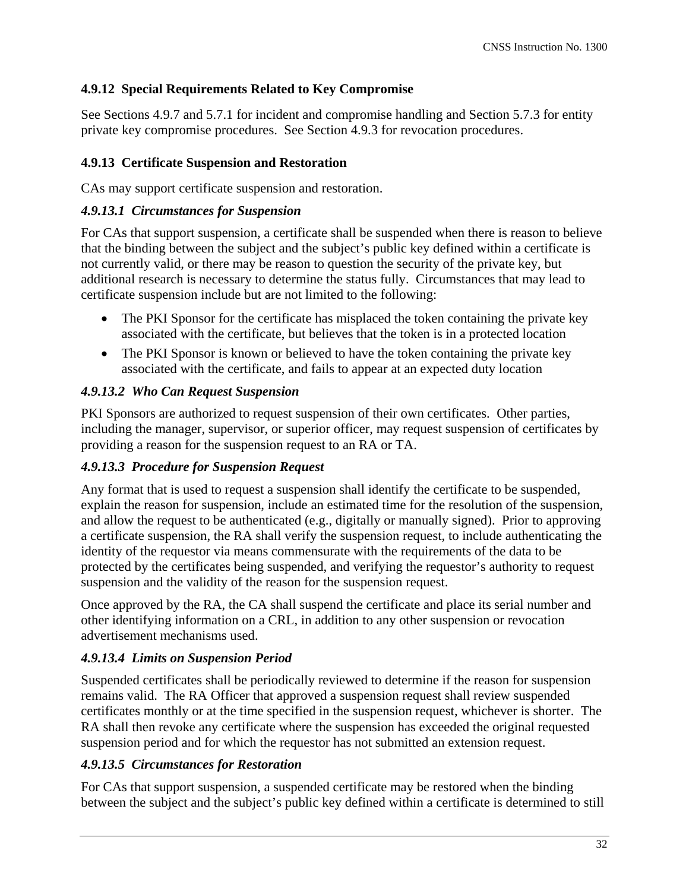# **4.9.12 Special Requirements Related to Key Compromise**

See Sections [4.9.7](#page-40-1) and [5.7.1](#page-61-0) for incident and compromise handling and Section [5.7.3](#page-62-0) for entity private key compromise procedures. See Section [4.9.3](#page-38-0) for revocation procedures.

### **4.9.13 Certificate Suspension and Restoration**

CAs may support certificate suspension and restoration.

### *4.9.13.1 Circumstances for Suspension*

For CAs that support suspension, a certificate shall be suspended when there is reason to believe that the binding between the subject and the subject's public key defined within a certificate is not currently valid, or there may be reason to question the security of the private key, but additional research is necessary to determine the status fully. Circumstances that may lead to certificate suspension include but are not limited to the following:

- The PKI Sponsor for the certificate has misplaced the token containing the private key associated with the certificate, but believes that the token is in a protected location
- The PKI Sponsor is known or believed to have the token containing the private key associated with the certificate, and fails to appear at an expected duty location

# *4.9.13.2 Who Can Request Suspension*

PKI Sponsors are authorized to request suspension of their own certificates. Other parties, including the manager, supervisor, or superior officer, may request suspension of certificates by providing a reason for the suspension request to an RA or TA.

# *4.9.13.3 Procedure for Suspension Request*

Any format that is used to request a suspension shall identify the certificate to be suspended, explain the reason for suspension, include an estimated time for the resolution of the suspension, and allow the request to be authenticated (e.g., digitally or manually signed). Prior to approving a certificate suspension, the RA shall verify the suspension request, to include authenticating the identity of the requestor via means commensurate with the requirements of the data to be protected by the certificates being suspended, and verifying the requestor's authority to request suspension and the validity of the reason for the suspension request.

Once approved by the RA, the CA shall suspend the certificate and place its serial number and other identifying information on a CRL, in addition to any other suspension or revocation advertisement mechanisms used.

# *4.9.13.4 Limits on Suspension Period*

Suspended certificates shall be periodically reviewed to determine if the reason for suspension remains valid. The RA Officer that approved a suspension request shall review suspended certificates monthly or at the time specified in the suspension request, whichever is shorter. The RA shall then revoke any certificate where the suspension has exceeded the original requested suspension period and for which the requestor has not submitted an extension request.

# *4.9.13.5 Circumstances for Restoration*

For CAs that support suspension, a suspended certificate may be restored when the binding between the subject and the subject's public key defined within a certificate is determined to still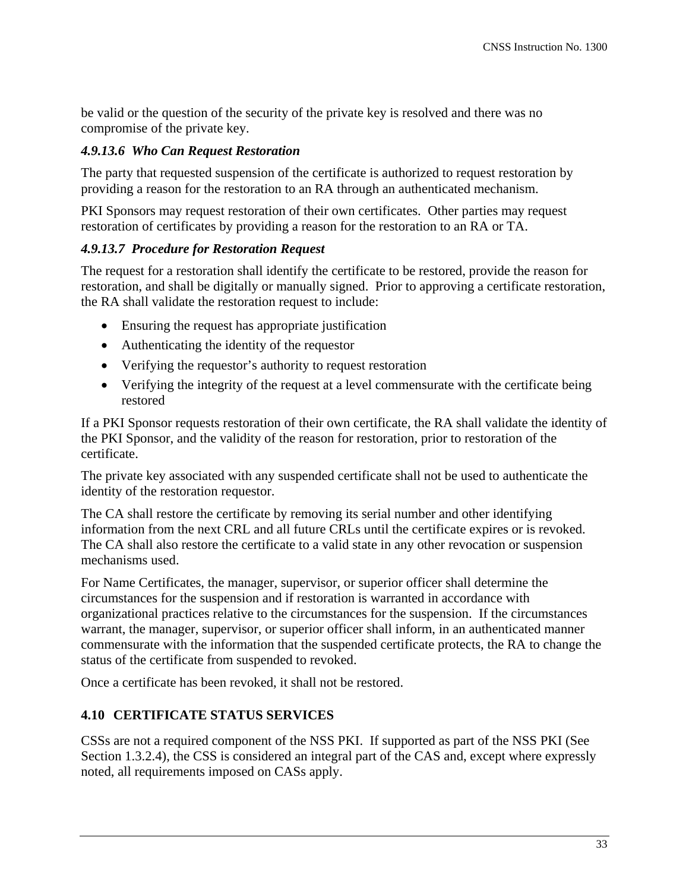be valid or the question of the security of the private key is resolved and there was no compromise of the private key.

#### *4.9.13.6 Who Can Request Restoration*

The party that requested suspension of the certificate is authorized to request restoration by providing a reason for the restoration to an RA through an authenticated mechanism.

PKI Sponsors may request restoration of their own certificates. Other parties may request restoration of certificates by providing a reason for the restoration to an RA or TA.

#### *4.9.13.7 Procedure for Restoration Request*

The request for a restoration shall identify the certificate to be restored, provide the reason for restoration, and shall be digitally or manually signed. Prior to approving a certificate restoration, the RA shall validate the restoration request to include:

- Ensuring the request has appropriate justification
- Authenticating the identity of the requestor
- Verifying the requestor's authority to request restoration
- Verifying the integrity of the request at a level commensurate with the certificate being restored

If a PKI Sponsor requests restoration of their own certificate, the RA shall validate the identity of the PKI Sponsor, and the validity of the reason for restoration, prior to restoration of the certificate.

The private key associated with any suspended certificate shall not be used to authenticate the identity of the restoration requestor.

The CA shall restore the certificate by removing its serial number and other identifying information from the next CRL and all future CRLs until the certificate expires or is revoked. The CA shall also restore the certificate to a valid state in any other revocation or suspension mechanisms used.

For Name Certificates, the manager, supervisor, or superior officer shall determine the circumstances for the suspension and if restoration is warranted in accordance with organizational practices relative to the circumstances for the suspension. If the circumstances warrant, the manager, supervisor, or superior officer shall inform, in an authenticated manner commensurate with the information that the suspended certificate protects, the RA to change the status of the certificate from suspended to revoked.

Once a certificate has been revoked, it shall not be restored.

#### <span id="page-42-0"></span>**4.10 CERTIFICATE STATUS SERVICES**

CSSs are not a required component of the NSS PKI. If supported as part of the NSS PKI (See Section [1.3.2.4](#page-15-0)), the CSS is considered an integral part of the CAS and, except where expressly noted, all requirements imposed on CASs apply.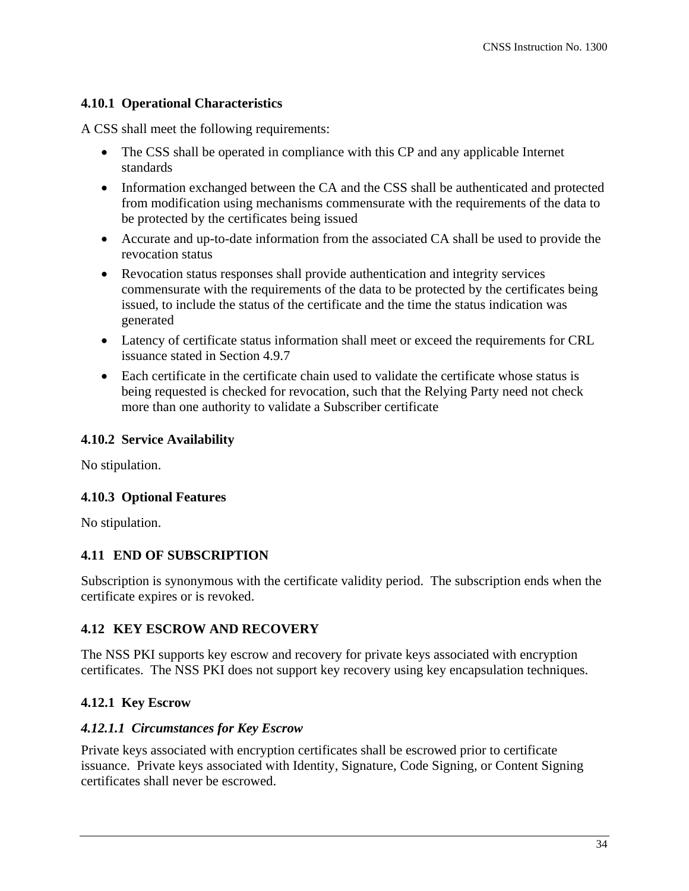# **4.10.1 Operational Characteristics**

A CSS shall meet the following requirements:

- The CSS shall be operated in compliance with this CP and any applicable Internet standards
- Information exchanged between the CA and the CSS shall be authenticated and protected from modification using mechanisms commensurate with the requirements of the data to be protected by the certificates being issued
- Accurate and up-to-date information from the associated CA shall be used to provide the revocation status
- Revocation status responses shall provide authentication and integrity services commensurate with the requirements of the data to be protected by the certificates being issued, to include the status of the certificate and the time the status indication was generated
- Latency of certificate status information shall meet or exceed the requirements for CRL issuance stated in Section [4.9.7](#page-40-1)
- Each certificate in the certificate chain used to validate the certificate whose status is being requested is checked for revocation, such that the Relying Party need not check more than one authority to validate a Subscriber certificate

# **4.10.2 Service Availability**

No stipulation.

# **4.10.3 Optional Features**

No stipulation.

# **4.11 END OF SUBSCRIPTION**

Subscription is synonymous with the certificate validity period. The subscription ends when the certificate expires or is revoked.

# **4.12 KEY ESCROW AND RECOVERY**

The NSS PKI supports key escrow and recovery for private keys associated with encryption certificates. The NSS PKI does not support key recovery using key encapsulation techniques.

# **4.12.1 Key Escrow**

# *4.12.1.1 Circumstances for Key Escrow*

Private keys associated with encryption certificates shall be escrowed prior to certificate issuance. Private keys associated with Identity, Signature, Code Signing, or Content Signing certificates shall never be escrowed.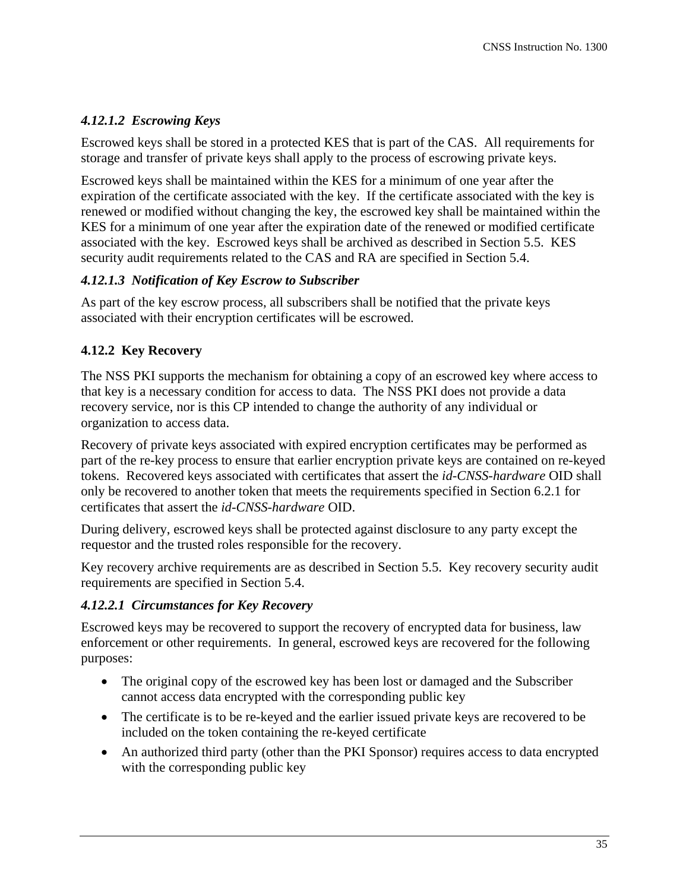# *4.12.1.2 Escrowing Keys*

Escrowed keys shall be stored in a protected KES that is part of the CAS. All requirements for storage and transfer of private keys shall apply to the process of escrowing private keys.

Escrowed keys shall be maintained within the KES for a minimum of one year after the expiration of the certificate associated with the key. If the certificate associated with the key is renewed or modified without changing the key, the escrowed key shall be maintained within the KES for a minimum of one year after the expiration date of the renewed or modified certificate associated with the key. Escrowed keys shall be archived as described in Section [5.5.](#page-59-0) KES security audit requirements related to the CAS and RA are specified in Section [5.4.](#page-55-0)

# *4.12.1.3 Notification of Key Escrow to Subscriber*

As part of the key escrow process, all subscribers shall be notified that the private keys associated with their encryption certificates will be escrowed.

# **4.12.2 Key Recovery**

The NSS PKI supports the mechanism for obtaining a copy of an escrowed key where access to that key is a necessary condition for access to data. The NSS PKI does not provide a data recovery service, nor is this CP intended to change the authority of any individual or organization to access data.

Recovery of private keys associated with expired encryption certificates may be performed as part of the re-key process to ensure that earlier encryption private keys are contained on re-keyed tokens. Recovered keys associated with certificates that assert the *id-CNSS-hardware* OID shall only be recovered to another token that meets the requirements specified in Section [6.2.1](#page-68-0) for certificates that assert the *id-CNSS-hardware* OID.

During delivery, escrowed keys shall be protected against disclosure to any party except the requestor and the trusted roles responsible for the recovery.

Key recovery archive requirements are as described in Section [5.5.](#page-59-0) Key recovery security audit requirements are specified in Section [5.4.](#page-55-0)

# *4.12.2.1 Circumstances for Key Recovery*

Escrowed keys may be recovered to support the recovery of encrypted data for business, law enforcement or other requirements. In general, escrowed keys are recovered for the following purposes:

- The original copy of the escrowed key has been lost or damaged and the Subscriber cannot access data encrypted with the corresponding public key
- The certificate is to be re-keyed and the earlier issued private keys are recovered to be included on the token containing the re-keyed certificate
- An authorized third party (other than the PKI Sponsor) requires access to data encrypted with the corresponding public key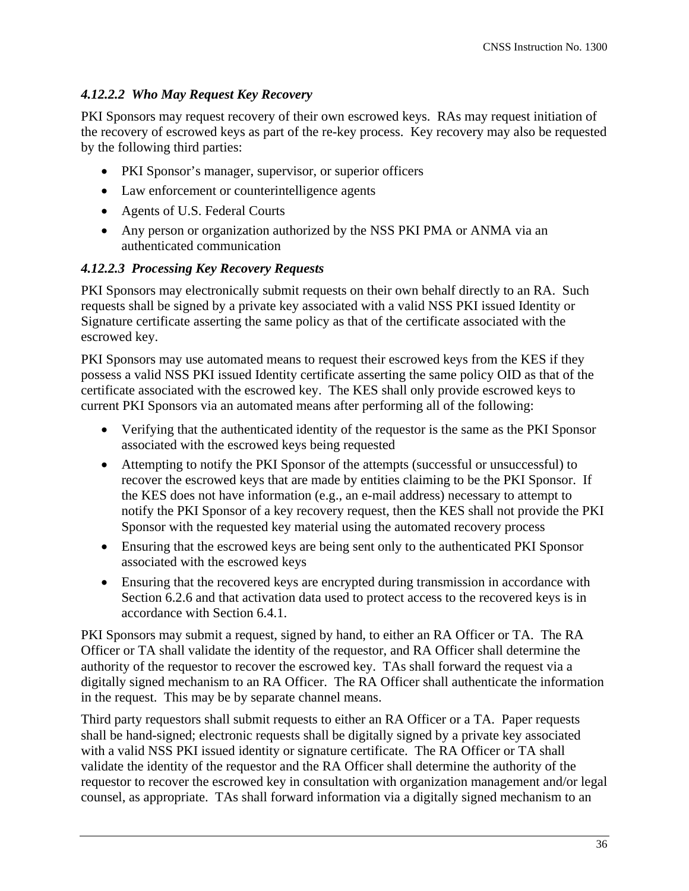# *4.12.2.2 Who May Request Key Recovery*

PKI Sponsors may request recovery of their own escrowed keys. RAs may request initiation of the recovery of escrowed keys as part of the re-key process. Key recovery may also be requested by the following third parties:

- PKI Sponsor's manager, supervisor, or superior officers
- Law enforcement or counterintelligence agents
- Agents of U.S. Federal Courts
- Any person or organization authorized by the NSS PKI PMA or ANMA via an authenticated communication

### *4.12.2.3 Processing Key Recovery Requests*

PKI Sponsors may electronically submit requests on their own behalf directly to an RA. Such requests shall be signed by a private key associated with a valid NSS PKI issued Identity or Signature certificate asserting the same policy as that of the certificate associated with the escrowed key.

PKI Sponsors may use automated means to request their escrowed keys from the KES if they possess a valid NSS PKI issued Identity certificate asserting the same policy OID as that of the certificate associated with the escrowed key. The KES shall only provide escrowed keys to current PKI Sponsors via an automated means after performing all of the following:

- Verifying that the authenticated identity of the requestor is the same as the PKI Sponsor associated with the escrowed keys being requested
- Attempting to notify the PKI Sponsor of the attempts (successful or unsuccessful) to recover the escrowed keys that are made by entities claiming to be the PKI Sponsor. If the KES does not have information (e.g., an e-mail address) necessary to attempt to notify the PKI Sponsor of a key recovery request, then the KES shall not provide the PKI Sponsor with the requested key material using the automated recovery process
- Ensuring that the escrowed keys are being sent only to the authenticated PKI Sponsor associated with the escrowed keys
- Ensuring that the recovered keys are encrypted during transmission in accordance with Section [6.2.6](#page-70-0) and that activation data used to protect access to the recovered keys is in accordance with Section [6.4.1](#page-72-0).

PKI Sponsors may submit a request, signed by hand, to either an RA Officer or TA. The RA Officer or TA shall validate the identity of the requestor, and RA Officer shall determine the authority of the requestor to recover the escrowed key. TAs shall forward the request via a digitally signed mechanism to an RA Officer. The RA Officer shall authenticate the information in the request. This may be by separate channel means.

Third party requestors shall submit requests to either an RA Officer or a TA. Paper requests shall be hand-signed; electronic requests shall be digitally signed by a private key associated with a valid NSS PKI issued identity or signature certificate. The RA Officer or TA shall validate the identity of the requestor and the RA Officer shall determine the authority of the requestor to recover the escrowed key in consultation with organization management and/or legal counsel, as appropriate. TAs shall forward information via a digitally signed mechanism to an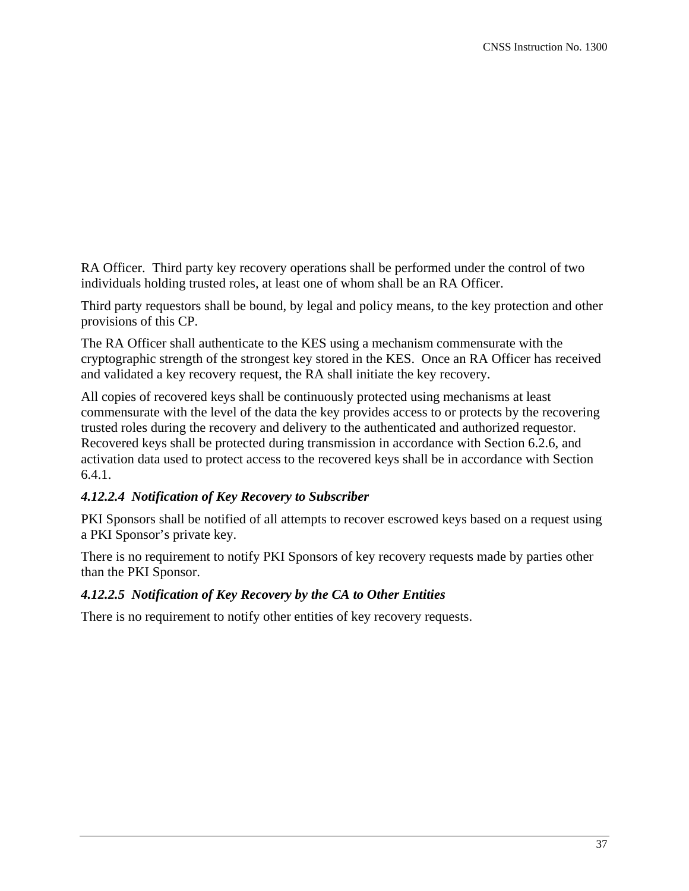RA Officer. Third party key recovery operations shall be performed under the control of two individuals holding trusted roles, at least one of whom shall be an RA Officer.

Third party requestors shall be bound, by legal and policy means, to the key protection and other provisions of this CP.

The RA Officer shall authenticate to the KES using a mechanism commensurate with the cryptographic strength of the strongest key stored in the KES. Once an RA Officer has received and validated a key recovery request, the RA shall initiate the key recovery.

All copies of recovered keys shall be continuously protected using mechanisms at least commensurate with the level of the data the key provides access to or protects by the recovering trusted roles during the recovery and delivery to the authenticated and authorized requestor. Recovered keys shall be protected during transmission in accordance with Section [6.2.6,](#page-70-0) and activation data used to protect access to the recovered keys shall be in accordance with Section [6.4.1.](#page-72-0)

#### *4.12.2.4 Notification of Key Recovery to Subscriber*

PKI Sponsors shall be notified of all attempts to recover escrowed keys based on a request using a PKI Sponsor's private key.

There is no requirement to notify PKI Sponsors of key recovery requests made by parties other than the PKI Sponsor.

#### *4.12.2.5 Notification of Key Recovery by the CA to Other Entities*

There is no requirement to notify other entities of key recovery requests.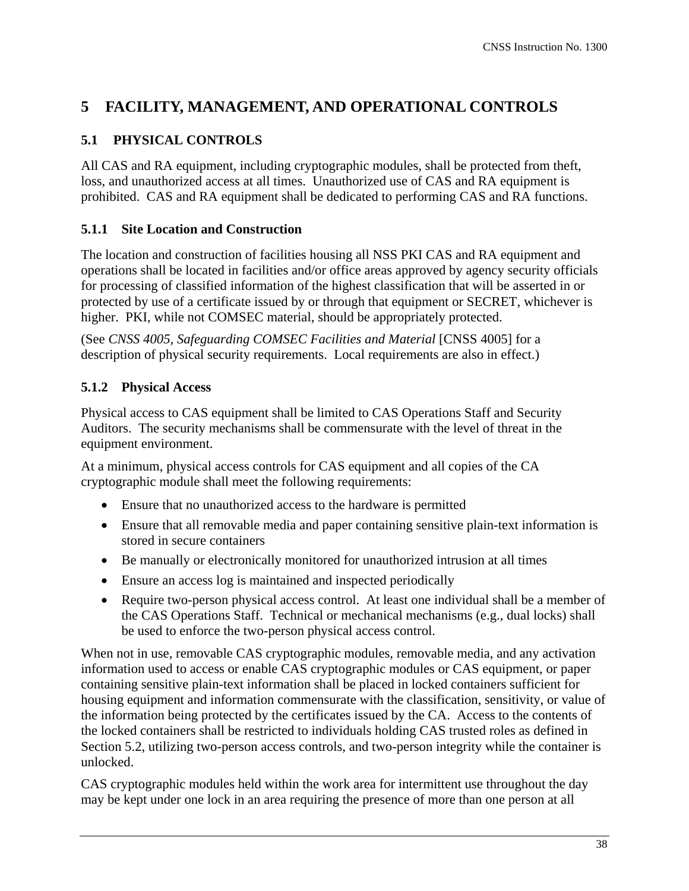# **5 FACILITY, MANAGEMENT, AND OPERATIONAL CONTROLS**

# **5.1 PHYSICAL CONTROLS**

All CAS and RA equipment, including cryptographic modules, shall be protected from theft, loss, and unauthorized access at all times. Unauthorized use of CAS and RA equipment is prohibited. CAS and RA equipment shall be dedicated to performing CAS and RA functions.

# **5.1.1 Site Location and Construction**

The location and construction of facilities housing all NSS PKI CAS and RA equipment and operations shall be located in facilities and/or office areas approved by agency security officials for processing of classified information of the highest classification that will be asserted in or protected by use of a certificate issued by or through that equipment or SECRET, whichever is higher. PKI, while not COMSEC material, should be appropriately protected.

(See *CNSS 4005, Safeguarding COMSEC Facilities and Material* [CNSS 4005] for a description of physical security requirements. Local requirements are also in effect.)

# <span id="page-47-0"></span>**5.1.2 Physical Access**

Physical access to CAS equipment shall be limited to CAS Operations Staff and Security Auditors. The security mechanisms shall be commensurate with the level of threat in the equipment environment.

At a minimum, physical access controls for CAS equipment and all copies of the CA cryptographic module shall meet the following requirements:

- Ensure that no unauthorized access to the hardware is permitted
- Ensure that all removable media and paper containing sensitive plain-text information is stored in secure containers
- Be manually or electronically monitored for unauthorized intrusion at all times
- Ensure an access log is maintained and inspected periodically
- Require two-person physical access control. At least one individual shall be a member of the CAS Operations Staff. Technical or mechanical mechanisms (e.g., dual locks) shall be used to enforce the two-person physical access control.

When not in use, removable CAS cryptographic modules, removable media, and any activation information used to access or enable CAS cryptographic modules or CAS equipment, or paper containing sensitive plain-text information shall be placed in locked containers sufficient for housing equipment and information commensurate with the classification, sensitivity, or value of the information being protected by the certificates issued by the CA. Access to the contents of the locked containers shall be restricted to individuals holding CAS trusted roles as defined in Section [5.2](#page-50-0), utilizing two-person access controls, and two-person integrity while the container is unlocked.

CAS cryptographic modules held within the work area for intermittent use throughout the day may be kept under one lock in an area requiring the presence of more than one person at all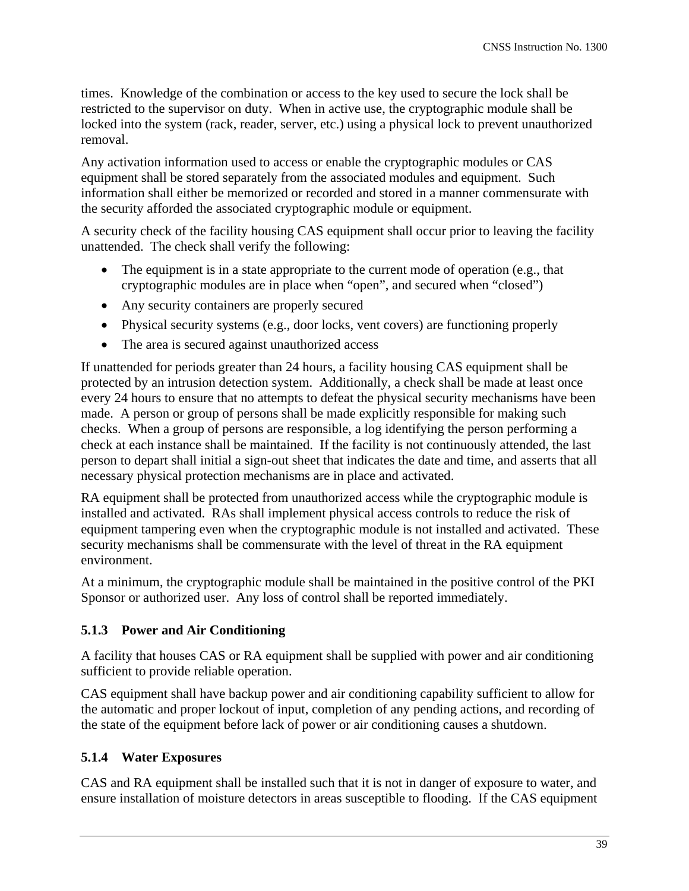times. Knowledge of the combination or access to the key used to secure the lock shall be restricted to the supervisor on duty. When in active use, the cryptographic module shall be locked into the system (rack, reader, server, etc.) using a physical lock to prevent unauthorized removal.

Any activation information used to access or enable the cryptographic modules or CAS equipment shall be stored separately from the associated modules and equipment. Such information shall either be memorized or recorded and stored in a manner commensurate with the security afforded the associated cryptographic module or equipment.

A security check of the facility housing CAS equipment shall occur prior to leaving the facility unattended. The check shall verify the following:

- The equipment is in a state appropriate to the current mode of operation (e.g., that cryptographic modules are in place when "open", and secured when "closed")
- Any security containers are properly secured
- Physical security systems (e.g., door locks, vent covers) are functioning properly
- The area is secured against unauthorized access

If unattended for periods greater than 24 hours, a facility housing CAS equipment shall be protected by an intrusion detection system. Additionally, a check shall be made at least once every 24 hours to ensure that no attempts to defeat the physical security mechanisms have been made. A person or group of persons shall be made explicitly responsible for making such checks. When a group of persons are responsible, a log identifying the person performing a check at each instance shall be maintained. If the facility is not continuously attended, the last person to depart shall initial a sign-out sheet that indicates the date and time, and asserts that all necessary physical protection mechanisms are in place and activated.

RA equipment shall be protected from unauthorized access while the cryptographic module is installed and activated. RAs shall implement physical access controls to reduce the risk of equipment tampering even when the cryptographic module is not installed and activated. These security mechanisms shall be commensurate with the level of threat in the RA equipment environment.

At a minimum, the cryptographic module shall be maintained in the positive control of the PKI Sponsor or authorized user. Any loss of control shall be reported immediately.

#### **5.1.3 Power and Air Conditioning**

A facility that houses CAS or RA equipment shall be supplied with power and air conditioning sufficient to provide reliable operation.

CAS equipment shall have backup power and air conditioning capability sufficient to allow for the automatic and proper lockout of input, completion of any pending actions, and recording of the state of the equipment before lack of power or air conditioning causes a shutdown.

# **5.1.4 Water Exposures**

CAS and RA equipment shall be installed such that it is not in danger of exposure to water, and ensure installation of moisture detectors in areas susceptible to flooding. If the CAS equipment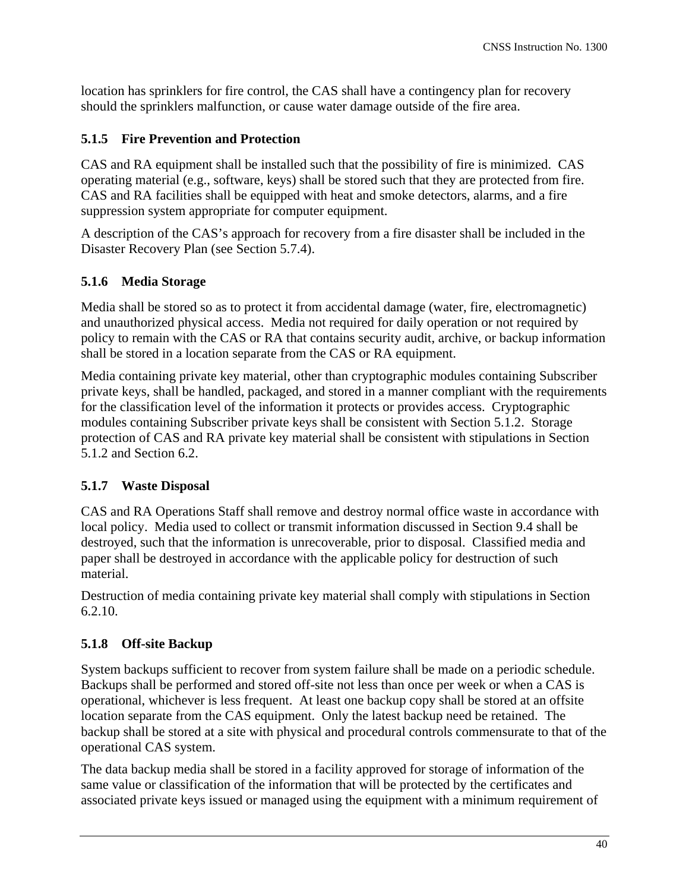location has sprinklers for fire control, the CAS shall have a contingency plan for recovery should the sprinklers malfunction, or cause water damage outside of the fire area.

# **5.1.5 Fire Prevention and Protection**

CAS and RA equipment shall be installed such that the possibility of fire is minimized. CAS operating material (e.g., software, keys) shall be stored such that they are protected from fire. CAS and RA facilities shall be equipped with heat and smoke detectors, alarms, and a fire suppression system appropriate for computer equipment.

A description of the CAS's approach for recovery from a fire disaster shall be included in the Disaster Recovery Plan (see Section [5.7.4\)](#page-64-0).

# <span id="page-49-0"></span>**5.1.6 Media Storage**

Media shall be stored so as to protect it from accidental damage (water, fire, electromagnetic) and unauthorized physical access. Media not required for daily operation or not required by policy to remain with the CAS or RA that contains security audit, archive, or backup information shall be stored in a location separate from the CAS or RA equipment.

Media containing private key material, other than cryptographic modules containing Subscriber private keys, shall be handled, packaged, and stored in a manner compliant with the requirements for the classification level of the information it protects or provides access. Cryptographic modules containing Subscriber private keys shall be consistent with Section [5.1.2](#page-47-0). Storage protection of CAS and RA private key material shall be consistent with stipulations in Section [5.1.2](#page-47-0) and Section [6.2](#page-68-1).

# **5.1.7 Waste Disposal**

CAS and RA Operations Staff shall remove and destroy normal office waste in accordance with local policy. Media used to collect or transmit information discussed in Section [9.4](#page-86-0) shall be destroyed, such that the information is unrecoverable, prior to disposal. Classified media and paper shall be destroyed in accordance with the applicable policy for destruction of such material.

Destruction of media containing private key material shall comply with stipulations in Section [6.2.10.](#page-71-0)

# **5.1.8 Off-site Backup**

System backups sufficient to recover from system failure shall be made on a periodic schedule. Backups shall be performed and stored off-site not less than once per week or when a CAS is operational, whichever is less frequent. At least one backup copy shall be stored at an offsite location separate from the CAS equipment. Only the latest backup need be retained. The backup shall be stored at a site with physical and procedural controls commensurate to that of the operational CAS system.

The data backup media shall be stored in a facility approved for storage of information of the same value or classification of the information that will be protected by the certificates and associated private keys issued or managed using the equipment with a minimum requirement of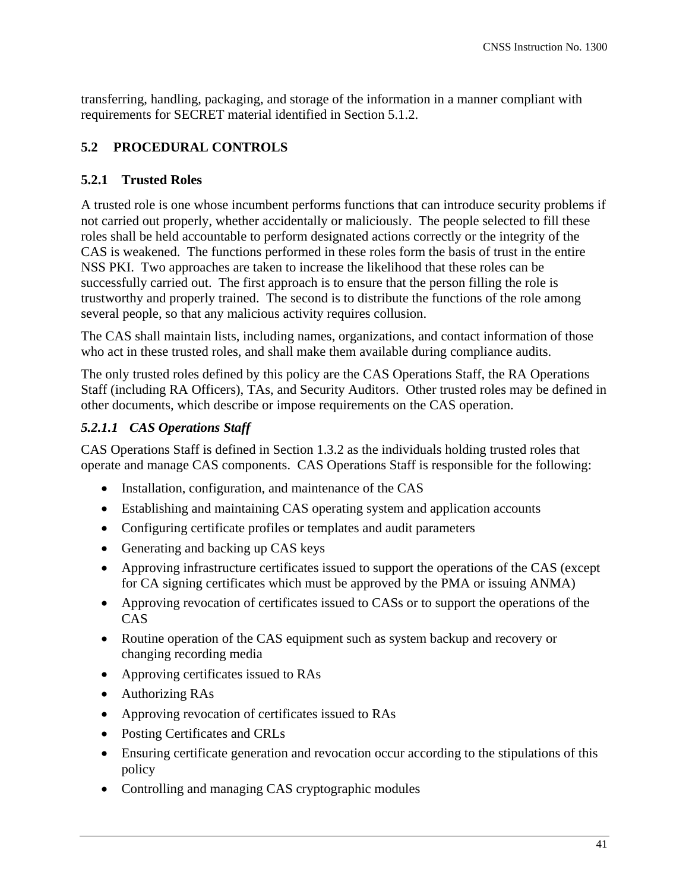transferring, handling, packaging, and storage of the information in a manner compliant with requirements for SECRET material identified in Section 5.1.2.

# <span id="page-50-0"></span>**5.2 PROCEDURAL CONTROLS**

# <span id="page-50-1"></span>**5.2.1 Trusted Roles**

A trusted role is one whose incumbent performs functions that can introduce security problems if not carried out properly, whether accidentally or maliciously. The people selected to fill these roles shall be held accountable to perform designated actions correctly or the integrity of the CAS is weakened. The functions performed in these roles form the basis of trust in the entire NSS PKI. Two approaches are taken to increase the likelihood that these roles can be successfully carried out. The first approach is to ensure that the person filling the role is trustworthy and properly trained. The second is to distribute the functions of the role among several people, so that any malicious activity requires collusion.

The CAS shall maintain lists, including names, organizations, and contact information of those who act in these trusted roles, and shall make them available during compliance audits.

The only trusted roles defined by this policy are the CAS Operations Staff, the RA Operations Staff (including RA Officers), TAs, and Security Auditors. Other trusted roles may be defined in other documents, which describe or impose requirements on the CAS operation.

# *5.2.1.1 CAS Operations Staff*

CAS Operations Staff is defined in Section [1.3.2](#page-14-0) as the individuals holding trusted roles that operate and manage CAS components. CAS Operations Staff is responsible for the following:

- Installation, configuration, and maintenance of the CAS
- Establishing and maintaining CAS operating system and application accounts
- Configuring certificate profiles or templates and audit parameters
- Generating and backing up CAS keys
- Approving infrastructure certificates issued to support the operations of the CAS (except for CA signing certificates which must be approved by the PMA or issuing ANMA)
- Approving revocation of certificates issued to CASs or to support the operations of the CAS
- Routine operation of the CAS equipment such as system backup and recovery or changing recording media
- Approving certificates issued to RAs
- Authorizing RAs
- Approving revocation of certificates issued to RAs
- Posting Certificates and CRLs
- Ensuring certificate generation and revocation occur according to the stipulations of this policy
- Controlling and managing CAS cryptographic modules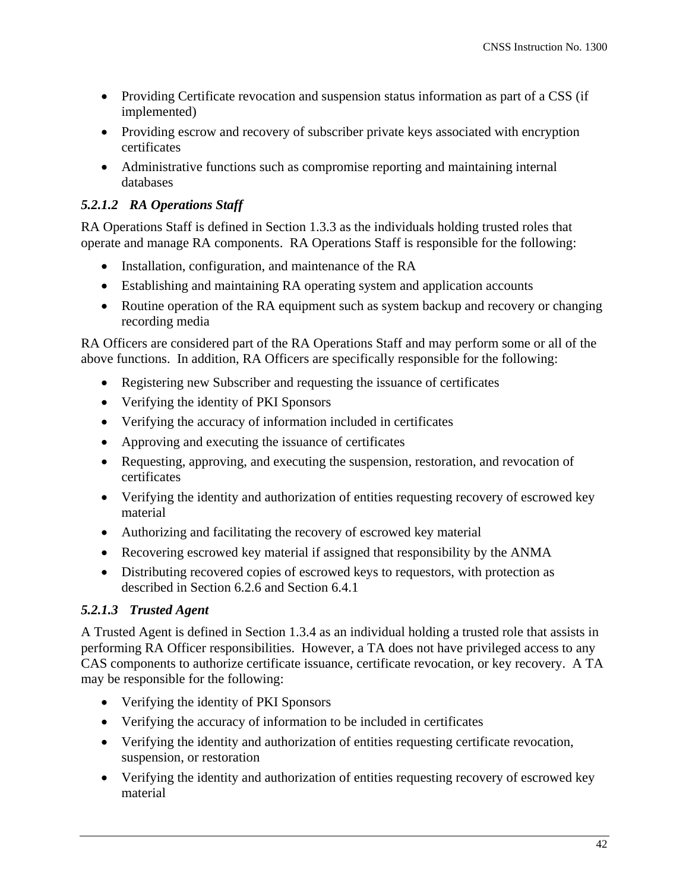- Providing Certificate revocation and suspension status information as part of a CSS (if implemented)
- Providing escrow and recovery of subscriber private keys associated with encryption certificates
- Administrative functions such as compromise reporting and maintaining internal databases

# *5.2.1.2 RA Operations Staff*

RA Operations Staff is defined in Section [1.3.3](#page-16-0) as the individuals holding trusted roles that operate and manage RA components. RA Operations Staff is responsible for the following:

- Installation, configuration, and maintenance of the RA
- Establishing and maintaining RA operating system and application accounts
- Routine operation of the RA equipment such as system backup and recovery or changing recording media

RA Officers are considered part of the RA Operations Staff and may perform some or all of the above functions. In addition, RA Officers are specifically responsible for the following:

- Registering new Subscriber and requesting the issuance of certificates
- Verifying the identity of PKI Sponsors
- Verifying the accuracy of information included in certificates
- Approving and executing the issuance of certificates
- Requesting, approving, and executing the suspension, restoration, and revocation of certificates
- Verifying the identity and authorization of entities requesting recovery of escrowed key material
- Authorizing and facilitating the recovery of escrowed key material
- Recovering escrowed key material if assigned that responsibility by the ANMA
- Distributing recovered copies of escrowed keys to requestors, with protection as described in Section [6.2.6](#page-70-0) and Section [6.4.1](#page-72-0)

# *5.2.1.3 Trusted Agent*

A Trusted Agent is defined in Section [1.3.4](#page-16-1) as an individual holding a trusted role that assists in performing RA Officer responsibilities. However, a TA does not have privileged access to any CAS components to authorize certificate issuance, certificate revocation, or key recovery. A TA may be responsible for the following:

- Verifying the identity of PKI Sponsors
- Verifying the accuracy of information to be included in certificates
- Verifying the identity and authorization of entities requesting certificate revocation, suspension, or restoration
- Verifying the identity and authorization of entities requesting recovery of escrowed key material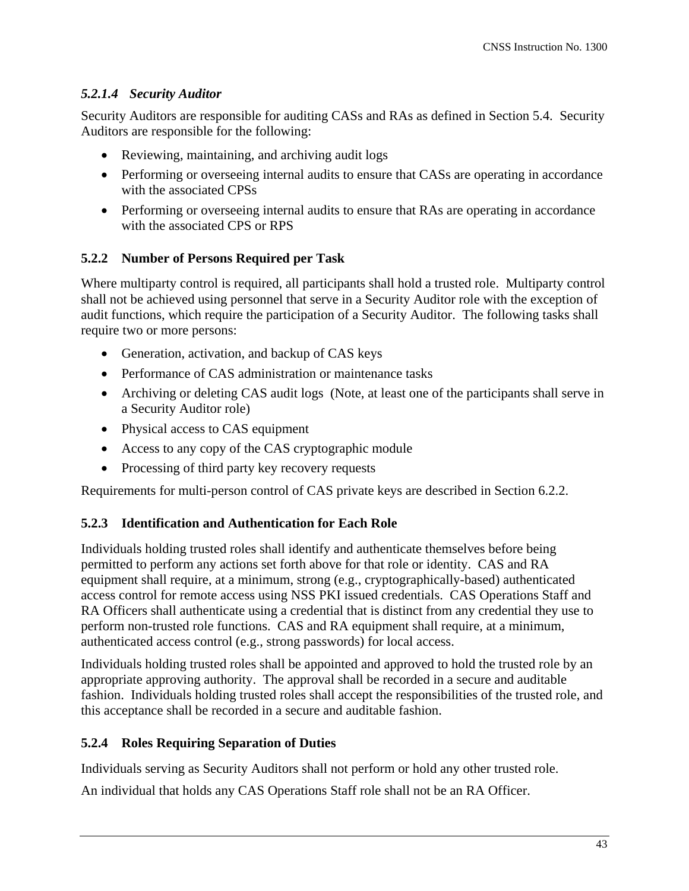# *5.2.1.4 Security Auditor*

Security Auditors are responsible for auditing CASs and RAs as defined in Section [5.4.](#page-55-0) Security Auditors are responsible for the following:

- Reviewing, maintaining, and archiving audit logs
- Performing or overseeing internal audits to ensure that CASs are operating in accordance with the associated CPSs
- Performing or overseeing internal audits to ensure that RAs are operating in accordance with the associated CPS or RPS

# <span id="page-52-0"></span>**5.2.2 Number of Persons Required per Task**

Where multiparty control is required, all participants shall hold a trusted role. Multiparty control shall not be achieved using personnel that serve in a Security Auditor role with the exception of audit functions, which require the participation of a Security Auditor. The following tasks shall require two or more persons:

- Generation, activation, and backup of CAS keys
- Performance of CAS administration or maintenance tasks
- Archiving or deleting CAS audit logs (Note, at least one of the participants shall serve in a Security Auditor role)
- Physical access to CAS equipment
- Access to any copy of the CAS cryptographic module
- Processing of third party key recovery requests

Requirements for multi-person control of CAS private keys are described in Section [6.2.2](#page-69-0).

# **5.2.3 Identification and Authentication for Each Role**

Individuals holding trusted roles shall identify and authenticate themselves before being permitted to perform any actions set forth above for that role or identity. CAS and RA equipment shall require, at a minimum, strong (e.g., cryptographically-based) authenticated access control for remote access using NSS PKI issued credentials. CAS Operations Staff and RA Officers shall authenticate using a credential that is distinct from any credential they use to perform non-trusted role functions. CAS and RA equipment shall require, at a minimum, authenticated access control (e.g., strong passwords) for local access.

Individuals holding trusted roles shall be appointed and approved to hold the trusted role by an appropriate approving authority. The approval shall be recorded in a secure and auditable fashion. Individuals holding trusted roles shall accept the responsibilities of the trusted role, and this acceptance shall be recorded in a secure and auditable fashion.

#### **5.2.4 Roles Requiring Separation of Duties**

Individuals serving as Security Auditors shall not perform or hold any other trusted role.

An individual that holds any CAS Operations Staff role shall not be an RA Officer.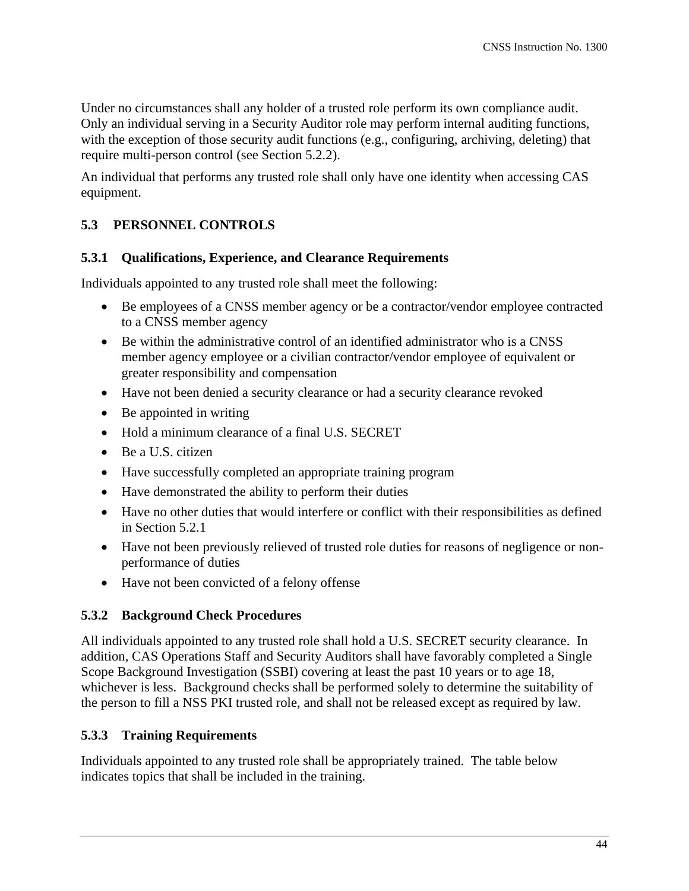Under no circumstances shall any holder of a trusted role perform its own compliance audit. Only an individual serving in a Security Auditor role may perform internal auditing functions, with the exception of those security audit functions (e.g., configuring, archiving, deleting) that require multi-person control (see Section [5.2.2\)](#page-52-0).

An individual that performs any trusted role shall only have one identity when accessing CAS equipment.

# **5.3 PERSONNEL CONTROLS**

### **5.3.1 Qualifications, Experience, and Clearance Requirements**

Individuals appointed to any trusted role shall meet the following:

- Be employees of a CNSS member agency or be a contractor/vendor employee contracted to a CNSS member agency
- Be within the administrative control of an identified administrator who is a CNSS member agency employee or a civilian contractor/vendor employee of equivalent or greater responsibility and compensation
- Have not been denied a security clearance or had a security clearance revoked
- Be appointed in writing
- Hold a minimum clearance of a final U.S. SECRET
- Be a U.S. citizen
- Have successfully completed an appropriate training program
- Have demonstrated the ability to perform their duties
- Have no other duties that would interfere or conflict with their responsibilities as defined in Section [5.2.1](#page-50-1)
- Have not been previously relieved of trusted role duties for reasons of negligence or nonperformance of duties
- Have not been convicted of a felony offense

# **5.3.2 Background Check Procedures**

All individuals appointed to any trusted role shall hold a U.S. SECRET security clearance. In addition, CAS Operations Staff and Security Auditors shall have favorably completed a Single Scope Background Investigation (SSBI) covering at least the past 10 years or to age 18, whichever is less. Background checks shall be performed solely to determine the suitability of the person to fill a NSS PKI trusted role, and shall not be released except as required by law.

# **5.3.3 Training Requirements**

Individuals appointed to any trusted role shall be appropriately trained. The table below indicates topics that shall be included in the training.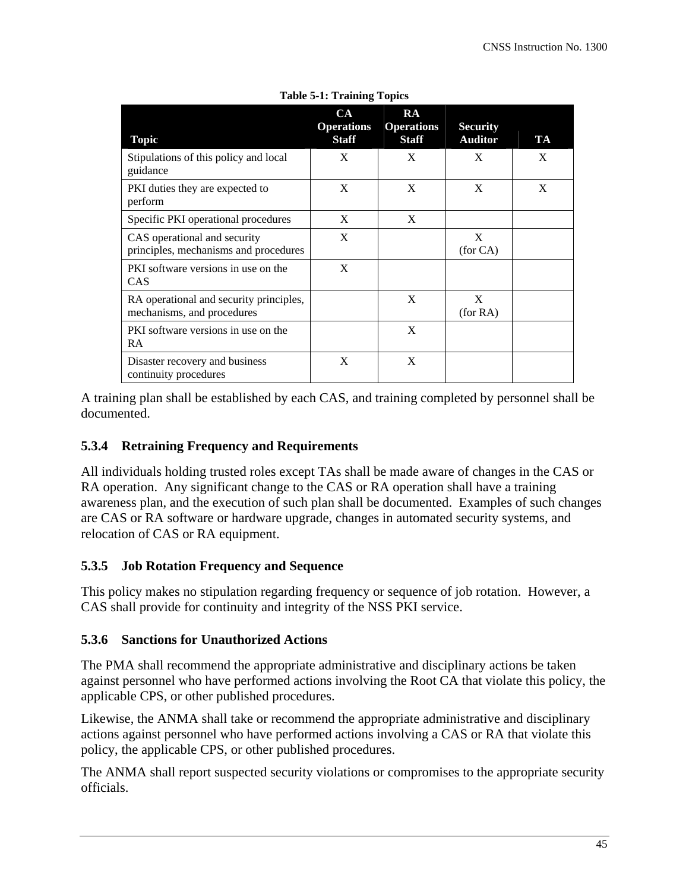| <b>Topic</b>                                                          | CА<br><b>Operations</b><br><b>Staff</b> | RA<br><b>Operations</b><br><b>Staff</b> | <b>Security</b><br><b>Auditor</b> | TA |
|-----------------------------------------------------------------------|-----------------------------------------|-----------------------------------------|-----------------------------------|----|
| Stipulations of this policy and local<br>guidance                     | X                                       | X                                       | X                                 | X  |
| PKI duties they are expected to<br>perform                            | X                                       | X                                       | X                                 | X  |
| Specific PKI operational procedures                                   | X                                       | X                                       |                                   |    |
| CAS operational and security<br>principles, mechanisms and procedures | X                                       |                                         | X<br>(for CA)                     |    |
| PKI software versions in use on the<br><b>CAS</b>                     | X                                       |                                         |                                   |    |
| RA operational and security principles,<br>mechanisms, and procedures |                                         | X                                       | X<br>(for RA)                     |    |
| PKI software versions in use on the<br>RA.                            |                                         | X                                       |                                   |    |
| Disaster recovery and business<br>continuity procedures               | X                                       | X                                       |                                   |    |

**Table 5-1: Training Topics** 

A training plan shall be established by each CAS, and training completed by personnel shall be documented.

#### **5.3.4 Retraining Frequency and Requirements**

All individuals holding trusted roles except TAs shall be made aware of changes in the CAS or RA operation. Any significant change to the CAS or RA operation shall have a training awareness plan, and the execution of such plan shall be documented. Examples of such changes are CAS or RA software or hardware upgrade, changes in automated security systems, and relocation of CAS or RA equipment.

#### **5.3.5 Job Rotation Frequency and Sequence**

This policy makes no stipulation regarding frequency or sequence of job rotation. However, a CAS shall provide for continuity and integrity of the NSS PKI service.

#### **5.3.6 Sanctions for Unauthorized Actions**

The PMA shall recommend the appropriate administrative and disciplinary actions be taken against personnel who have performed actions involving the Root CA that violate this policy, the applicable CPS, or other published procedures.

Likewise, the ANMA shall take or recommend the appropriate administrative and disciplinary actions against personnel who have performed actions involving a CAS or RA that violate this policy, the applicable CPS, or other published procedures.

The ANMA shall report suspected security violations or compromises to the appropriate security officials.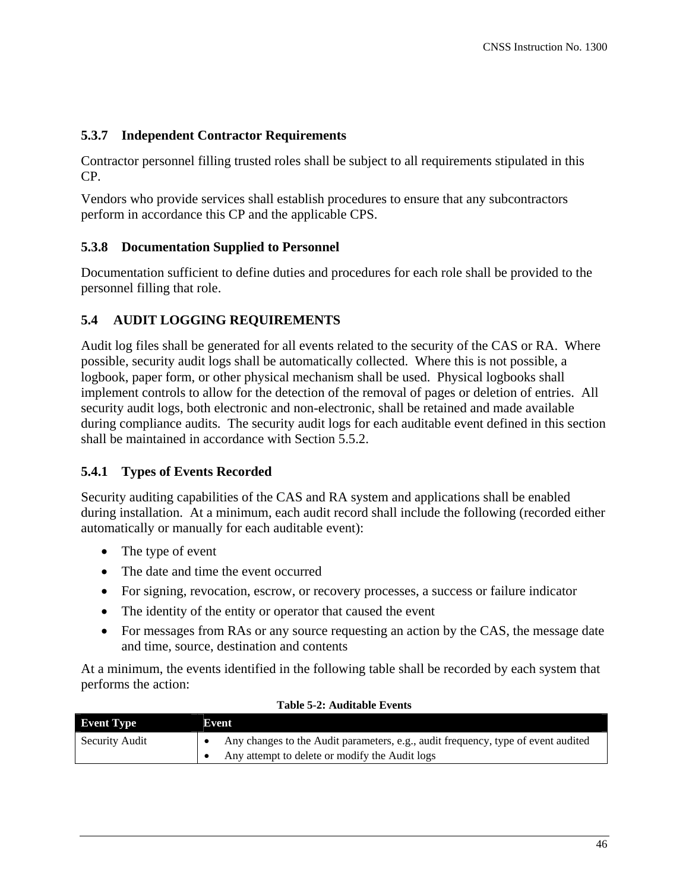#### **5.3.7 Independent Contractor Requirements**

Contractor personnel filling trusted roles shall be subject to all requirements stipulated in this CP.

Vendors who provide services shall establish procedures to ensure that any subcontractors perform in accordance this CP and the applicable CPS.

### **5.3.8 Documentation Supplied to Personnel**

Documentation sufficient to define duties and procedures for each role shall be provided to the personnel filling that role.

# <span id="page-55-0"></span>**5.4 AUDIT LOGGING REQUIREMENTS**

Audit log files shall be generated for all events related to the security of the CAS or RA. Where possible, security audit logs shall be automatically collected. Where this is not possible, a logbook, paper form, or other physical mechanism shall be used. Physical logbooks shall implement controls to allow for the detection of the removal of pages or deletion of entries. All security audit logs, both electronic and non-electronic, shall be retained and made available during compliance audits. The security audit logs for each auditable event defined in this section shall be maintained in accordance with Section [5.5.2.](#page-60-0)

#### <span id="page-55-1"></span>**5.4.1 Types of Events Recorded**

Security auditing capabilities of the CAS and RA system and applications shall be enabled during installation. At a minimum, each audit record shall include the following (recorded either automatically or manually for each auditable event):

- The type of event
- The date and time the event occurred
- For signing, revocation, escrow, or recovery processes, a success or failure indicator
- The identity of the entity or operator that caused the event
- For messages from RAs or any source requesting an action by the CAS, the message date and time, source, destination and contents

At a minimum, the events identified in the following table shall be recorded by each system that performs the action:

| <b>Event Type</b> | Event                                                                             |  |
|-------------------|-----------------------------------------------------------------------------------|--|
| Security Audit    | Any changes to the Audit parameters, e.g., audit frequency, type of event audited |  |
|                   | Any attempt to delete or modify the Audit logs                                    |  |

#### **Table 5-2: Auditable Events**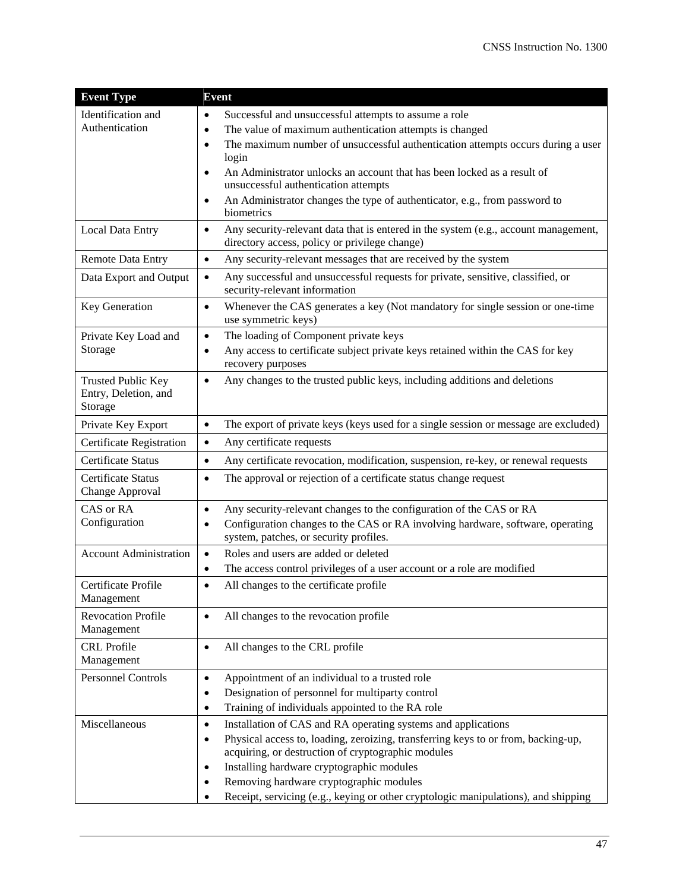| <b>Event Type</b>                                            | <b>Event</b>                                                                                                                                                                                                                                                                                                                                                                                                                                                                                 |
|--------------------------------------------------------------|----------------------------------------------------------------------------------------------------------------------------------------------------------------------------------------------------------------------------------------------------------------------------------------------------------------------------------------------------------------------------------------------------------------------------------------------------------------------------------------------|
| Identification and<br>Authentication                         | Successful and unsuccessful attempts to assume a role<br>$\bullet$<br>The value of maximum authentication attempts is changed<br>$\bullet$<br>The maximum number of unsuccessful authentication attempts occurs during a user<br>$\bullet$<br>login<br>An Administrator unlocks an account that has been locked as a result of<br>$\bullet$<br>unsuccessful authentication attempts<br>An Administrator changes the type of authenticator, e.g., from password to<br>$\bullet$<br>biometrics |
| Local Data Entry                                             | Any security-relevant data that is entered in the system (e.g., account management,<br>$\bullet$<br>directory access, policy or privilege change)                                                                                                                                                                                                                                                                                                                                            |
| <b>Remote Data Entry</b>                                     | Any security-relevant messages that are received by the system<br>$\bullet$                                                                                                                                                                                                                                                                                                                                                                                                                  |
| Data Export and Output                                       | Any successful and unsuccessful requests for private, sensitive, classified, or<br>$\bullet$<br>security-relevant information                                                                                                                                                                                                                                                                                                                                                                |
| Key Generation                                               | Whenever the CAS generates a key (Not mandatory for single session or one-time<br>$\bullet$<br>use symmetric keys)                                                                                                                                                                                                                                                                                                                                                                           |
| Private Key Load and<br>Storage                              | The loading of Component private keys<br>$\bullet$<br>Any access to certificate subject private keys retained within the CAS for key<br>$\bullet$<br>recovery purposes                                                                                                                                                                                                                                                                                                                       |
| <b>Trusted Public Key</b><br>Entry, Deletion, and<br>Storage | Any changes to the trusted public keys, including additions and deletions<br>$\bullet$                                                                                                                                                                                                                                                                                                                                                                                                       |
| Private Key Export                                           | The export of private keys (keys used for a single session or message are excluded)<br>$\bullet$                                                                                                                                                                                                                                                                                                                                                                                             |
| Certificate Registration                                     | Any certificate requests<br>$\bullet$                                                                                                                                                                                                                                                                                                                                                                                                                                                        |
| <b>Certificate Status</b>                                    | Any certificate revocation, modification, suspension, re-key, or renewal requests<br>$\bullet$                                                                                                                                                                                                                                                                                                                                                                                               |
| <b>Certificate Status</b><br>Change Approval                 | The approval or rejection of a certificate status change request<br>$\bullet$                                                                                                                                                                                                                                                                                                                                                                                                                |
| CAS or RA<br>Configuration                                   | Any security-relevant changes to the configuration of the CAS or RA<br>$\bullet$<br>Configuration changes to the CAS or RA involving hardware, software, operating<br>$\bullet$<br>system, patches, or security profiles.                                                                                                                                                                                                                                                                    |
| <b>Account Administration</b>                                | Roles and users are added or deleted<br>$\bullet$                                                                                                                                                                                                                                                                                                                                                                                                                                            |
|                                                              | The access control privileges of a user account or a role are modified<br>$\bullet$                                                                                                                                                                                                                                                                                                                                                                                                          |
| Certificate Profile<br>Management                            | All changes to the certificate profile<br>$\bullet$                                                                                                                                                                                                                                                                                                                                                                                                                                          |
| <b>Revocation Profile</b><br>Management                      | All changes to the revocation profile<br>$\bullet$                                                                                                                                                                                                                                                                                                                                                                                                                                           |
| <b>CRL</b> Profile<br>Management                             | All changes to the CRL profile<br>$\bullet$                                                                                                                                                                                                                                                                                                                                                                                                                                                  |
| <b>Personnel Controls</b>                                    | Appointment of an individual to a trusted role<br>$\bullet$                                                                                                                                                                                                                                                                                                                                                                                                                                  |
|                                                              | Designation of personnel for multiparty control<br>$\bullet$                                                                                                                                                                                                                                                                                                                                                                                                                                 |
|                                                              | Training of individuals appointed to the RA role<br>$\bullet$                                                                                                                                                                                                                                                                                                                                                                                                                                |
| Miscellaneous                                                | Installation of CAS and RA operating systems and applications<br>$\bullet$                                                                                                                                                                                                                                                                                                                                                                                                                   |
|                                                              | Physical access to, loading, zeroizing, transferring keys to or from, backing-up,<br>$\bullet$<br>acquiring, or destruction of cryptographic modules                                                                                                                                                                                                                                                                                                                                         |
|                                                              | Installing hardware cryptographic modules<br>$\bullet$                                                                                                                                                                                                                                                                                                                                                                                                                                       |
|                                                              | Removing hardware cryptographic modules<br>$\bullet$                                                                                                                                                                                                                                                                                                                                                                                                                                         |
|                                                              | Receipt, servicing (e.g., keying or other cryptologic manipulations), and shipping<br>$\bullet$                                                                                                                                                                                                                                                                                                                                                                                              |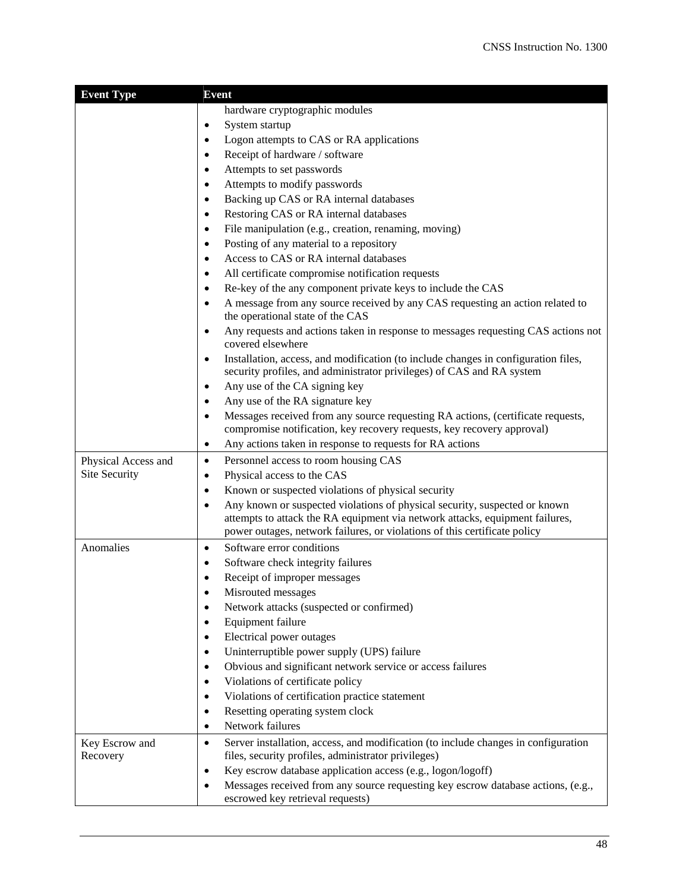| <b>Event Type</b>   | <b>Event</b>                                                                                                                                                             |  |  |
|---------------------|--------------------------------------------------------------------------------------------------------------------------------------------------------------------------|--|--|
|                     | hardware cryptographic modules                                                                                                                                           |  |  |
|                     | System startup<br>$\bullet$                                                                                                                                              |  |  |
|                     | Logon attempts to CAS or RA applications<br>$\bullet$                                                                                                                    |  |  |
|                     | Receipt of hardware / software<br>٠                                                                                                                                      |  |  |
|                     | Attempts to set passwords<br>٠                                                                                                                                           |  |  |
|                     | Attempts to modify passwords<br>$\bullet$                                                                                                                                |  |  |
|                     | Backing up CAS or RA internal databases<br>$\bullet$                                                                                                                     |  |  |
|                     | Restoring CAS or RA internal databases<br>٠                                                                                                                              |  |  |
|                     | File manipulation (e.g., creation, renaming, moving)<br>٠                                                                                                                |  |  |
|                     | Posting of any material to a repository<br>$\bullet$                                                                                                                     |  |  |
|                     | Access to CAS or RA internal databases<br>$\bullet$                                                                                                                      |  |  |
|                     | All certificate compromise notification requests<br>$\bullet$                                                                                                            |  |  |
|                     | Re-key of the any component private keys to include the CAS<br>$\bullet$                                                                                                 |  |  |
|                     | A message from any source received by any CAS requesting an action related to<br>$\bullet$<br>the operational state of the CAS                                           |  |  |
|                     | Any requests and actions taken in response to messages requesting CAS actions not<br>$\bullet$<br>covered elsewhere                                                      |  |  |
|                     | Installation, access, and modification (to include changes in configuration files,<br>$\bullet$<br>security profiles, and administrator privileges) of CAS and RA system |  |  |
|                     | Any use of the CA signing key<br>$\bullet$                                                                                                                               |  |  |
|                     | Any use of the RA signature key<br>٠                                                                                                                                     |  |  |
|                     | Messages received from any source requesting RA actions, (certificate requests,<br>$\bullet$                                                                             |  |  |
|                     | compromise notification, key recovery requests, key recovery approval)                                                                                                   |  |  |
|                     | Any actions taken in response to requests for RA actions<br>$\bullet$                                                                                                    |  |  |
| Physical Access and | Personnel access to room housing CAS<br>$\bullet$                                                                                                                        |  |  |
| Site Security       | Physical access to the CAS<br>٠                                                                                                                                          |  |  |
|                     | Known or suspected violations of physical security<br>٠                                                                                                                  |  |  |
|                     | Any known or suspected violations of physical security, suspected or known<br>$\bullet$                                                                                  |  |  |
|                     | attempts to attack the RA equipment via network attacks, equipment failures,<br>power outages, network failures, or violations of this certificate policy                |  |  |
|                     | Software error conditions                                                                                                                                                |  |  |
| Anomalies           | $\bullet$<br>$\bullet$                                                                                                                                                   |  |  |
|                     | Software check integrity failures<br>Receipt of improper messages<br>٠                                                                                                   |  |  |
|                     | Misrouted messages                                                                                                                                                       |  |  |
|                     | Network attacks (suspected or confirmed)<br>٠                                                                                                                            |  |  |
|                     | Equipment failure<br>٠                                                                                                                                                   |  |  |
|                     | Electrical power outages<br>٠                                                                                                                                            |  |  |
|                     | Uninterruptible power supply (UPS) failure<br>$\bullet$                                                                                                                  |  |  |
|                     | Obvious and significant network service or access failures<br>٠                                                                                                          |  |  |
|                     | Violations of certificate policy<br>٠                                                                                                                                    |  |  |
|                     | Violations of certification practice statement<br>٠                                                                                                                      |  |  |
|                     | Resetting operating system clock<br>٠                                                                                                                                    |  |  |
|                     | Network failures<br>$\bullet$                                                                                                                                            |  |  |
| Key Escrow and      | Server installation, access, and modification (to include changes in configuration<br>$\bullet$                                                                          |  |  |
| Recovery            | files, security profiles, administrator privileges)                                                                                                                      |  |  |
|                     | Key escrow database application access (e.g., logon/logoff)<br>٠                                                                                                         |  |  |
|                     | Messages received from any source requesting key escrow database actions, (e.g.,<br>٠<br>escrowed key retrieval requests)                                                |  |  |
|                     |                                                                                                                                                                          |  |  |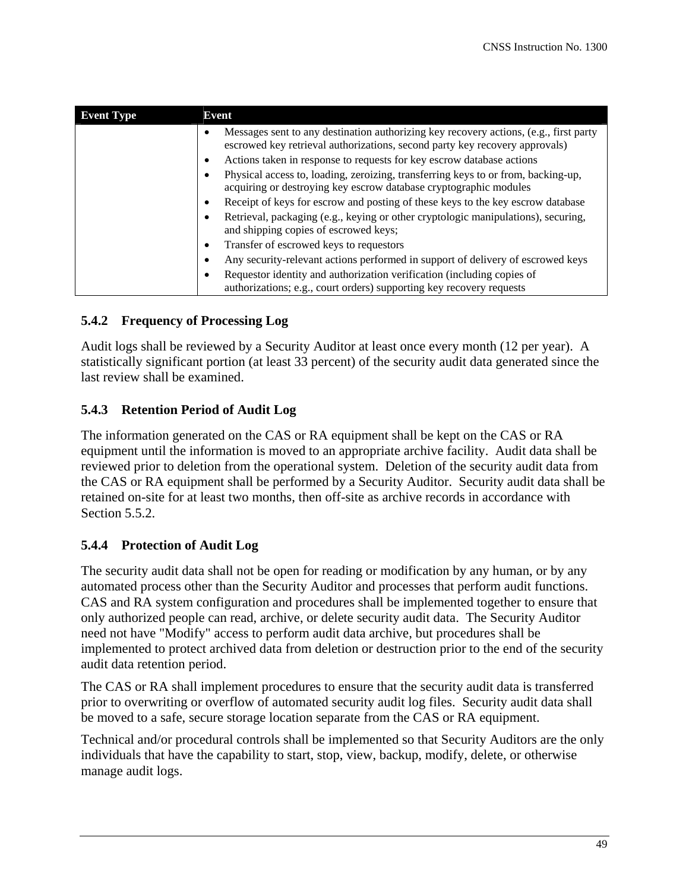| <b>Event Type</b> | Event                                                                                                                                                                             |
|-------------------|-----------------------------------------------------------------------------------------------------------------------------------------------------------------------------------|
|                   | Messages sent to any destination authorizing key recovery actions, (e.g., first party<br>$\bullet$<br>escrowed key retrieval authorizations, second party key recovery approvals) |
|                   | Actions taken in response to requests for key escrow database actions<br>$\bullet$                                                                                                |
|                   | Physical access to, loading, zeroizing, transferring keys to or from, backing-up,<br>$\bullet$<br>acquiring or destroying key escrow database cryptographic modules               |
|                   | Receipt of keys for escrow and posting of these keys to the key escrow database<br>$\bullet$                                                                                      |
|                   | Retrieval, packaging (e.g., keying or other cryptologic manipulations), securing,<br>$\bullet$<br>and shipping copies of escrowed keys;                                           |
|                   | Transfer of escrowed keys to requestors<br>٠                                                                                                                                      |
|                   | Any security-relevant actions performed in support of delivery of escrowed keys<br>٠                                                                                              |
|                   | Requestor identity and authorization verification (including copies of                                                                                                            |
|                   | authorizations; e.g., court orders) supporting key recovery requests                                                                                                              |

# **5.4.2 Frequency of Processing Log**

Audit logs shall be reviewed by a Security Auditor at least once every month (12 per year). A statistically significant portion (at least 33 percent) of the security audit data generated since the last review shall be examined.

### **5.4.3 Retention Period of Audit Log**

The information generated on the CAS or RA equipment shall be kept on the CAS or RA equipment until the information is moved to an appropriate archive facility. Audit data shall be reviewed prior to deletion from the operational system. Deletion of the security audit data from the CAS or RA equipment shall be performed by a Security Auditor. Security audit data shall be retained on-site for at least two months, then off-site as archive records in accordance with Section [5.5.2](#page-60-0).

#### **5.4.4 Protection of Audit Log**

The security audit data shall not be open for reading or modification by any human, or by any automated process other than the Security Auditor and processes that perform audit functions. CAS and RA system configuration and procedures shall be implemented together to ensure that only authorized people can read, archive, or delete security audit data. The Security Auditor need not have "Modify" access to perform audit data archive, but procedures shall be implemented to protect archived data from deletion or destruction prior to the end of the security audit data retention period.

The CAS or RA shall implement procedures to ensure that the security audit data is transferred prior to overwriting or overflow of automated security audit log files. Security audit data shall be moved to a safe, secure storage location separate from the CAS or RA equipment.

Technical and/or procedural controls shall be implemented so that Security Auditors are the only individuals that have the capability to start, stop, view, backup, modify, delete, or otherwise manage audit logs.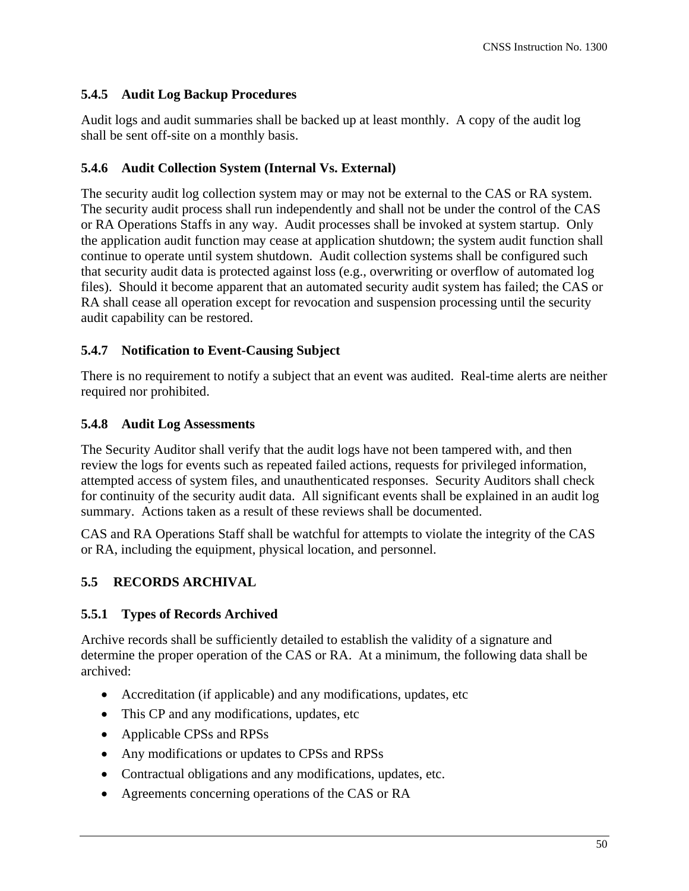# **5.4.5 Audit Log Backup Procedures**

Audit logs and audit summaries shall be backed up at least monthly. A copy of the audit log shall be sent off-site on a monthly basis.

# **5.4.6 Audit Collection System (Internal Vs. External)**

The security audit log collection system may or may not be external to the CAS or RA system. The security audit process shall run independently and shall not be under the control of the CAS or RA Operations Staffs in any way. Audit processes shall be invoked at system startup. Only the application audit function may cease at application shutdown; the system audit function shall continue to operate until system shutdown. Audit collection systems shall be configured such that security audit data is protected against loss (e.g., overwriting or overflow of automated log files). Should it become apparent that an automated security audit system has failed; the CAS or RA shall cease all operation except for revocation and suspension processing until the security audit capability can be restored.

# **5.4.7 Notification to Event-Causing Subject**

There is no requirement to notify a subject that an event was audited. Real-time alerts are neither required nor prohibited.

# **5.4.8 Audit Log Assessments**

The Security Auditor shall verify that the audit logs have not been tampered with, and then review the logs for events such as repeated failed actions, requests for privileged information, attempted access of system files, and unauthenticated responses. Security Auditors shall check for continuity of the security audit data. All significant events shall be explained in an audit log summary. Actions taken as a result of these reviews shall be documented.

CAS and RA Operations Staff shall be watchful for attempts to violate the integrity of the CAS or RA, including the equipment, physical location, and personnel.

# <span id="page-59-0"></span>**5.5 RECORDS ARCHIVAL**

# **5.5.1 Types of Records Archived**

Archive records shall be sufficiently detailed to establish the validity of a signature and determine the proper operation of the CAS or RA. At a minimum, the following data shall be archived:

- Accreditation (if applicable) and any modifications, updates, etc
- This CP and any modifications, updates, etc
- Applicable CPSs and RPSs
- Any modifications or updates to CPSs and RPSs
- Contractual obligations and any modifications, updates, etc.
- Agreements concerning operations of the CAS or RA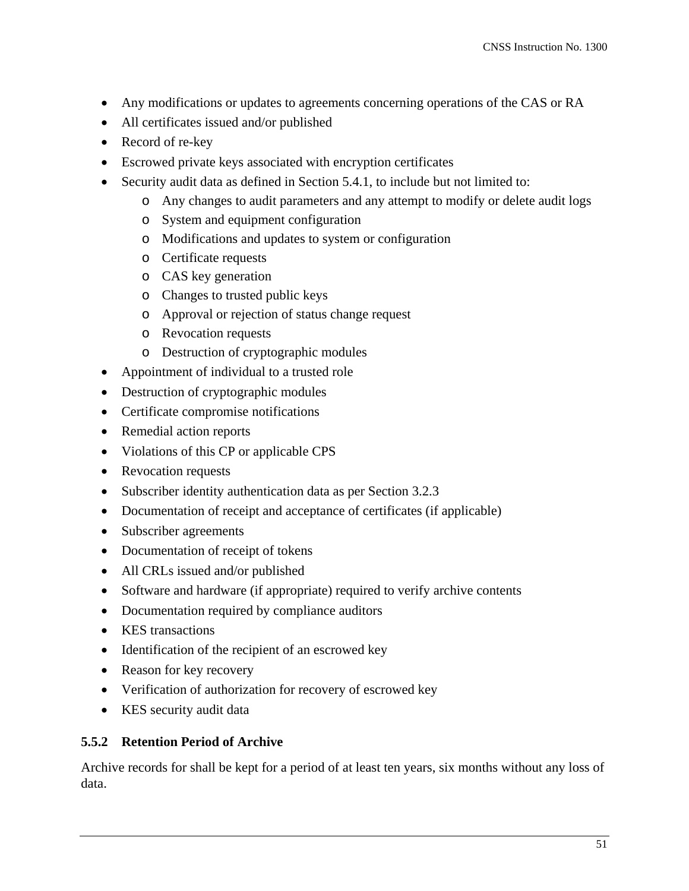- Any modifications or updates to agreements concerning operations of the CAS or RA
- All certificates issued and/or published
- Record of re-key
- Escrowed private keys associated with encryption certificates
- Security audit data as defined in Section [5.4.1](#page-55-1), to include but not limited to:
	- o Any changes to audit parameters and any attempt to modify or delete audit logs
	- o System and equipment configuration
	- o Modifications and updates to system or configuration
	- o Certificate requests
	- o CAS key generation
	- o Changes to trusted public keys
	- o Approval or rejection of status change request
	- o Revocation requests
	- o Destruction of cryptographic modules
- Appointment of individual to a trusted role
- Destruction of cryptographic modules
- Certificate compromise notifications
- Remedial action reports
- Violations of this CP or applicable CPS
- Revocation requests
- Subscriber identity authentication data as per Section 3.2.3
- Documentation of receipt and acceptance of certificates (if applicable)
- Subscriber agreements
- Documentation of receipt of tokens
- All CRLs issued and/or published
- Software and hardware (if appropriate) required to verify archive contents
- Documentation required by compliance auditors
- KES transactions
- Identification of the recipient of an escrowed key
- Reason for key recovery
- Verification of authorization for recovery of escrowed key
- KES security audit data

# <span id="page-60-0"></span>**5.5.2 Retention Period of Archive**

Archive records for shall be kept for a period of at least ten years, six months without any loss of data.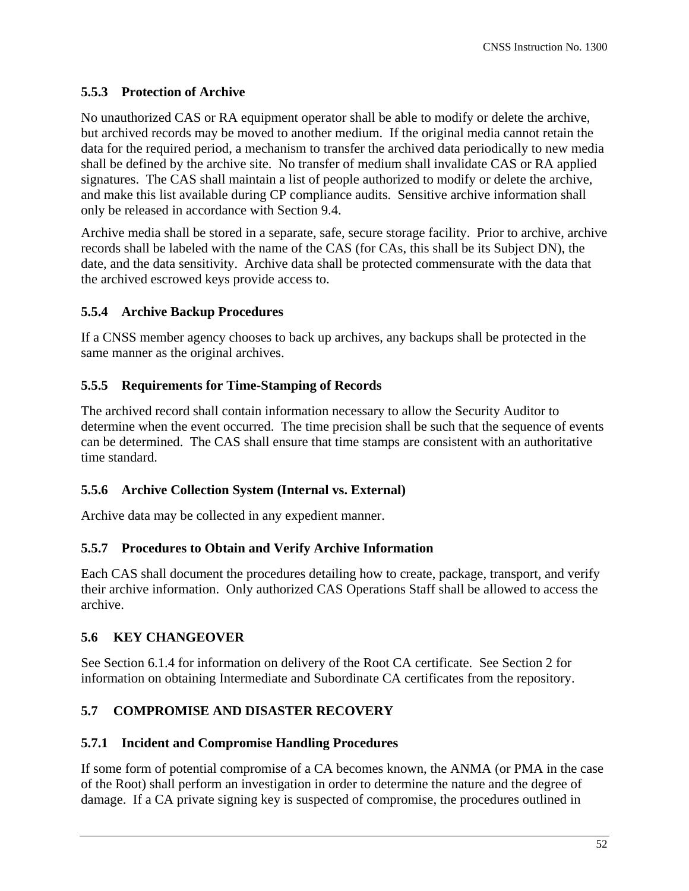# **5.5.3 Protection of Archive**

No unauthorized CAS or RA equipment operator shall be able to modify or delete the archive, but archived records may be moved to another medium. If the original media cannot retain the data for the required period, a mechanism to transfer the archived data periodically to new media shall be defined by the archive site. No transfer of medium shall invalidate CAS or RA applied signatures. The CAS shall maintain a list of people authorized to modify or delete the archive, and make this list available during CP compliance audits. Sensitive archive information shall only be released in accordance with Section [9.4.](#page-86-0)

Archive media shall be stored in a separate, safe, secure storage facility. Prior to archive, archive records shall be labeled with the name of the CAS (for CAs, this shall be its Subject DN), the date, and the data sensitivity. Archive data shall be protected commensurate with the data that the archived escrowed keys provide access to.

# **5.5.4 Archive Backup Procedures**

If a CNSS member agency chooses to back up archives, any backups shall be protected in the same manner as the original archives.

# **5.5.5 Requirements for Time-Stamping of Records**

The archived record shall contain information necessary to allow the Security Auditor to determine when the event occurred. The time precision shall be such that the sequence of events can be determined. The CAS shall ensure that time stamps are consistent with an authoritative time standard.

# **5.5.6 Archive Collection System (Internal vs. External)**

Archive data may be collected in any expedient manner.

# **5.5.7 Procedures to Obtain and Verify Archive Information**

Each CAS shall document the procedures detailing how to create, package, transport, and verify their archive information. Only authorized CAS Operations Staff shall be allowed to access the archive.

# **5.6 KEY CHANGEOVER**

See Section [6.1.4](#page-67-0) for information on delivery of the Root CA certificate. See Section [2](#page-21-1) for information on obtaining Intermediate and Subordinate CA certificates from the repository.

# **5.7 COMPROMISE AND DISASTER RECOVERY**

# <span id="page-61-0"></span>**5.7.1 Incident and Compromise Handling Procedures**

If some form of potential compromise of a CA becomes known, the ANMA (or PMA in the case of the Root) shall perform an investigation in order to determine the nature and the degree of damage. If a CA private signing key is suspected of compromise, the procedures outlined in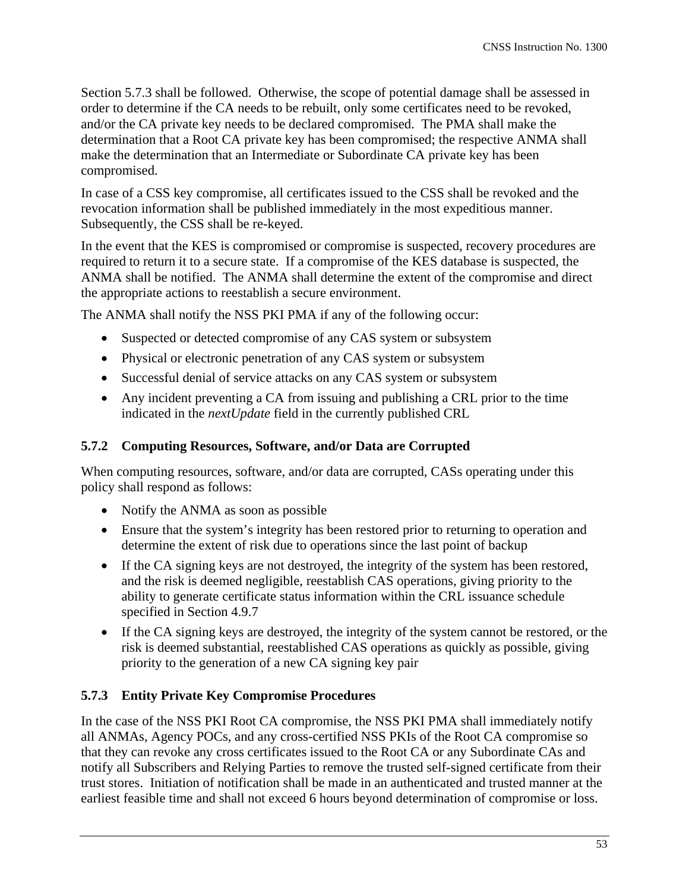Section [5.7.3](#page-62-0) shall be followed. Otherwise, the scope of potential damage shall be assessed in order to determine if the CA needs to be rebuilt, only some certificates need to be revoked, and/or the CA private key needs to be declared compromised. The PMA shall make the determination that a Root CA private key has been compromised; the respective ANMA shall make the determination that an Intermediate or Subordinate CA private key has been compromised.

In case of a CSS key compromise, all certificates issued to the CSS shall be revoked and the revocation information shall be published immediately in the most expeditious manner. Subsequently, the CSS shall be re-keyed.

In the event that the KES is compromised or compromise is suspected, recovery procedures are required to return it to a secure state. If a compromise of the KES database is suspected, the ANMA shall be notified. The ANMA shall determine the extent of the compromise and direct the appropriate actions to reestablish a secure environment.

The ANMA shall notify the NSS PKI PMA if any of the following occur:

- Suspected or detected compromise of any CAS system or subsystem
- Physical or electronic penetration of any CAS system or subsystem
- Successful denial of service attacks on any CAS system or subsystem
- Any incident preventing a CA from issuing and publishing a CRL prior to the time indicated in the *nextUpdate* field in the currently published CRL

### **5.7.2 Computing Resources, Software, and/or Data are Corrupted**

When computing resources, software, and/or data are corrupted, CASs operating under this policy shall respond as follows:

- Notify the ANMA as soon as possible
- Ensure that the system's integrity has been restored prior to returning to operation and determine the extent of risk due to operations since the last point of backup
- If the CA signing keys are not destroyed, the integrity of the system has been restored, and the risk is deemed negligible, reestablish CAS operations, giving priority to the ability to generate certificate status information within the CRL issuance schedule specified in Section [4.9.7](#page-40-1)
- If the CA signing keys are destroyed, the integrity of the system cannot be restored, or the risk is deemed substantial, reestablished CAS operations as quickly as possible, giving priority to the generation of a new CA signing key pair

# <span id="page-62-0"></span>**5.7.3 Entity Private Key Compromise Procedures**

In the case of the NSS PKI Root CA compromise, the NSS PKI PMA shall immediately notify all ANMAs, Agency POCs, and any cross-certified NSS PKIs of the Root CA compromise so that they can revoke any cross certificates issued to the Root CA or any Subordinate CAs and notify all Subscribers and Relying Parties to remove the trusted self-signed certificate from their trust stores. Initiation of notification shall be made in an authenticated and trusted manner at the earliest feasible time and shall not exceed 6 hours beyond determination of compromise or loss.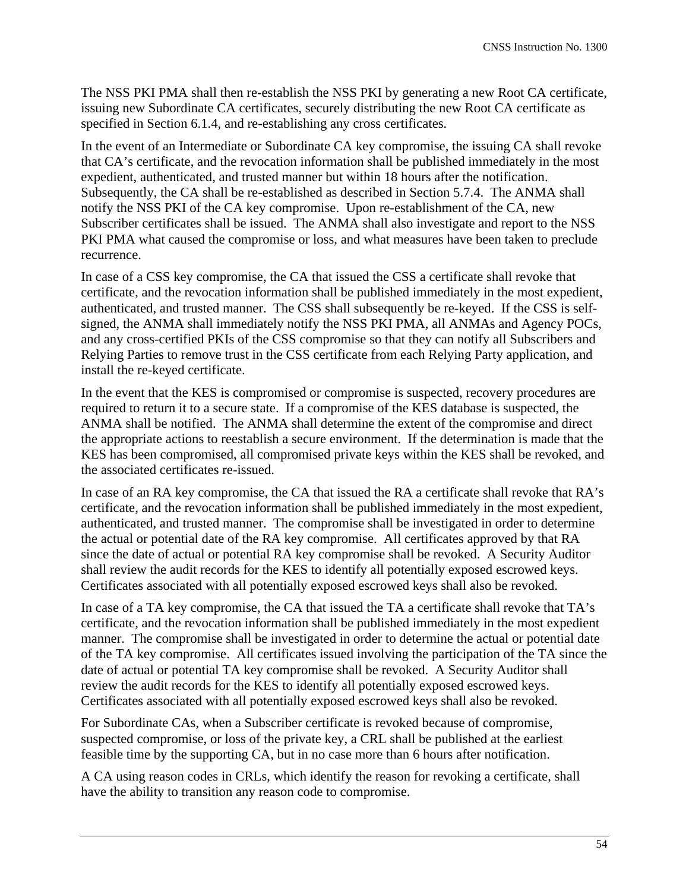The NSS PKI PMA shall then re-establish the NSS PKI by generating a new Root CA certificate, issuing new Subordinate CA certificates, securely distributing the new Root CA certificate as specified in Section [6.1.4,](#page-67-0) and re-establishing any cross certificates.

In the event of an Intermediate or Subordinate CA key compromise, the issuing CA shall revoke that CA's certificate, and the revocation information shall be published immediately in the most expedient, authenticated, and trusted manner but within 18 hours after the notification. Subsequently, the CA shall be re-established as described in Section [5.7.4.](#page-64-0) The ANMA shall notify the NSS PKI of the CA key compromise. Upon re-establishment of the CA, new Subscriber certificates shall be issued. The ANMA shall also investigate and report to the NSS PKI PMA what caused the compromise or loss, and what measures have been taken to preclude recurrence.

In case of a CSS key compromise, the CA that issued the CSS a certificate shall revoke that certificate, and the revocation information shall be published immediately in the most expedient, authenticated, and trusted manner. The CSS shall subsequently be re-keyed. If the CSS is selfsigned, the ANMA shall immediately notify the NSS PKI PMA, all ANMAs and Agency POCs, and any cross-certified PKIs of the CSS compromise so that they can notify all Subscribers and Relying Parties to remove trust in the CSS certificate from each Relying Party application, and install the re-keyed certificate.

In the event that the KES is compromised or compromise is suspected, recovery procedures are required to return it to a secure state. If a compromise of the KES database is suspected, the ANMA shall be notified. The ANMA shall determine the extent of the compromise and direct the appropriate actions to reestablish a secure environment. If the determination is made that the KES has been compromised, all compromised private keys within the KES shall be revoked, and the associated certificates re-issued.

In case of an RA key compromise, the CA that issued the RA a certificate shall revoke that RA's certificate, and the revocation information shall be published immediately in the most expedient, authenticated, and trusted manner. The compromise shall be investigated in order to determine the actual or potential date of the RA key compromise. All certificates approved by that RA since the date of actual or potential RA key compromise shall be revoked. A Security Auditor shall review the audit records for the KES to identify all potentially exposed escrowed keys. Certificates associated with all potentially exposed escrowed keys shall also be revoked.

In case of a TA key compromise, the CA that issued the TA a certificate shall revoke that TA's certificate, and the revocation information shall be published immediately in the most expedient manner. The compromise shall be investigated in order to determine the actual or potential date of the TA key compromise. All certificates issued involving the participation of the TA since the date of actual or potential TA key compromise shall be revoked. A Security Auditor shall review the audit records for the KES to identify all potentially exposed escrowed keys. Certificates associated with all potentially exposed escrowed keys shall also be revoked.

For Subordinate CAs, when a Subscriber certificate is revoked because of compromise, suspected compromise, or loss of the private key, a CRL shall be published at the earliest feasible time by the supporting CA, but in no case more than 6 hours after notification.

A CA using reason codes in CRLs, which identify the reason for revoking a certificate, shall have the ability to transition any reason code to compromise.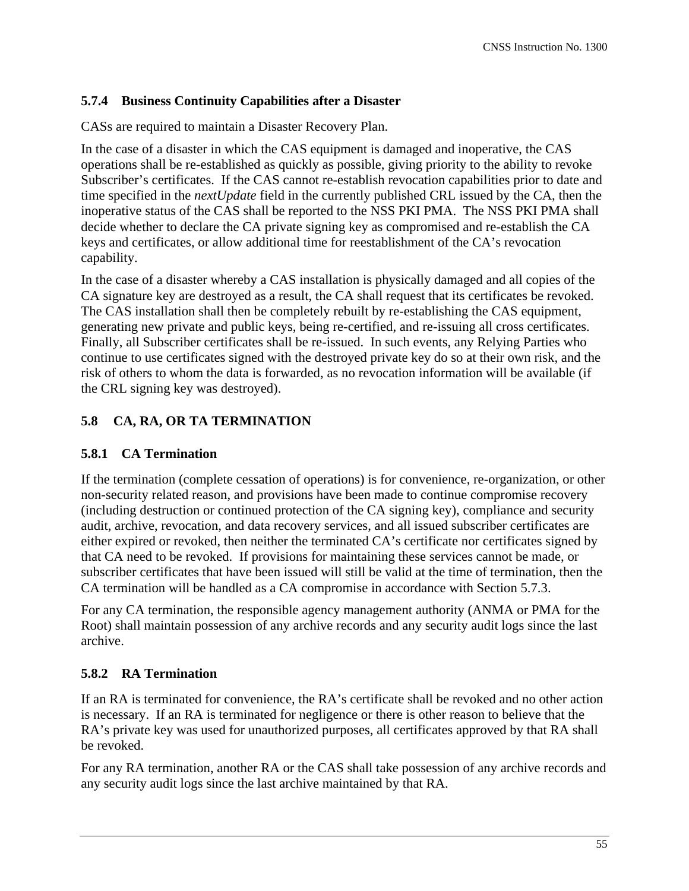#### <span id="page-64-0"></span>**5.7.4 Business Continuity Capabilities after a Disaster**

CASs are required to maintain a Disaster Recovery Plan.

In the case of a disaster in which the CAS equipment is damaged and inoperative, the CAS operations shall be re-established as quickly as possible, giving priority to the ability to revoke Subscriber's certificates. If the CAS cannot re-establish revocation capabilities prior to date and time specified in the *nextUpdate* field in the currently published CRL issued by the CA, then the inoperative status of the CAS shall be reported to the NSS PKI PMA. The NSS PKI PMA shall decide whether to declare the CA private signing key as compromised and re-establish the CA keys and certificates, or allow additional time for reestablishment of the CA's revocation capability.

In the case of a disaster whereby a CAS installation is physically damaged and all copies of the CA signature key are destroyed as a result, the CA shall request that its certificates be revoked. The CAS installation shall then be completely rebuilt by re-establishing the CAS equipment, generating new private and public keys, being re-certified, and re-issuing all cross certificates. Finally, all Subscriber certificates shall be re-issued. In such events, any Relying Parties who continue to use certificates signed with the destroyed private key do so at their own risk, and the risk of others to whom the data is forwarded, as no revocation information will be available (if the CRL signing key was destroyed).

# **5.8 CA, RA, OR TA TERMINATION**

#### **5.8.1 CA Termination**

If the termination (complete cessation of operations) is for convenience, re-organization, or other non-security related reason, and provisions have been made to continue compromise recovery (including destruction or continued protection of the CA signing key), compliance and security audit, archive, revocation, and data recovery services, and all issued subscriber certificates are either expired or revoked, then neither the terminated CA's certificate nor certificates signed by that CA need to be revoked. If provisions for maintaining these services cannot be made, or subscriber certificates that have been issued will still be valid at the time of termination, then the CA termination will be handled as a CA compromise in accordance with Section [5.7.3.](#page-62-0)

For any CA termination, the responsible agency management authority (ANMA or PMA for the Root) shall maintain possession of any archive records and any security audit logs since the last archive.

# **5.8.2 RA Termination**

If an RA is terminated for convenience, the RA's certificate shall be revoked and no other action is necessary. If an RA is terminated for negligence or there is other reason to believe that the RA's private key was used for unauthorized purposes, all certificates approved by that RA shall be revoked.

For any RA termination, another RA or the CAS shall take possession of any archive records and any security audit logs since the last archive maintained by that RA.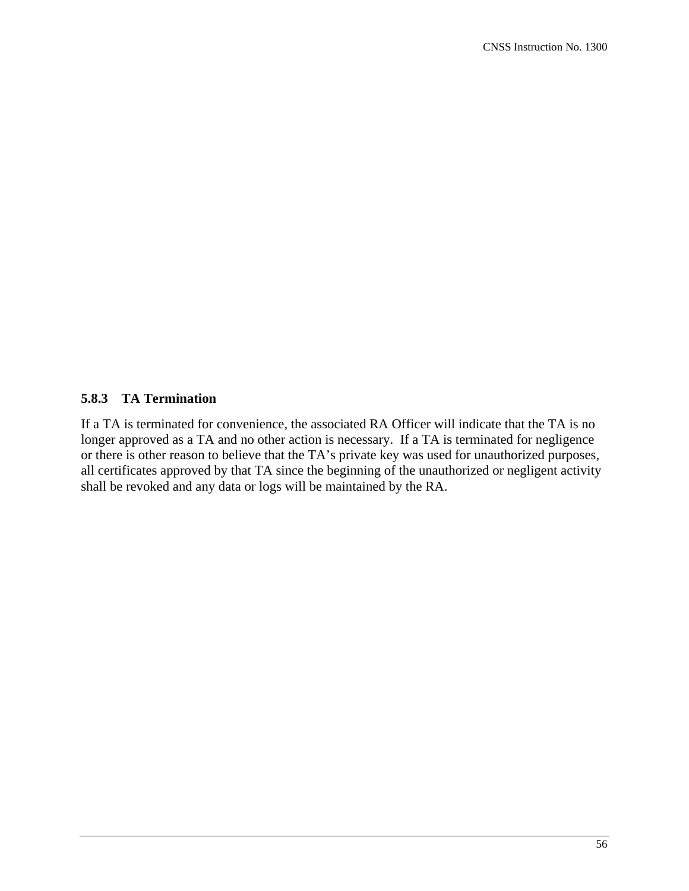### **5.8.3 TA Termination**

If a TA is terminated for convenience, the associated RA Officer will indicate that the TA is no longer approved as a TA and no other action is necessary. If a TA is terminated for negligence or there is other reason to believe that the TA's private key was used for unauthorized purposes, all certificates approved by that TA since the beginning of the unauthorized or negligent activity shall be revoked and any data or logs will be maintained by the RA.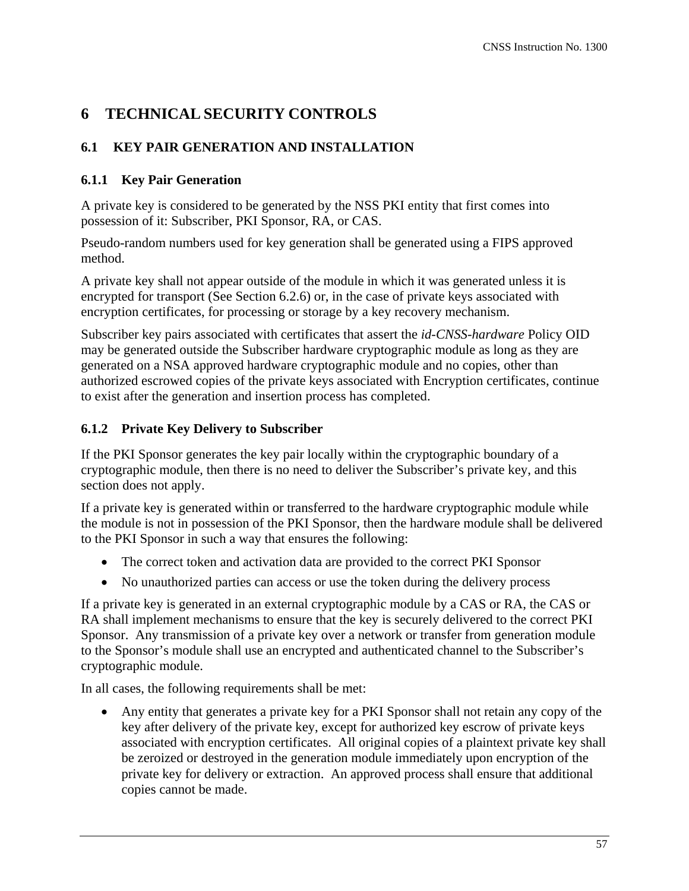# **6 TECHNICAL SECURITY CONTROLS**

# **6.1 KEY PAIR GENERATION AND INSTALLATION**

### **6.1.1 Key Pair Generation**

A private key is considered to be generated by the NSS PKI entity that first comes into possession of it: Subscriber, PKI Sponsor, RA, or CAS.

Pseudo-random numbers used for key generation shall be generated using a FIPS approved method.

A private key shall not appear outside of the module in which it was generated unless it is encrypted for transport (See Section [6.2.6](#page-70-0)) or, in the case of private keys associated with encryption certificates, for processing or storage by a key recovery mechanism.

Subscriber key pairs associated with certificates that assert the *id-CNSS-hardware* Policy OID may be generated outside the Subscriber hardware cryptographic module as long as they are generated on a NSA approved hardware cryptographic module and no copies, other than authorized escrowed copies of the private keys associated with Encryption certificates, continue to exist after the generation and insertion process has completed.

# **6.1.2 Private Key Delivery to Subscriber**

If the PKI Sponsor generates the key pair locally within the cryptographic boundary of a cryptographic module, then there is no need to deliver the Subscriber's private key, and this section does not apply.

If a private key is generated within or transferred to the hardware cryptographic module while the module is not in possession of the PKI Sponsor, then the hardware module shall be delivered to the PKI Sponsor in such a way that ensures the following:

- The correct token and activation data are provided to the correct PKI Sponsor
- No unauthorized parties can access or use the token during the delivery process

If a private key is generated in an external cryptographic module by a CAS or RA, the CAS or RA shall implement mechanisms to ensure that the key is securely delivered to the correct PKI Sponsor. Any transmission of a private key over a network or transfer from generation module to the Sponsor's module shall use an encrypted and authenticated channel to the Subscriber's cryptographic module.

In all cases, the following requirements shall be met:

• Any entity that generates a private key for a PKI Sponsor shall not retain any copy of the key after delivery of the private key, except for authorized key escrow of private keys associated with encryption certificates. All original copies of a plaintext private key shall be zeroized or destroyed in the generation module immediately upon encryption of the private key for delivery or extraction. An approved process shall ensure that additional copies cannot be made.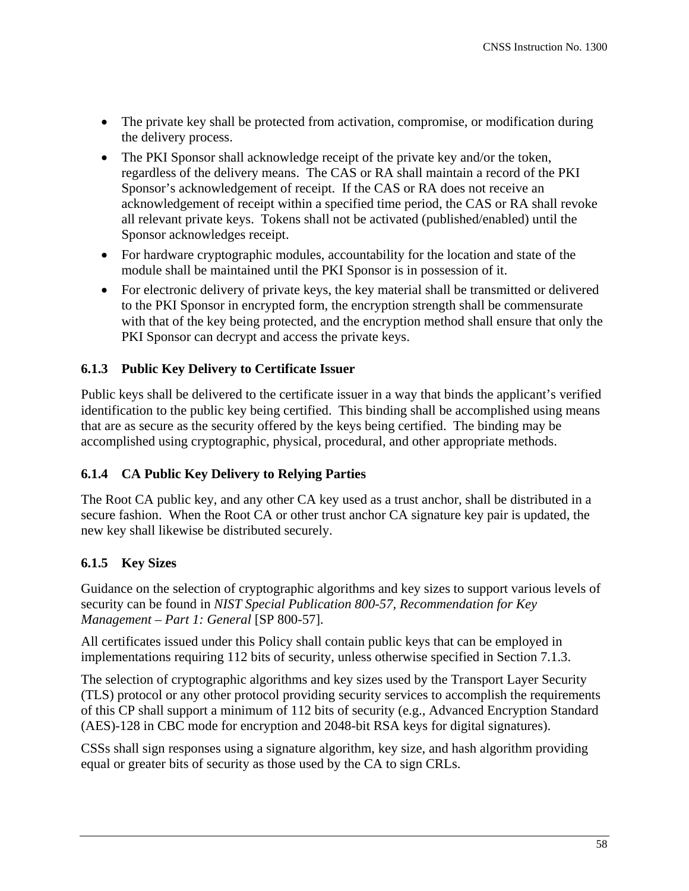- The private key shall be protected from activation, compromise, or modification during the delivery process.
- The PKI Sponsor shall acknowledge receipt of the private key and/or the token, regardless of the delivery means. The CAS or RA shall maintain a record of the PKI Sponsor's acknowledgement of receipt. If the CAS or RA does not receive an acknowledgement of receipt within a specified time period, the CAS or RA shall revoke all relevant private keys. Tokens shall not be activated (published/enabled) until the Sponsor acknowledges receipt.
- For hardware cryptographic modules, accountability for the location and state of the module shall be maintained until the PKI Sponsor is in possession of it.
- For electronic delivery of private keys, the key material shall be transmitted or delivered to the PKI Sponsor in encrypted form, the encryption strength shall be commensurate with that of the key being protected, and the encryption method shall ensure that only the PKI Sponsor can decrypt and access the private keys.

### **6.1.3 Public Key Delivery to Certificate Issuer**

Public keys shall be delivered to the certificate issuer in a way that binds the applicant's verified identification to the public key being certified. This binding shall be accomplished using means that are as secure as the security offered by the keys being certified. The binding may be accomplished using cryptographic, physical, procedural, and other appropriate methods.

# <span id="page-67-0"></span>**6.1.4 CA Public Key Delivery to Relying Parties**

The Root CA public key, and any other CA key used as a trust anchor, shall be distributed in a secure fashion. When the Root CA or other trust anchor CA signature key pair is updated, the new key shall likewise be distributed securely.

# <span id="page-67-1"></span>**6.1.5 Key Sizes**

Guidance on the selection of cryptographic algorithms and key sizes to support various levels of security can be found in *NIST Special Publication 800-57, Recommendation for Key Management – Part 1: General* [SP 800-57].

All certificates issued under this Policy shall contain public keys that can be employed in implementations requiring 112 bits of security, unless otherwise specified in Section [7.1.3.](#page-77-0)

The selection of cryptographic algorithms and key sizes used by the Transport Layer Security (TLS) protocol or any other protocol providing security services to accomplish the requirements of this CP shall support a minimum of 112 bits of security (e.g., Advanced Encryption Standard (AES)-128 in CBC mode for encryption and 2048-bit RSA keys for digital signatures).

CSSs shall sign responses using a signature algorithm, key size, and hash algorithm providing equal or greater bits of security as those used by the CA to sign CRLs.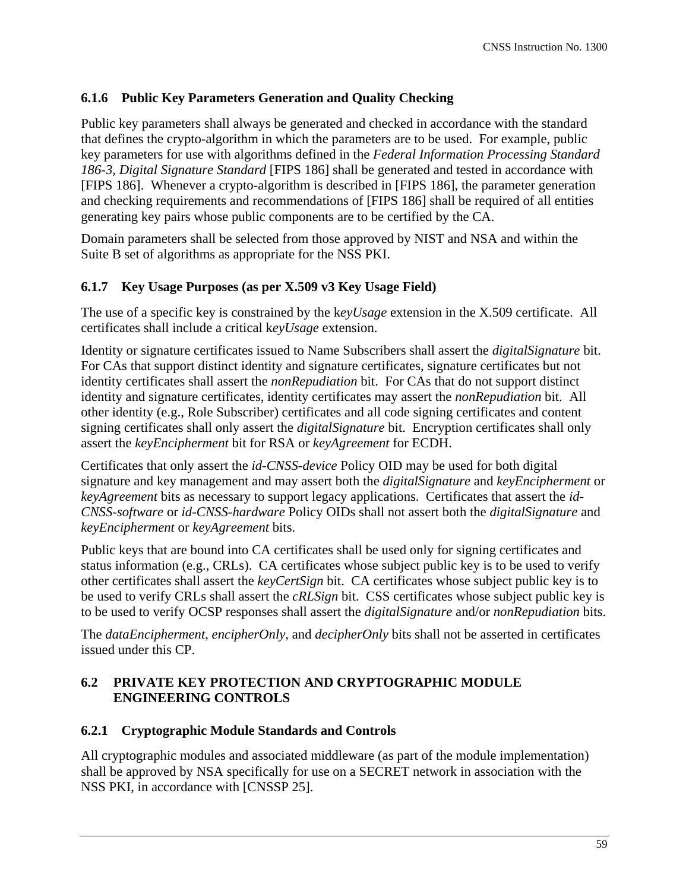# **6.1.6 Public Key Parameters Generation and Quality Checking**

Public key parameters shall always be generated and checked in accordance with the standard that defines the crypto-algorithm in which the parameters are to be used. For example, public key parameters for use with algorithms defined in the *Federal Information Processing Standard 186-3, Digital Signature Standard* [FIPS 186] shall be generated and tested in accordance with [FIPS 186]. Whenever a crypto-algorithm is described in [FIPS 186], the parameter generation and checking requirements and recommendations of [FIPS 186] shall be required of all entities generating key pairs whose public components are to be certified by the CA.

Domain parameters shall be selected from those approved by NIST and NSA and within the Suite B set of algorithms as appropriate for the NSS PKI.

### **6.1.7 Key Usage Purposes (as per X.509 v3 Key Usage Field)**

The use of a specific key is constrained by the k*eyUsage* extension in the X.509 certificate. All certificates shall include a critical k*eyUsage* extension.

Identity or signature certificates issued to Name Subscribers shall assert the *digitalSignature* bit. For CAs that support distinct identity and signature certificates, signature certificates but not identity certificates shall assert the *nonRepudiation* bit. For CAs that do not support distinct identity and signature certificates, identity certificates may assert the *nonRepudiation* bit. All other identity (e.g., Role Subscriber) certificates and all code signing certificates and content signing certificates shall only assert the *digitalSignature* bit. Encryption certificates shall only assert the *keyEncipherment* bit for RSA or *keyAgreement* for ECDH.

Certificates that only assert the *id-CNSS-device* Policy OID may be used for both digital signature and key management and may assert both the *digitalSignature* and *keyEncipherment* or *keyAgreement* bits as necessary to support legacy applications. Certificates that assert the *id-CNSS-software* or *id-CNSS-hardware* Policy OIDs shall not assert both the *digitalSignature* and *keyEncipherment* or *keyAgreement* bits.

Public keys that are bound into CA certificates shall be used only for signing certificates and status information (e.g., CRLs). CA certificates whose subject public key is to be used to verify other certificates shall assert the *keyCertSign* bit. CA certificates whose subject public key is to be used to verify CRLs shall assert the *cRLSign* bit. CSS certificates whose subject public key is to be used to verify OCSP responses shall assert the *digitalSignature* and/or *nonRepudiation* bits.

The *dataEncipherment*, *encipherOnly*, and *decipherOnly* bits shall not be asserted in certificates issued under this CP.

### <span id="page-68-1"></span>**6.2 PRIVATE KEY PROTECTION AND CRYPTOGRAPHIC MODULE ENGINEERING CONTROLS**

# <span id="page-68-0"></span>**6.2.1 Cryptographic Module Standards and Controls**

All cryptographic modules and associated middleware (as part of the module implementation) shall be approved by NSA specifically for use on a SECRET network in association with the NSS PKI, in accordance with [CNSSP 25].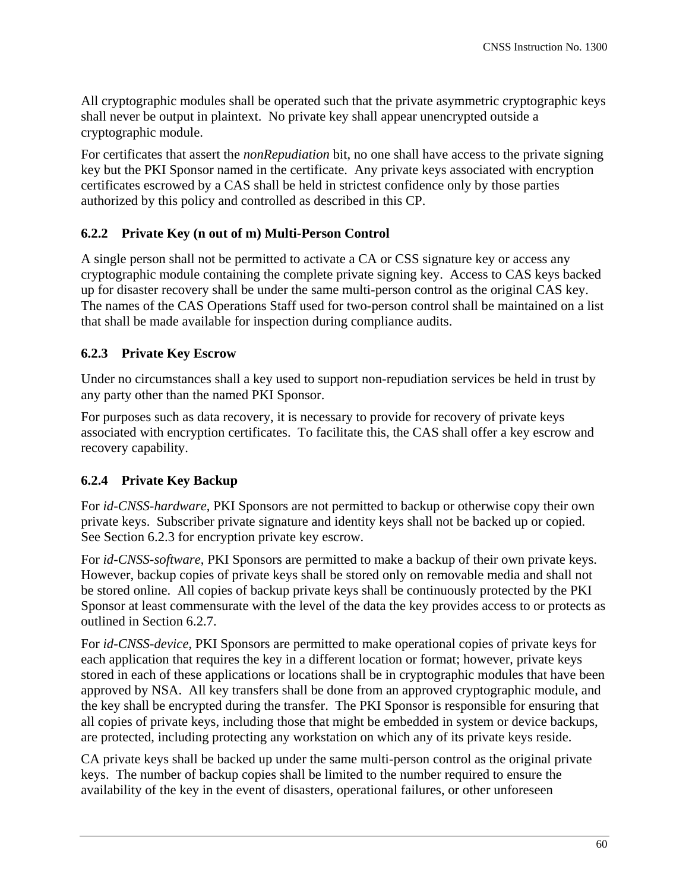All cryptographic modules shall be operated such that the private asymmetric cryptographic keys shall never be output in plaintext. No private key shall appear unencrypted outside a cryptographic module.

For certificates that assert the *nonRepudiation* bit, no one shall have access to the private signing key but the PKI Sponsor named in the certificate. Any private keys associated with encryption certificates escrowed by a CAS shall be held in strictest confidence only by those parties authorized by this policy and controlled as described in this CP.

# <span id="page-69-0"></span>**6.2.2 Private Key (n out of m) Multi-Person Control**

A single person shall not be permitted to activate a CA or CSS signature key or access any cryptographic module containing the complete private signing key. Access to CAS keys backed up for disaster recovery shall be under the same multi-person control as the original CAS key. The names of the CAS Operations Staff used for two-person control shall be maintained on a list that shall be made available for inspection during compliance audits.

# <span id="page-69-1"></span>**6.2.3 Private Key Escrow**

Under no circumstances shall a key used to support non-repudiation services be held in trust by any party other than the named PKI Sponsor.

For purposes such as data recovery, it is necessary to provide for recovery of private keys associated with encryption certificates. To facilitate this, the CAS shall offer a key escrow and recovery capability.

# <span id="page-69-2"></span>**6.2.4 Private Key Backup**

For *id-CNSS-hardware*, PKI Sponsors are not permitted to backup or otherwise copy their own private keys. Subscriber private signature and identity keys shall not be backed up or copied. See Section [6.2.3](#page-69-1) for encryption private key escrow.

For *id-CNSS-software*, PKI Sponsors are permitted to make a backup of their own private keys. However, backup copies of private keys shall be stored only on removable media and shall not be stored online. All copies of backup private keys shall be continuously protected by the PKI Sponsor at least commensurate with the level of the data the key provides access to or protects as outlined in Section [6.2.7.](#page-70-1)

For *id-CNSS-device*, PKI Sponsors are permitted to make operational copies of private keys for each application that requires the key in a different location or format; however, private keys stored in each of these applications or locations shall be in cryptographic modules that have been approved by NSA. All key transfers shall be done from an approved cryptographic module, and the key shall be encrypted during the transfer. The PKI Sponsor is responsible for ensuring that all copies of private keys, including those that might be embedded in system or device backups, are protected, including protecting any workstation on which any of its private keys reside.

CA private keys shall be backed up under the same multi-person control as the original private keys. The number of backup copies shall be limited to the number required to ensure the availability of the key in the event of disasters, operational failures, or other unforeseen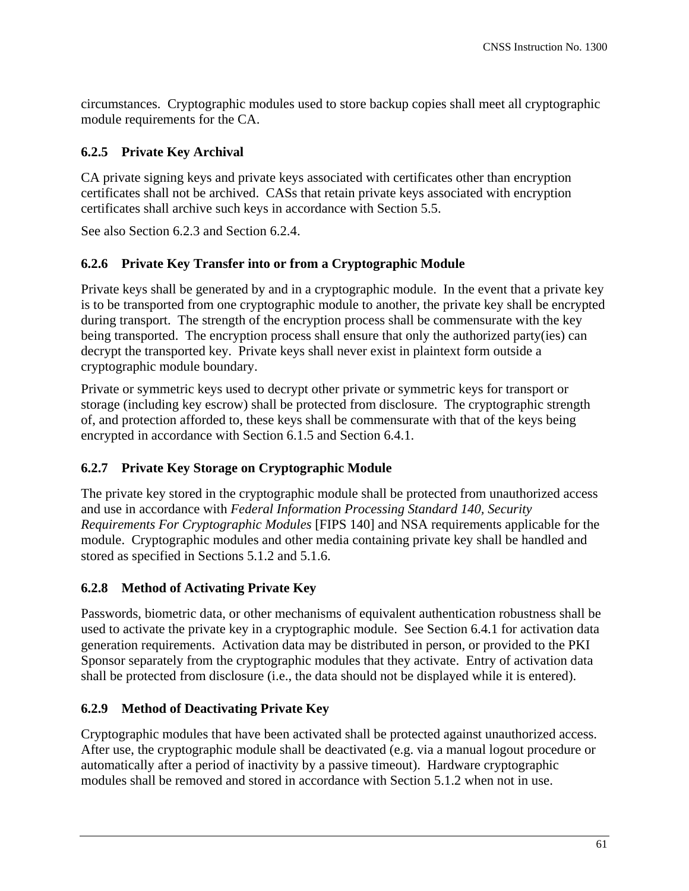circumstances. Cryptographic modules used to store backup copies shall meet all cryptographic module requirements for the CA.

# **6.2.5 Private Key Archival**

CA private signing keys and private keys associated with certificates other than encryption certificates shall not be archived. CASs that retain private keys associated with encryption certificates shall archive such keys in accordance with Section [5.5](#page-59-0).

See also Section [6.2.3](#page-69-1) and Section [6.2.4](#page-69-2).

# <span id="page-70-0"></span>**6.2.6 Private Key Transfer into or from a Cryptographic Module**

Private keys shall be generated by and in a cryptographic module. In the event that a private key is to be transported from one cryptographic module to another, the private key shall be encrypted during transport. The strength of the encryption process shall be commensurate with the key being transported. The encryption process shall ensure that only the authorized party(ies) can decrypt the transported key. Private keys shall never exist in plaintext form outside a cryptographic module boundary.

Private or symmetric keys used to decrypt other private or symmetric keys for transport or storage (including key escrow) shall be protected from disclosure. The cryptographic strength of, and protection afforded to, these keys shall be commensurate with that of the keys being encrypted in accordance with Section [6.1.5](#page-67-1) and Section [6.4.1](#page-72-0).

# <span id="page-70-1"></span>**6.2.7 Private Key Storage on Cryptographic Module**

The private key stored in the cryptographic module shall be protected from unauthorized access and use in accordance with *Federal Information Processing Standard 140, Security Requirements For Cryptographic Modules* [FIPS 140] and NSA requirements applicable for the module. Cryptographic modules and other media containing private key shall be handled and stored as specified in Sections [5.1.2](#page-47-0) and [5.1.6.](#page-49-0)

# **6.2.8 Method of Activating Private Key**

Passwords, biometric data, or other mechanisms of equivalent authentication robustness shall be used to activate the private key in a cryptographic module. See Section [6.4.1](#page-72-0) for activation data generation requirements. Activation data may be distributed in person, or provided to the PKI Sponsor separately from the cryptographic modules that they activate. Entry of activation data shall be protected from disclosure (i.e., the data should not be displayed while it is entered).

# **6.2.9 Method of Deactivating Private Key**

Cryptographic modules that have been activated shall be protected against unauthorized access. After use, the cryptographic module shall be deactivated (e.g. via a manual logout procedure or automatically after a period of inactivity by a passive timeout). Hardware cryptographic modules shall be removed and stored in accordance with Section [5.1.2](#page-47-0) when not in use.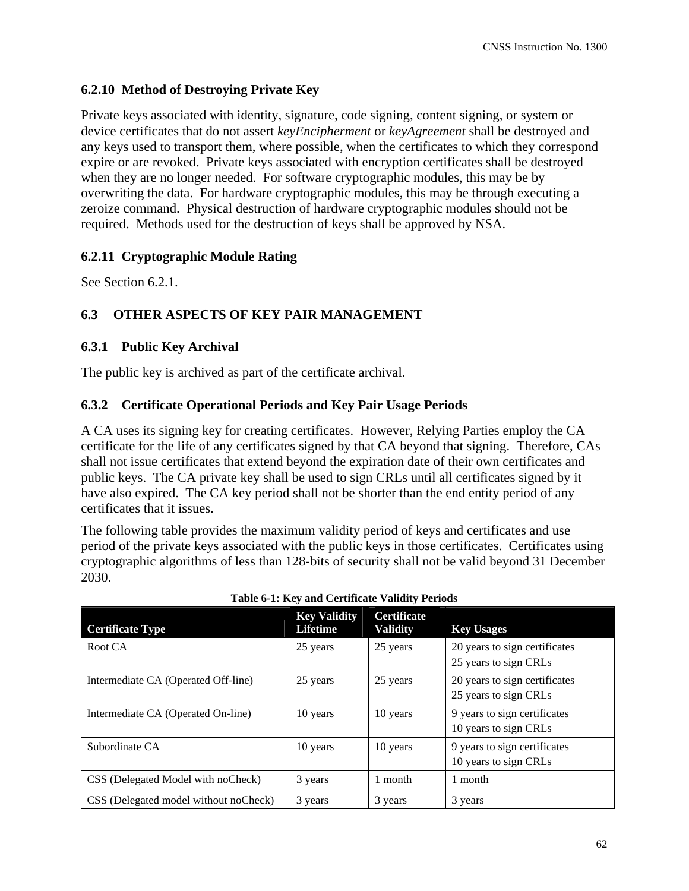# <span id="page-71-0"></span>**6.2.10 Method of Destroying Private Key**

Private keys associated with identity, signature, code signing, content signing, or system or device certificates that do not assert *keyEncipherment* or *keyAgreement* shall be destroyed and any keys used to transport them, where possible, when the certificates to which they correspond expire or are revoked. Private keys associated with encryption certificates shall be destroyed when they are no longer needed. For software cryptographic modules, this may be by overwriting the data. For hardware cryptographic modules, this may be through executing a zeroize command. Physical destruction of hardware cryptographic modules should not be required. Methods used for the destruction of keys shall be approved by NSA.

# **6.2.11 Cryptographic Module Rating**

See Section [6.2.1](#page-68-0).

# **6.3 OTHER ASPECTS OF KEY PAIR MANAGEMENT**

### **6.3.1 Public Key Archival**

The public key is archived as part of the certificate archival.

### **6.3.2 Certificate Operational Periods and Key Pair Usage Periods**

A CA uses its signing key for creating certificates. However, Relying Parties employ the CA certificate for the life of any certificates signed by that CA beyond that signing. Therefore, CAs shall not issue certificates that extend beyond the expiration date of their own certificates and public keys. The CA private key shall be used to sign CRLs until all certificates signed by it have also expired. The CA key period shall not be shorter than the end entity period of any certificates that it issues.

The following table provides the maximum validity period of keys and certificates and use period of the private keys associated with the public keys in those certificates. Certificates using cryptographic algorithms of less than 128-bits of security shall not be valid beyond 31 December 2030.

| <b>Certificate Type</b>               | <b>Key Validity</b><br><b>Lifetime</b> | <b>Certificate</b><br><b>Validity</b> | <b>Key Usages</b>                                      |
|---------------------------------------|----------------------------------------|---------------------------------------|--------------------------------------------------------|
| Root CA                               | 25 years                               | 25 years                              | 20 years to sign certificates<br>25 years to sign CRLs |
| Intermediate CA (Operated Off-line)   | 25 years                               | 25 years                              | 20 years to sign certificates<br>25 years to sign CRLs |
| Intermediate CA (Operated On-line)    | 10 years                               | 10 years                              | 9 years to sign certificates<br>10 years to sign CRLs  |
| Subordinate CA                        | 10 years                               | 10 years                              | 9 years to sign certificates<br>10 years to sign CRLs  |
| CSS (Delegated Model with noCheck)    | 3 years                                | 1 month                               | 1 month                                                |
| CSS (Delegated model without noCheck) | 3 years                                | 3 years                               | 3 years                                                |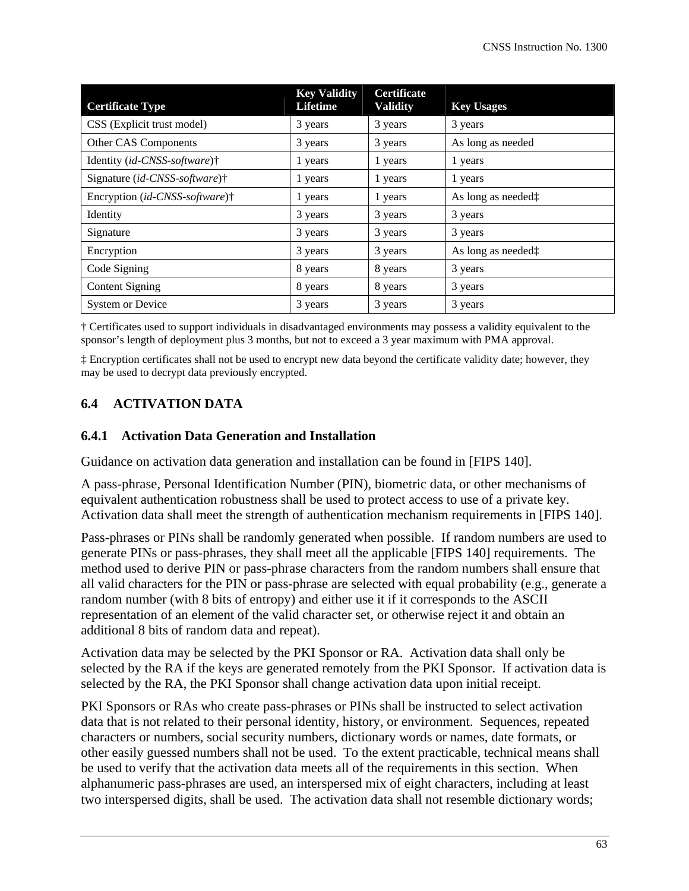| <b>Certificate Type</b>        | <b>Key Validity</b><br><b>Lifetime</b> | <b>Certificate</b><br><b>Validity</b> | <b>Key Usages</b>              |
|--------------------------------|----------------------------------------|---------------------------------------|--------------------------------|
| CSS (Explicit trust model)     | 3 years                                | 3 years                               | 3 years                        |
| Other CAS Components           | 3 years                                | 3 years                               | As long as needed              |
| Identity (id-CNSS-software)†   | 1 years                                | 1 years                               | 1 years                        |
| Signature (id-CNSS-software)†  | 1 years                                | 1 years                               | 1 years                        |
| Encryption (id-CNSS-software)† | 1 years                                | 1 years                               | As long as needed:             |
| Identity                       | 3 years                                | 3 years                               | 3 years                        |
| Signature                      | 3 years                                | 3 years                               | 3 years                        |
| Encryption                     | 3 years                                | 3 years                               | As long as needed <sup>+</sup> |
| Code Signing                   | 8 years                                | 8 years                               | 3 years                        |
| <b>Content Signing</b>         | 8 years                                | 8 years                               | 3 years                        |
| <b>System or Device</b>        | 3 years                                | 3 years                               | 3 years                        |

† Certificates used to support individuals in disadvantaged environments may possess a validity equivalent to the sponsor's length of deployment plus 3 months, but not to exceed a 3 year maximum with PMA approval.

‡ Encryption certificates shall not be used to encrypt new data beyond the certificate validity date; however, they may be used to decrypt data previously encrypted.

### **6.4 ACTIVATION DATA**

#### **6.4.1 Activation Data Generation and Installation**

Guidance on activation data generation and installation can be found in [FIPS 140].

A pass-phrase, Personal Identification Number (PIN), biometric data, or other mechanisms of equivalent authentication robustness shall be used to protect access to use of a private key. Activation data shall meet the strength of authentication mechanism requirements in [FIPS 140].

Pass-phrases or PINs shall be randomly generated when possible. If random numbers are used to generate PINs or pass-phrases, they shall meet all the applicable [FIPS 140] requirements. The method used to derive PIN or pass-phrase characters from the random numbers shall ensure that all valid characters for the PIN or pass-phrase are selected with equal probability (e.g., generate a random number (with 8 bits of entropy) and either use it if it corresponds to the ASCII representation of an element of the valid character set, or otherwise reject it and obtain an additional 8 bits of random data and repeat).

Activation data may be selected by the PKI Sponsor or RA. Activation data shall only be selected by the RA if the keys are generated remotely from the PKI Sponsor. If activation data is selected by the RA, the PKI Sponsor shall change activation data upon initial receipt.

PKI Sponsors or RAs who create pass-phrases or PINs shall be instructed to select activation data that is not related to their personal identity, history, or environment. Sequences, repeated characters or numbers, social security numbers, dictionary words or names, date formats, or other easily guessed numbers shall not be used. To the extent practicable, technical means shall be used to verify that the activation data meets all of the requirements in this section. When alphanumeric pass-phrases are used, an interspersed mix of eight characters, including at least two interspersed digits, shall be used. The activation data shall not resemble dictionary words;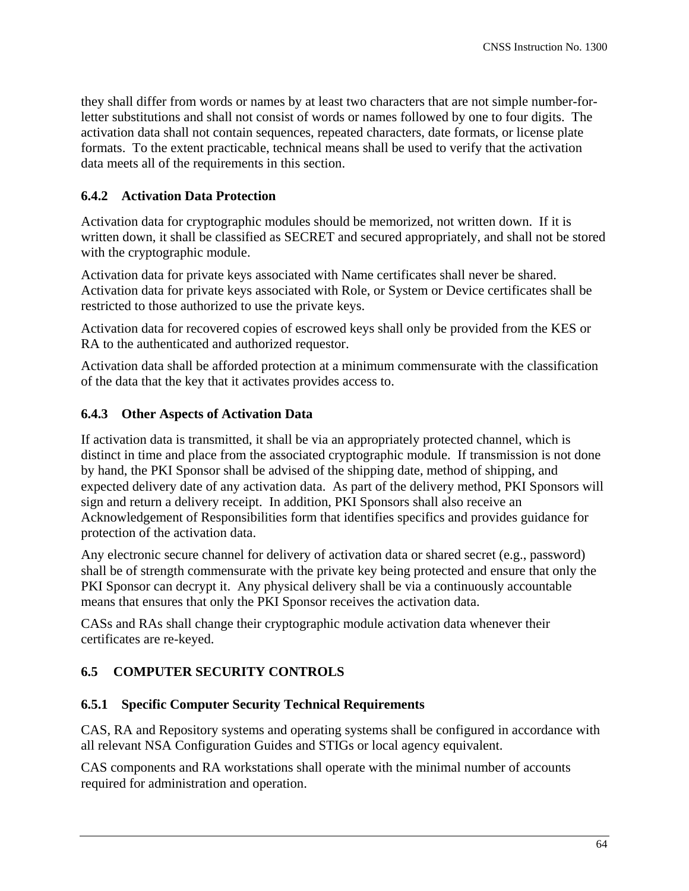they shall differ from words or names by at least two characters that are not simple number-forletter substitutions and shall not consist of words or names followed by one to four digits. The activation data shall not contain sequences, repeated characters, date formats, or license plate formats. To the extent practicable, technical means shall be used to verify that the activation data meets all of the requirements in this section.

#### **6.4.2 Activation Data Protection**

Activation data for cryptographic modules should be memorized, not written down. If it is written down, it shall be classified as SECRET and secured appropriately, and shall not be stored with the cryptographic module.

Activation data for private keys associated with Name certificates shall never be shared. Activation data for private keys associated with Role, or System or Device certificates shall be restricted to those authorized to use the private keys.

Activation data for recovered copies of escrowed keys shall only be provided from the KES or RA to the authenticated and authorized requestor.

Activation data shall be afforded protection at a minimum commensurate with the classification of the data that the key that it activates provides access to.

#### **6.4.3 Other Aspects of Activation Data**

If activation data is transmitted, it shall be via an appropriately protected channel, which is distinct in time and place from the associated cryptographic module. If transmission is not done by hand, the PKI Sponsor shall be advised of the shipping date, method of shipping, and expected delivery date of any activation data. As part of the delivery method, PKI Sponsors will sign and return a delivery receipt. In addition, PKI Sponsors shall also receive an Acknowledgement of Responsibilities form that identifies specifics and provides guidance for protection of the activation data.

Any electronic secure channel for delivery of activation data or shared secret (e.g., password) shall be of strength commensurate with the private key being protected and ensure that only the PKI Sponsor can decrypt it. Any physical delivery shall be via a continuously accountable means that ensures that only the PKI Sponsor receives the activation data.

CASs and RAs shall change their cryptographic module activation data whenever their certificates are re-keyed.

#### **6.5 COMPUTER SECURITY CONTROLS**

#### **6.5.1 Specific Computer Security Technical Requirements**

CAS, RA and Repository systems and operating systems shall be configured in accordance with all relevant NSA Configuration Guides and STIGs or local agency equivalent.

CAS components and RA workstations shall operate with the minimal number of accounts required for administration and operation.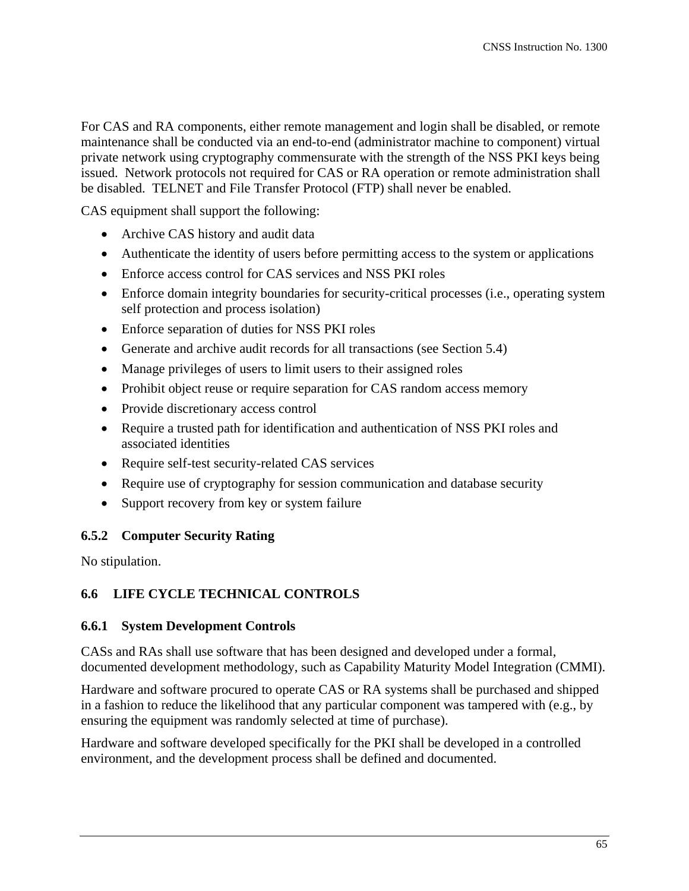For CAS and RA components, either remote management and login shall be disabled, or remote maintenance shall be conducted via an end-to-end (administrator machine to component) virtual private network using cryptography commensurate with the strength of the NSS PKI keys being issued. Network protocols not required for CAS or RA operation or remote administration shall be disabled. TELNET and File Transfer Protocol (FTP) shall never be enabled.

CAS equipment shall support the following:

- Archive CAS history and audit data
- Authenticate the identity of users before permitting access to the system or applications
- Enforce access control for CAS services and NSS PKI roles
- Enforce domain integrity boundaries for security-critical processes (i.e., operating system self protection and process isolation)
- Enforce separation of duties for NSS PKI roles
- Generate and archive audit records for all transactions (see Section [5.4\)](#page-55-0)
- Manage privileges of users to limit users to their assigned roles
- Prohibit object reuse or require separation for CAS random access memory
- Provide discretionary access control
- Require a trusted path for identification and authentication of NSS PKI roles and associated identities
- Require self-test security-related CAS services
- Require use of cryptography for session communication and database security
- Support recovery from key or system failure

#### **6.5.2 Computer Security Rating**

No stipulation.

#### **6.6 LIFE CYCLE TECHNICAL CONTROLS**

#### **6.6.1 System Development Controls**

CASs and RAs shall use software that has been designed and developed under a formal, documented development methodology, such as Capability Maturity Model Integration (CMMI).

Hardware and software procured to operate CAS or RA systems shall be purchased and shipped in a fashion to reduce the likelihood that any particular component was tampered with (e.g., by ensuring the equipment was randomly selected at time of purchase).

Hardware and software developed specifically for the PKI shall be developed in a controlled environment, and the development process shall be defined and documented.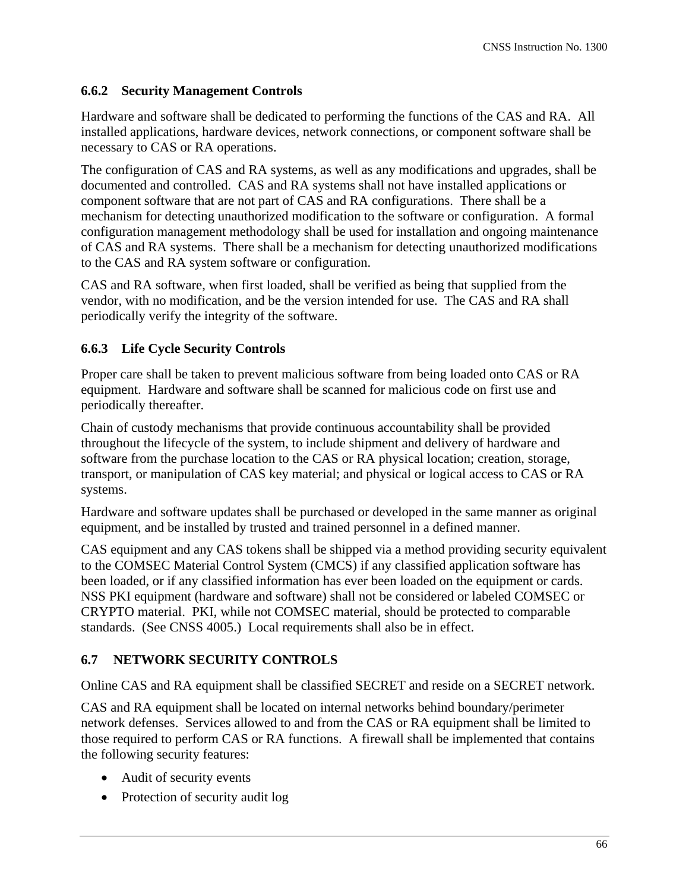#### **6.6.2 Security Management Controls**

Hardware and software shall be dedicated to performing the functions of the CAS and RA. All installed applications, hardware devices, network connections, or component software shall be necessary to CAS or RA operations.

The configuration of CAS and RA systems, as well as any modifications and upgrades, shall be documented and controlled. CAS and RA systems shall not have installed applications or component software that are not part of CAS and RA configurations. There shall be a mechanism for detecting unauthorized modification to the software or configuration. A formal configuration management methodology shall be used for installation and ongoing maintenance of CAS and RA systems. There shall be a mechanism for detecting unauthorized modifications to the CAS and RA system software or configuration.

CAS and RA software, when first loaded, shall be verified as being that supplied from the vendor, with no modification, and be the version intended for use. The CAS and RA shall periodically verify the integrity of the software.

#### **6.6.3 Life Cycle Security Controls**

Proper care shall be taken to prevent malicious software from being loaded onto CAS or RA equipment. Hardware and software shall be scanned for malicious code on first use and periodically thereafter.

Chain of custody mechanisms that provide continuous accountability shall be provided throughout the lifecycle of the system, to include shipment and delivery of hardware and software from the purchase location to the CAS or RA physical location; creation, storage, transport, or manipulation of CAS key material; and physical or logical access to CAS or RA systems.

Hardware and software updates shall be purchased or developed in the same manner as original equipment, and be installed by trusted and trained personnel in a defined manner.

CAS equipment and any CAS tokens shall be shipped via a method providing security equivalent to the COMSEC Material Control System (CMCS) if any classified application software has been loaded, or if any classified information has ever been loaded on the equipment or cards. NSS PKI equipment (hardware and software) shall not be considered or labeled COMSEC or CRYPTO material. PKI, while not COMSEC material, should be protected to comparable standards. (See CNSS 4005.) Local requirements shall also be in effect.

### **6.7 NETWORK SECURITY CONTROLS**

Online CAS and RA equipment shall be classified SECRET and reside on a SECRET network.

CAS and RA equipment shall be located on internal networks behind boundary/perimeter network defenses. Services allowed to and from the CAS or RA equipment shall be limited to those required to perform CAS or RA functions. A firewall shall be implemented that contains the following security features:

- Audit of security events
- Protection of security audit log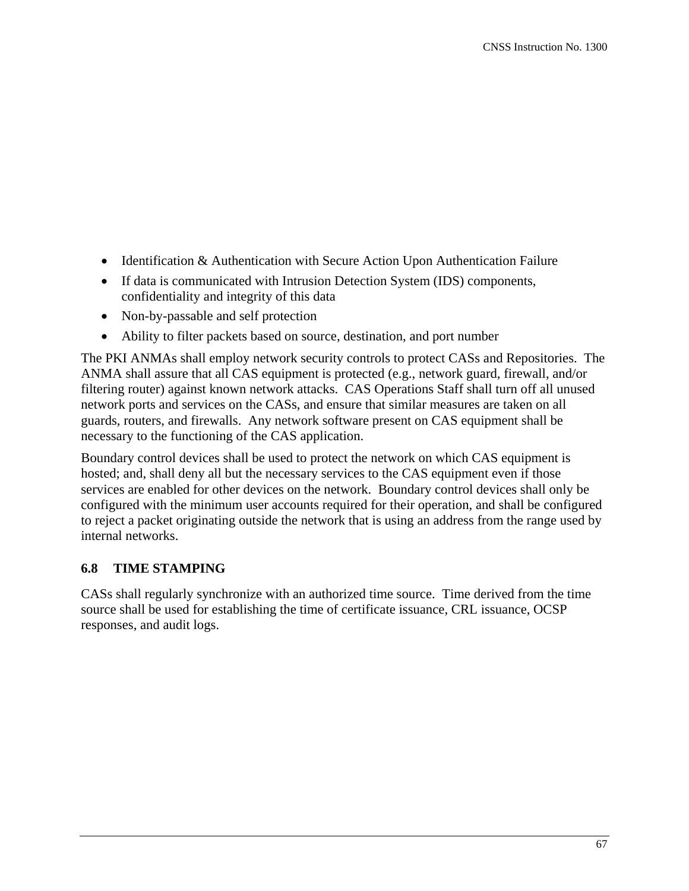- Identification & Authentication with Secure Action Upon Authentication Failure
- If data is communicated with Intrusion Detection System (IDS) components, confidentiality and integrity of this data
- Non-by-passable and self protection
- Ability to filter packets based on source, destination, and port number

The PKI ANMAs shall employ network security controls to protect CASs and Repositories. The ANMA shall assure that all CAS equipment is protected (e.g., network guard, firewall, and/or filtering router) against known network attacks. CAS Operations Staff shall turn off all unused network ports and services on the CASs, and ensure that similar measures are taken on all guards, routers, and firewalls. Any network software present on CAS equipment shall be necessary to the functioning of the CAS application.

Boundary control devices shall be used to protect the network on which CAS equipment is hosted; and, shall deny all but the necessary services to the CAS equipment even if those services are enabled for other devices on the network. Boundary control devices shall only be configured with the minimum user accounts required for their operation, and shall be configured to reject a packet originating outside the network that is using an address from the range used by internal networks.

#### **6.8 TIME STAMPING**

CASs shall regularly synchronize with an authorized time source. Time derived from the time source shall be used for establishing the time of certificate issuance, CRL issuance, OCSP responses, and audit logs.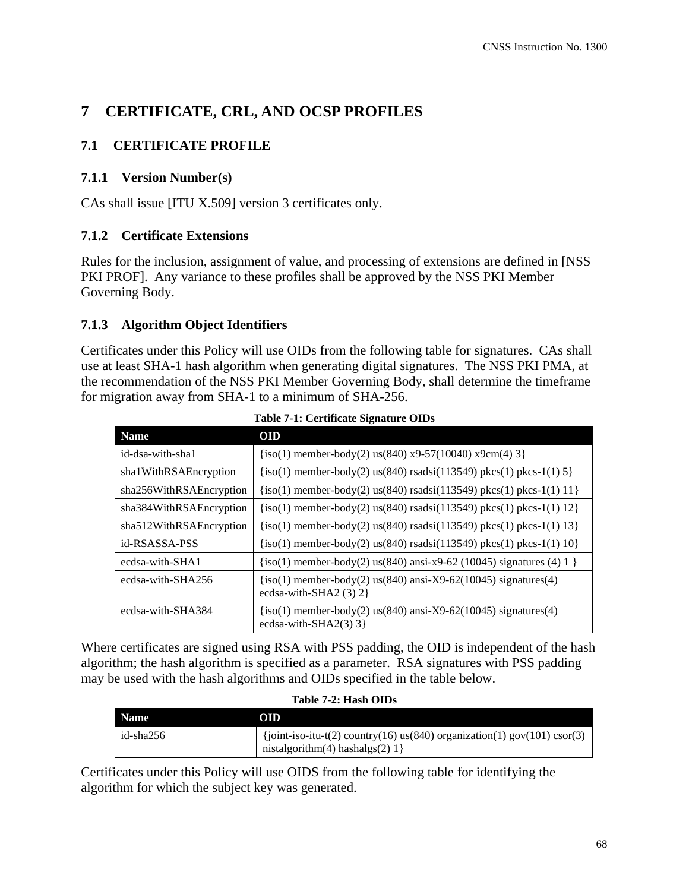# **7 CERTIFICATE, CRL, AND OCSP PROFILES**

### **7.1 CERTIFICATE PROFILE**

#### **7.1.1 Version Number(s)**

CAs shall issue [ITU X.509] version 3 certificates only.

#### **7.1.2 Certificate Extensions**

Rules for the inclusion, assignment of value, and processing of extensions are defined in [NSS PKI PROF]. Any variance to these profiles shall be approved by the NSS PKI Member Governing Body.

### **7.1.3 Algorithm Object Identifiers**

Certificates under this Policy will use OIDs from the following table for signatures. CAs shall use at least SHA-1 hash algorithm when generating digital signatures. The NSS PKI PMA, at the recommendation of the NSS PKI Member Governing Body, shall determine the timeframe for migration away from SHA-1 to a minimum of SHA-256.

| <b>Name</b>             | <b>OID</b>                                                                                    |
|-------------------------|-----------------------------------------------------------------------------------------------|
| id-dsa-with-shal        | $\{iso(1)$ member-body(2) us(840) x9-57(10040) x9cm(4) 3 $\}$                                 |
| sha1WithRSAEncryption   | $\{iso(1)$ member-body(2) us(840) rsadsi(113549) pkcs(1) pkcs-1(1) 5 $\}$                     |
| sha256WithRSAEncryption | $\{iso(1)$ member-body(2) us(840) rsadsi(113549) pkcs(1) pkcs-1(1) 11}                        |
| sha384WithRSAEncryption | $\{iso(1)$ member-body(2) us(840) rsadsi(113549) pkcs(1) pkcs-1(1) 12 $\}$                    |
| sha512WithRSAEncryption | $\{iso(1)$ member-body(2) us(840) rsadsi(113549) pkcs(1) pkcs-1(1) 13 $\}$                    |
| id-RSASSA-PSS           | $\{iso(1)$ member-body(2) us(840) rsadsi(113549) pkcs(1) pkcs-1(1) 10}                        |
| ecdsa-with-SHA1         | $\{iso(1)$ member-body(2) us(840) ansi-x9-62 (10045) signatures (4) 1 }                       |
| ecdsa-with-SHA256       | $\{iso(1)$ member-body(2) us(840) ansi-X9-62(10045) signatures(4)<br>ecdsa-with-SHA2 $(3)$ 2} |
| ecdsa-with-SHA384       | $\{iso(1)$ member-body(2) us(840) ansi-X9-62(10045) signatures(4)<br>ecdsa-with-SHA2(3) 3}    |

**Table 7-1: Certificate Signature OIDs** 

Where certificates are signed using RSA with PSS padding, the OID is independent of the hash algorithm; the hash algorithm is specified as a parameter. RSA signatures with PSS padding may be used with the hash algorithms and OIDs specified in the table below.

#### **Table 7-2: Hash OIDs**

| Name      | OID                                                                                                            |
|-----------|----------------------------------------------------------------------------------------------------------------|
| id-sha256 | {joint-iso-itu-t(2) country(16) us(840) organization(1) gov(101) csor(3)<br>nistalgorithm(4) hashalgs(2) $1$ } |

Certificates under this Policy will use OIDS from the following table for identifying the algorithm for which the subject key was generated.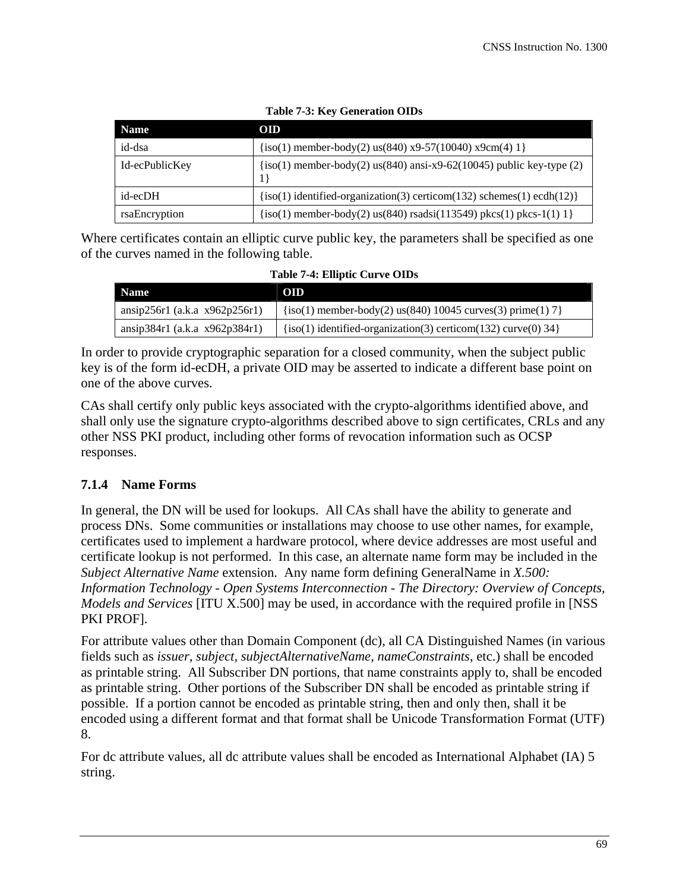| <b>Name</b>    | <b>OID</b>                                                                    |
|----------------|-------------------------------------------------------------------------------|
| id-dsa         | $\{iso(1)$ member-body(2) us(840) x9-57(10040) x9cm(4) 1 $\}$                 |
| Id-ecPublicKey | $(iso(1)$ member-body(2) us(840) ansi-x9-62(10045) public key-type (2)        |
| id-ecDH        | ${\rm (iso(1)~identified-organization(3)~certicom(132)~ schemes(1)~ecdh(12)}$ |
| rsaEncryption  | $\{iso(1)$ member-body(2) us(840) rsadsi(113549) pkcs(1) pkcs-1(1) 1}         |

|  | Table 7-3: Key Generation OIDs |  |
|--|--------------------------------|--|

Where certificates contain an elliptic curve public key, the parameters shall be specified as one of the curves named in the following table.

| <b>Name</b>                      | <b>OID</b>                                                           |
|----------------------------------|----------------------------------------------------------------------|
| ansip256r1 (a.k.a $x962p256r1$ ) | $\{iso(1)$ member-body(2) us(840) 10045 curves(3) prime(1) 7 $\}$    |
| ansip384r1 (a.k.a x962p384r1)    | $\{iso(1)$ identified-organization(3) certicom(132) curve(0) 34 $\}$ |

In order to provide cryptographic separation for a closed community, when the subject public key is of the form id-ecDH, a private OID may be asserted to indicate a different base point on one of the above curves.

CAs shall certify only public keys associated with the crypto-algorithms identified above, and shall only use the signature crypto-algorithms described above to sign certificates, CRLs and any other NSS PKI product, including other forms of revocation information such as OCSP responses.

### **7.1.4 Name Forms**

In general, the DN will be used for lookups. All CAs shall have the ability to generate and process DNs. Some communities or installations may choose to use other names, for example, certificates used to implement a hardware protocol, where device addresses are most useful and certificate lookup is not performed. In this case, an alternate name form may be included in the *Subject Alternative Name* extension. Any name form defining GeneralName in *X.500: Information Technology - Open Systems Interconnection - The Directory: Overview of Concepts, Models and Services* [ITU X.500] may be used, in accordance with the required profile in [NSS PKI PROF].

For attribute values other than Domain Component (dc), all CA Distinguished Names (in various fields such as *issuer, subject, subjectAlternativeName, nameConstraints*, etc.) shall be encoded as printable string. All Subscriber DN portions, that name constraints apply to, shall be encoded as printable string. Other portions of the Subscriber DN shall be encoded as printable string if possible. If a portion cannot be encoded as printable string, then and only then, shall it be encoded using a different format and that format shall be Unicode Transformation Format (UTF) 8.

For dc attribute values, all dc attribute values shall be encoded as International Alphabet (IA) 5 string.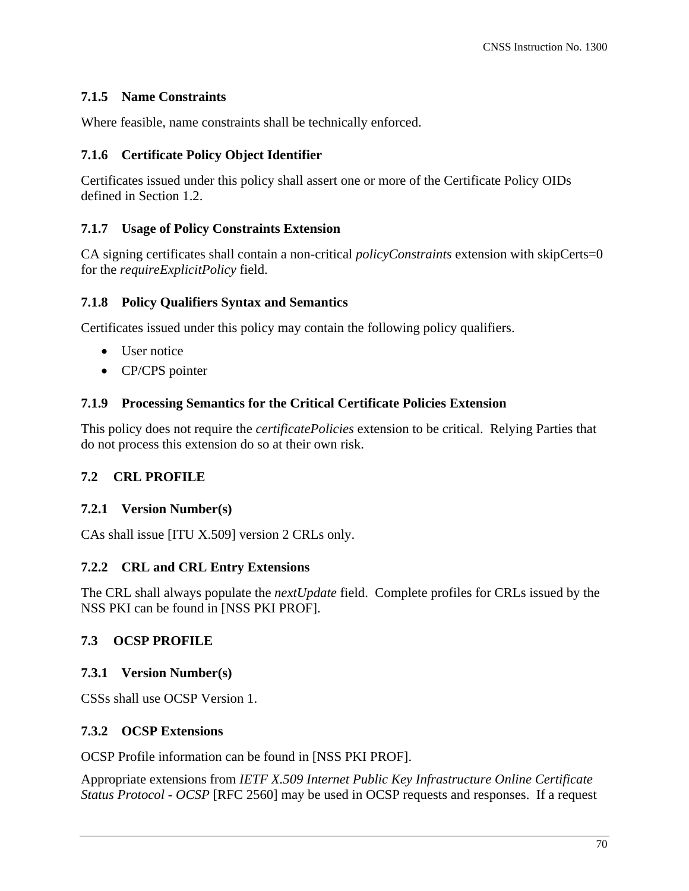### **7.1.5 Name Constraints**

Where feasible, name constraints shall be technically enforced.

### **7.1.6 Certificate Policy Object Identifier**

Certificates issued under this policy shall assert one or more of the Certificate Policy OIDs defined in Section [1.2](#page-12-0).

### **7.1.7 Usage of Policy Constraints Extension**

CA signing certificates shall contain a non-critical *policyConstraints* extension with skipCerts=0 for the *requireExplicitPolicy* field.

### **7.1.8 Policy Qualifiers Syntax and Semantics**

Certificates issued under this policy may contain the following policy qualifiers.

- User notice
- CP/CPS pointer

### **7.1.9 Processing Semantics for the Critical Certificate Policies Extension**

This policy does not require the *certificatePolicies* extension to be critical. Relying Parties that do not process this extension do so at their own risk.

# **7.2 CRL PROFILE**

### **7.2.1 Version Number(s)**

CAs shall issue [ITU X.509] version 2 CRLs only.

### **7.2.2 CRL and CRL Entry Extensions**

The CRL shall always populate the *nextUpdate* field. Complete profiles for CRLs issued by the NSS PKI can be found in [NSS PKI PROF].

### **7.3 OCSP PROFILE**

### **7.3.1 Version Number(s)**

CSSs shall use OCSP Version 1.

### **7.3.2 OCSP Extensions**

OCSP Profile information can be found in [NSS PKI PROF].

Appropriate extensions from *IETF X.509 Internet Public Key Infrastructure Online Certificate Status Protocol - OCSP* [RFC 2560] may be used in OCSP requests and responses. If a request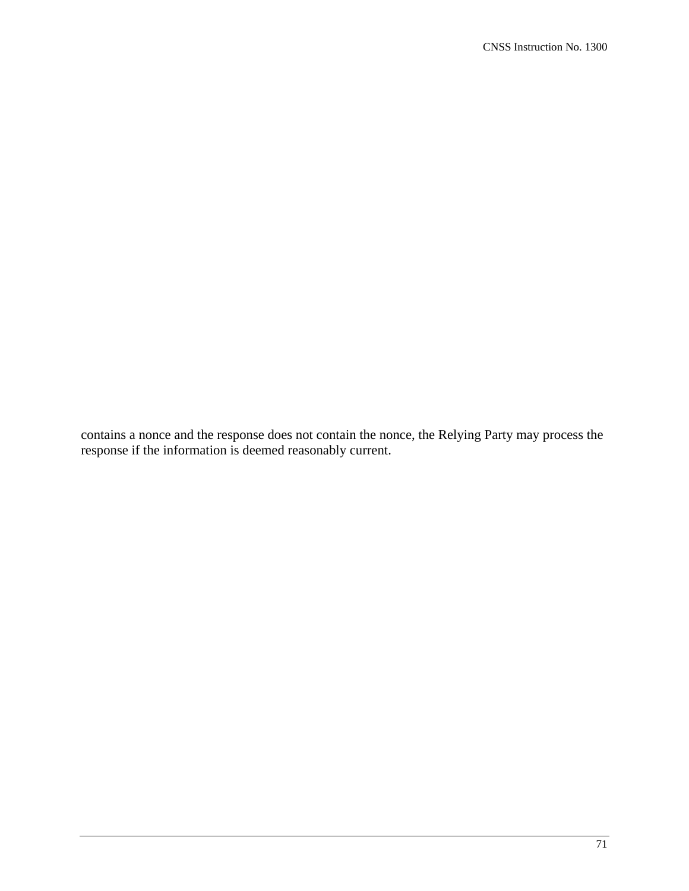contains a nonce and the response does not contain the nonce, the Relying Party may process the response if the information is deemed reasonably current.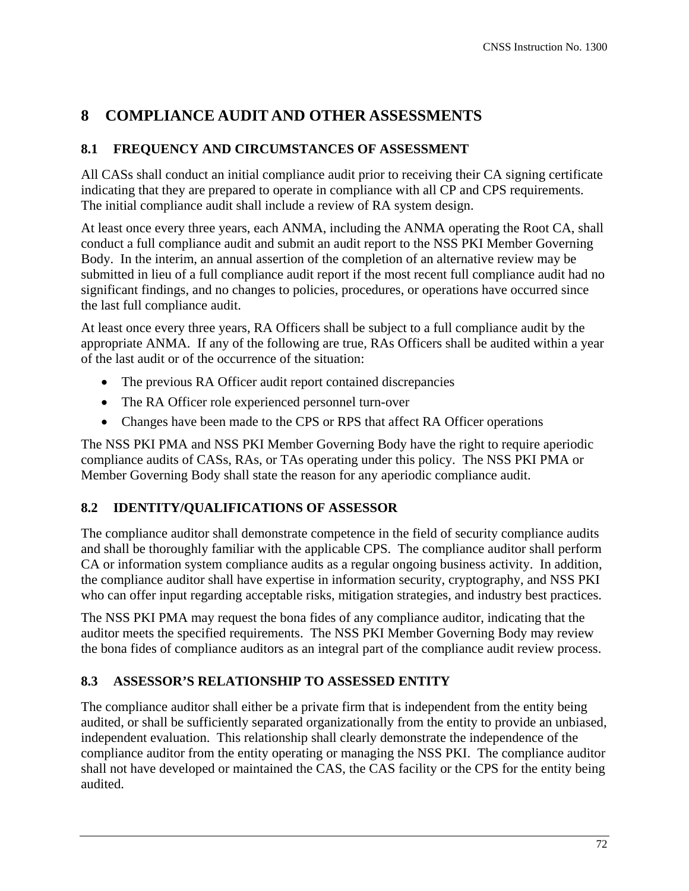# **8 COMPLIANCE AUDIT AND OTHER ASSESSMENTS**

### **8.1 FREQUENCY AND CIRCUMSTANCES OF ASSESSMENT**

All CASs shall conduct an initial compliance audit prior to receiving their CA signing certificate indicating that they are prepared to operate in compliance with all CP and CPS requirements. The initial compliance audit shall include a review of RA system design.

At least once every three years, each ANMA, including the ANMA operating the Root CA, shall conduct a full compliance audit and submit an audit report to the NSS PKI Member Governing Body. In the interim, an annual assertion of the completion of an alternative review may be submitted in lieu of a full compliance audit report if the most recent full compliance audit had no significant findings, and no changes to policies, procedures, or operations have occurred since the last full compliance audit.

At least once every three years, RA Officers shall be subject to a full compliance audit by the appropriate ANMA. If any of the following are true, RAs Officers shall be audited within a year of the last audit or of the occurrence of the situation:

- The previous RA Officer audit report contained discrepancies
- The RA Officer role experienced personnel turn-over
- Changes have been made to the CPS or RPS that affect RA Officer operations

The NSS PKI PMA and NSS PKI Member Governing Body have the right to require aperiodic compliance audits of CASs, RAs, or TAs operating under this policy. The NSS PKI PMA or Member Governing Body shall state the reason for any aperiodic compliance audit.

### **8.2 IDENTITY/QUALIFICATIONS OF ASSESSOR**

The compliance auditor shall demonstrate competence in the field of security compliance audits and shall be thoroughly familiar with the applicable CPS. The compliance auditor shall perform CA or information system compliance audits as a regular ongoing business activity. In addition, the compliance auditor shall have expertise in information security, cryptography, and NSS PKI who can offer input regarding acceptable risks, mitigation strategies, and industry best practices.

The NSS PKI PMA may request the bona fides of any compliance auditor, indicating that the auditor meets the specified requirements. The NSS PKI Member Governing Body may review the bona fides of compliance auditors as an integral part of the compliance audit review process.

### **8.3 ASSESSOR'S RELATIONSHIP TO ASSESSED ENTITY**

The compliance auditor shall either be a private firm that is independent from the entity being audited, or shall be sufficiently separated organizationally from the entity to provide an unbiased, independent evaluation. This relationship shall clearly demonstrate the independence of the compliance auditor from the entity operating or managing the NSS PKI. The compliance auditor shall not have developed or maintained the CAS, the CAS facility or the CPS for the entity being audited.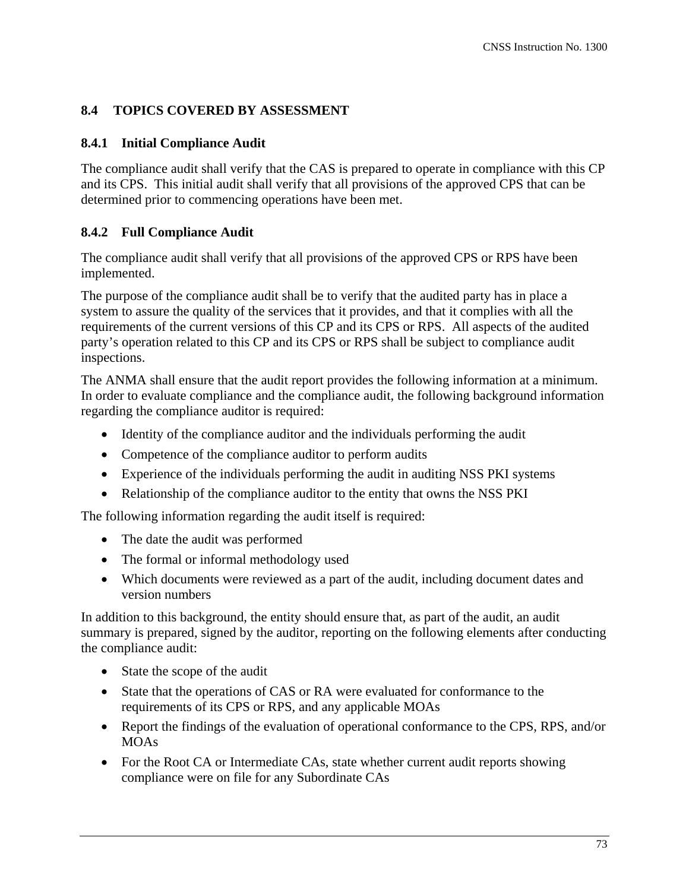### **8.4 TOPICS COVERED BY ASSESSMENT**

### **8.4.1 Initial Compliance Audit**

The compliance audit shall verify that the CAS is prepared to operate in compliance with this CP and its CPS. This initial audit shall verify that all provisions of the approved CPS that can be determined prior to commencing operations have been met.

### **8.4.2 Full Compliance Audit**

The compliance audit shall verify that all provisions of the approved CPS or RPS have been implemented.

The purpose of the compliance audit shall be to verify that the audited party has in place a system to assure the quality of the services that it provides, and that it complies with all the requirements of the current versions of this CP and its CPS or RPS. All aspects of the audited party's operation related to this CP and its CPS or RPS shall be subject to compliance audit inspections.

The ANMA shall ensure that the audit report provides the following information at a minimum. In order to evaluate compliance and the compliance audit, the following background information regarding the compliance auditor is required:

- Identity of the compliance auditor and the individuals performing the audit
- Competence of the compliance auditor to perform audits
- Experience of the individuals performing the audit in auditing NSS PKI systems
- Relationship of the compliance auditor to the entity that owns the NSS PKI

The following information regarding the audit itself is required:

- The date the audit was performed
- The formal or informal methodology used
- Which documents were reviewed as a part of the audit, including document dates and version numbers

In addition to this background, the entity should ensure that, as part of the audit, an audit summary is prepared, signed by the auditor, reporting on the following elements after conducting the compliance audit:

- State the scope of the audit
- State that the operations of CAS or RA were evaluated for conformance to the requirements of its CPS or RPS, and any applicable MOAs
- Report the findings of the evaluation of operational conformance to the CPS, RPS, and/or MOAs
- For the Root CA or Intermediate CAs, state whether current audit reports showing compliance were on file for any Subordinate CAs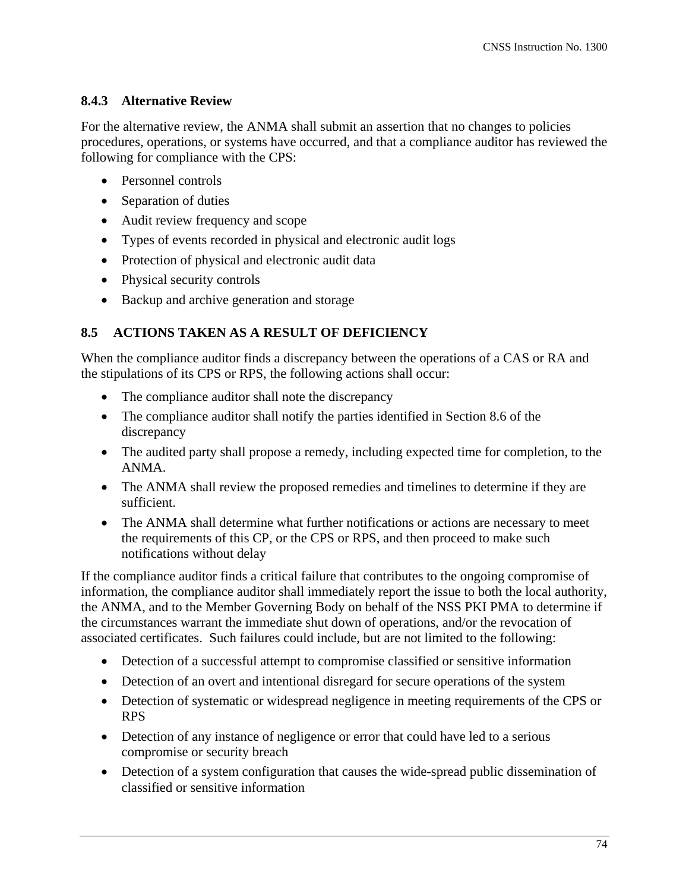### **8.4.3 Alternative Review**

For the alternative review, the ANMA shall submit an assertion that no changes to policies procedures, operations, or systems have occurred, and that a compliance auditor has reviewed the following for compliance with the CPS:

- Personnel controls
- Separation of duties
- Audit review frequency and scope
- Types of events recorded in physical and electronic audit logs
- Protection of physical and electronic audit data
- Physical security controls
- Backup and archive generation and storage

### <span id="page-83-0"></span>**8.5 ACTIONS TAKEN AS A RESULT OF DEFICIENCY**

When the compliance auditor finds a discrepancy between the operations of a CAS or RA and the stipulations of its CPS or RPS, the following actions shall occur:

- The compliance auditor shall note the discrepancy
- The compliance auditor shall notify the parties identified in Section [8.6](#page-84-0) of the discrepancy
- The audited party shall propose a remedy, including expected time for completion, to the ANMA.
- The ANMA shall review the proposed remedies and timelines to determine if they are sufficient.
- The ANMA shall determine what further notifications or actions are necessary to meet the requirements of this CP, or the CPS or RPS, and then proceed to make such notifications without delay

If the compliance auditor finds a critical failure that contributes to the ongoing compromise of information, the compliance auditor shall immediately report the issue to both the local authority, the ANMA, and to the Member Governing Body on behalf of the NSS PKI PMA to determine if the circumstances warrant the immediate shut down of operations, and/or the revocation of associated certificates. Such failures could include, but are not limited to the following:

- Detection of a successful attempt to compromise classified or sensitive information
- Detection of an overt and intentional disregard for secure operations of the system
- Detection of systematic or widespread negligence in meeting requirements of the CPS or RPS
- Detection of any instance of negligence or error that could have led to a serious compromise or security breach
- Detection of a system configuration that causes the wide-spread public dissemination of classified or sensitive information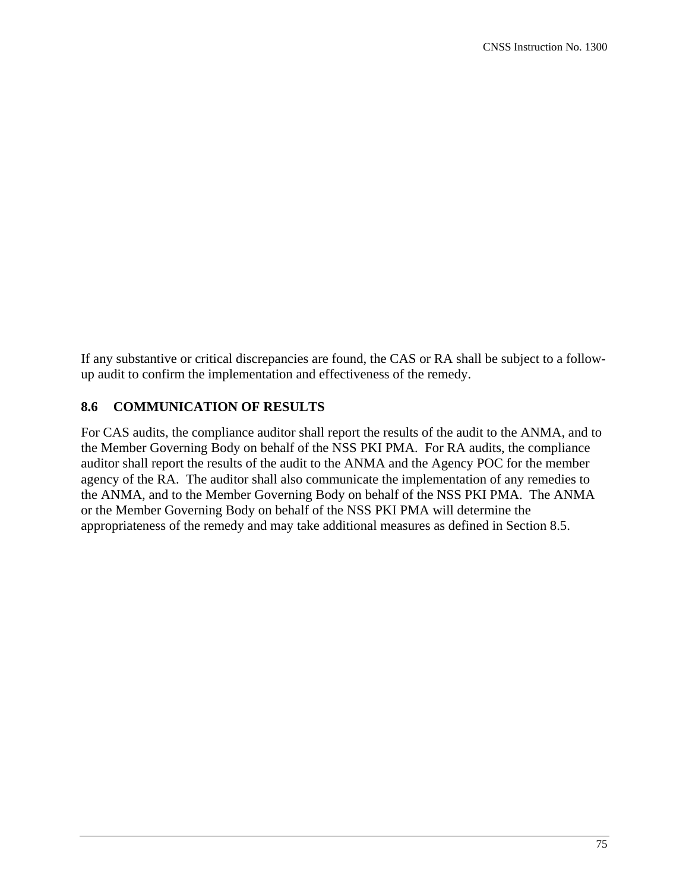If any substantive or critical discrepancies are found, the CAS or RA shall be subject to a followup audit to confirm the implementation and effectiveness of the remedy.

#### <span id="page-84-0"></span>**8.6 COMMUNICATION OF RESULTS**

For CAS audits, the compliance auditor shall report the results of the audit to the ANMA, and to the Member Governing Body on behalf of the NSS PKI PMA. For RA audits, the compliance auditor shall report the results of the audit to the ANMA and the Agency POC for the member agency of the RA. The auditor shall also communicate the implementation of any remedies to the ANMA, and to the Member Governing Body on behalf of the NSS PKI PMA. The ANMA or the Member Governing Body on behalf of the NSS PKI PMA will determine the appropriateness of the remedy and may take additional measures as defined in Section [8.5.](#page-83-0)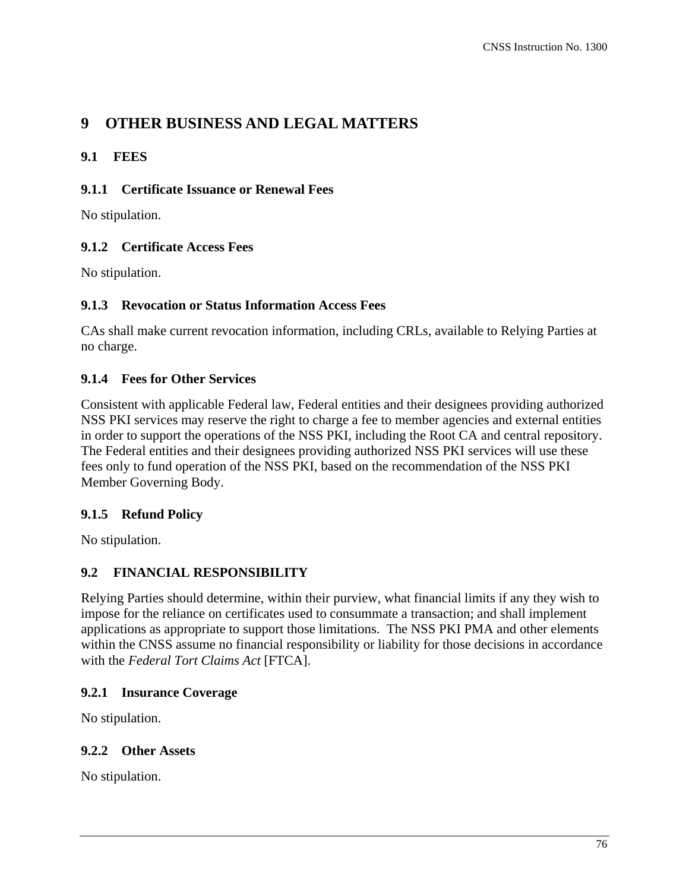# **9 OTHER BUSINESS AND LEGAL MATTERS**

### **9.1 FEES**

#### **9.1.1 Certificate Issuance or Renewal Fees**

No stipulation.

#### **9.1.2 Certificate Access Fees**

No stipulation.

#### **9.1.3 Revocation or Status Information Access Fees**

CAs shall make current revocation information, including CRLs, available to Relying Parties at no charge.

#### **9.1.4 Fees for Other Services**

Consistent with applicable Federal law, Federal entities and their designees providing authorized NSS PKI services may reserve the right to charge a fee to member agencies and external entities in order to support the operations of the NSS PKI, including the Root CA and central repository. The Federal entities and their designees providing authorized NSS PKI services will use these fees only to fund operation of the NSS PKI, based on the recommendation of the NSS PKI Member Governing Body.

### **9.1.5 Refund Policy**

No stipulation.

### **9.2 FINANCIAL RESPONSIBILITY**

Relying Parties should determine, within their purview, what financial limits if any they wish to impose for the reliance on certificates used to consummate a transaction; and shall implement applications as appropriate to support those limitations. The NSS PKI PMA and other elements within the CNSS assume no financial responsibility or liability for those decisions in accordance with the *Federal Tort Claims Act* [FTCA].

#### **9.2.1 Insurance Coverage**

No stipulation.

### **9.2.2 Other Assets**

No stipulation.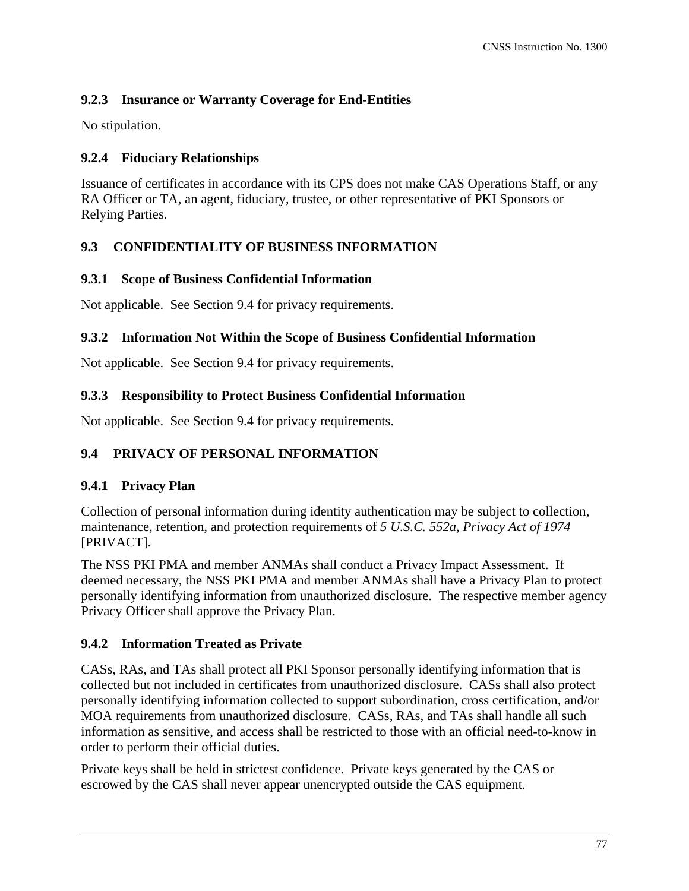### **9.2.3 Insurance or Warranty Coverage for End-Entities**

No stipulation.

### **9.2.4 Fiduciary Relationships**

Issuance of certificates in accordance with its CPS does not make CAS Operations Staff, or any RA Officer or TA, an agent, fiduciary, trustee, or other representative of PKI Sponsors or Relying Parties.

### **9.3 CONFIDENTIALITY OF BUSINESS INFORMATION**

#### **9.3.1 Scope of Business Confidential Information**

Not applicable. See Section [9.4](#page-86-0) for privacy requirements.

### **9.3.2 Information Not Within the Scope of Business Confidential Information**

Not applicable. See Section [9.4](#page-86-0) for privacy requirements.

### **9.3.3 Responsibility to Protect Business Confidential Information**

Not applicable. See Section [9.4](#page-86-0) for privacy requirements.

### <span id="page-86-0"></span>**9.4 PRIVACY OF PERSONAL INFORMATION**

### **9.4.1 Privacy Plan**

Collection of personal information during identity authentication may be subject to collection, maintenance, retention, and protection requirements of *5 U.S.C. 552a, Privacy Act of 1974* [PRIVACT].

The NSS PKI PMA and member ANMAs shall conduct a Privacy Impact Assessment. If deemed necessary, the NSS PKI PMA and member ANMAs shall have a Privacy Plan to protect personally identifying information from unauthorized disclosure. The respective member agency Privacy Officer shall approve the Privacy Plan.

### **9.4.2 Information Treated as Private**

CASs, RAs, and TAs shall protect all PKI Sponsor personally identifying information that is collected but not included in certificates from unauthorized disclosure. CASs shall also protect personally identifying information collected to support subordination, cross certification, and/or MOA requirements from unauthorized disclosure. CASs, RAs, and TAs shall handle all such information as sensitive, and access shall be restricted to those with an official need-to-know in order to perform their official duties.

Private keys shall be held in strictest confidence. Private keys generated by the CAS or escrowed by the CAS shall never appear unencrypted outside the CAS equipment.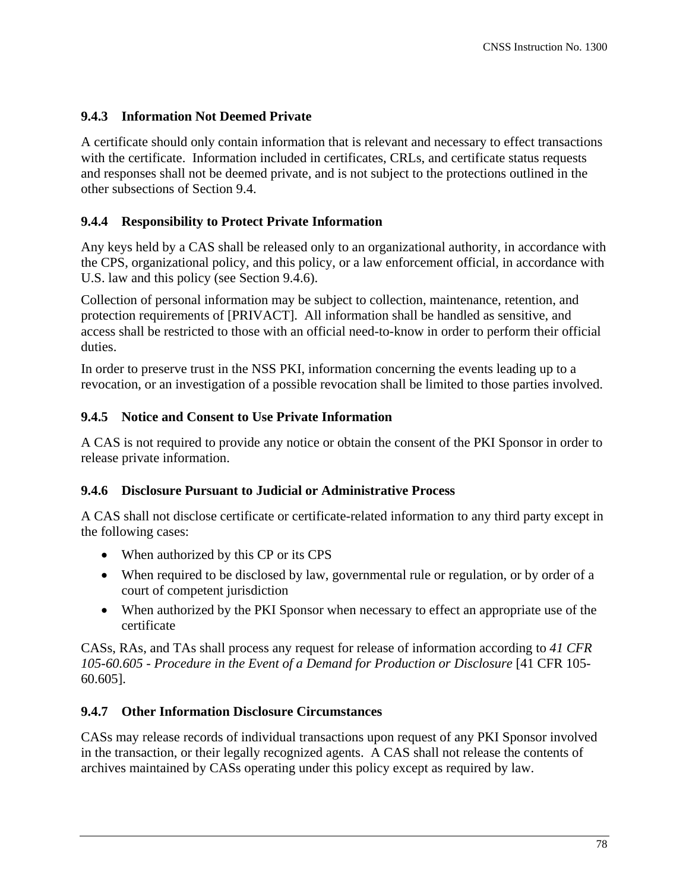#### **9.4.3 Information Not Deemed Private**

A certificate should only contain information that is relevant and necessary to effect transactions with the certificate. Information included in certificates, CRLs, and certificate status requests and responses shall not be deemed private, and is not subject to the protections outlined in the other subsections of Section [9.4](#page-86-0).

#### **9.4.4 Responsibility to Protect Private Information**

Any keys held by a CAS shall be released only to an organizational authority, in accordance with the CPS, organizational policy, and this policy, or a law enforcement official, in accordance with U.S. law and this policy (see Section [9.4.6\)](#page-87-0).

Collection of personal information may be subject to collection, maintenance, retention, and protection requirements of [PRIVACT]. All information shall be handled as sensitive, and access shall be restricted to those with an official need-to-know in order to perform their official duties.

In order to preserve trust in the NSS PKI, information concerning the events leading up to a revocation, or an investigation of a possible revocation shall be limited to those parties involved.

#### **9.4.5 Notice and Consent to Use Private Information**

A CAS is not required to provide any notice or obtain the consent of the PKI Sponsor in order to release private information.

#### <span id="page-87-0"></span>**9.4.6 Disclosure Pursuant to Judicial or Administrative Process**

A CAS shall not disclose certificate or certificate-related information to any third party except in the following cases:

- When authorized by this CP or its CPS
- When required to be disclosed by law, governmental rule or regulation, or by order of a court of competent jurisdiction
- When authorized by the PKI Sponsor when necessary to effect an appropriate use of the certificate

CASs, RAs, and TAs shall process any request for release of information according to *41 CFR 105-60.605 - Procedure in the Event of a Demand for Production or Disclosure* [41 CFR 105- 60.605].

#### **9.4.7 Other Information Disclosure Circumstances**

CASs may release records of individual transactions upon request of any PKI Sponsor involved in the transaction, or their legally recognized agents. A CAS shall not release the contents of archives maintained by CASs operating under this policy except as required by law.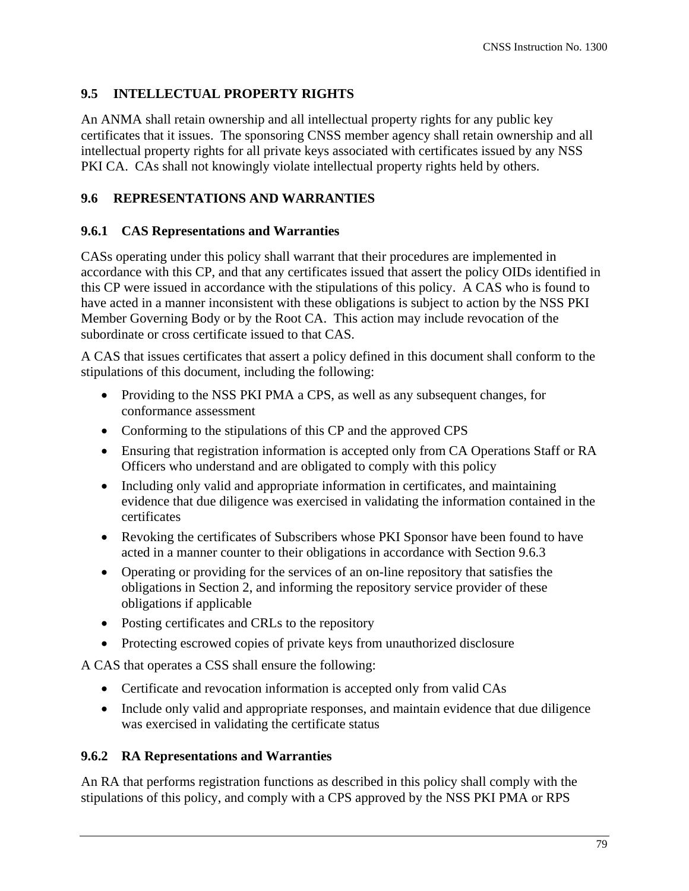### **9.5 INTELLECTUAL PROPERTY RIGHTS**

An ANMA shall retain ownership and all intellectual property rights for any public key certificates that it issues. The sponsoring CNSS member agency shall retain ownership and all intellectual property rights for all private keys associated with certificates issued by any NSS PKI CA. CAs shall not knowingly violate intellectual property rights held by others.

#### **9.6 REPRESENTATIONS AND WARRANTIES**

#### **9.6.1 CAS Representations and Warranties**

CASs operating under this policy shall warrant that their procedures are implemented in accordance with this CP, and that any certificates issued that assert the policy OIDs identified in this CP were issued in accordance with the stipulations of this policy. A CAS who is found to have acted in a manner inconsistent with these obligations is subject to action by the NSS PKI Member Governing Body or by the Root CA. This action may include revocation of the subordinate or cross certificate issued to that CAS.

A CAS that issues certificates that assert a policy defined in this document shall conform to the stipulations of this document, including the following:

- Providing to the NSS PKI PMA a CPS, as well as any subsequent changes, for conformance assessment
- Conforming to the stipulations of this CP and the approved CPS
- Ensuring that registration information is accepted only from CA Operations Staff or RA Officers who understand and are obligated to comply with this policy
- Including only valid and appropriate information in certificates, and maintaining evidence that due diligence was exercised in validating the information contained in the certificates
- Revoking the certificates of Subscribers whose PKI Sponsor have been found to have acted in a manner counter to their obligations in accordance with Section [9.6.3](#page-89-0)
- Operating or providing for the services of an on-line repository that satisfies the obligations in Section [2,](#page-21-0) and informing the repository service provider of these obligations if applicable
- Posting certificates and CRLs to the repository
- Protecting escrowed copies of private keys from unauthorized disclosure

A CAS that operates a CSS shall ensure the following:

- Certificate and revocation information is accepted only from valid CAs
- Include only valid and appropriate responses, and maintain evidence that due diligence was exercised in validating the certificate status

#### **9.6.2 RA Representations and Warranties**

An RA that performs registration functions as described in this policy shall comply with the stipulations of this policy, and comply with a CPS approved by the NSS PKI PMA or RPS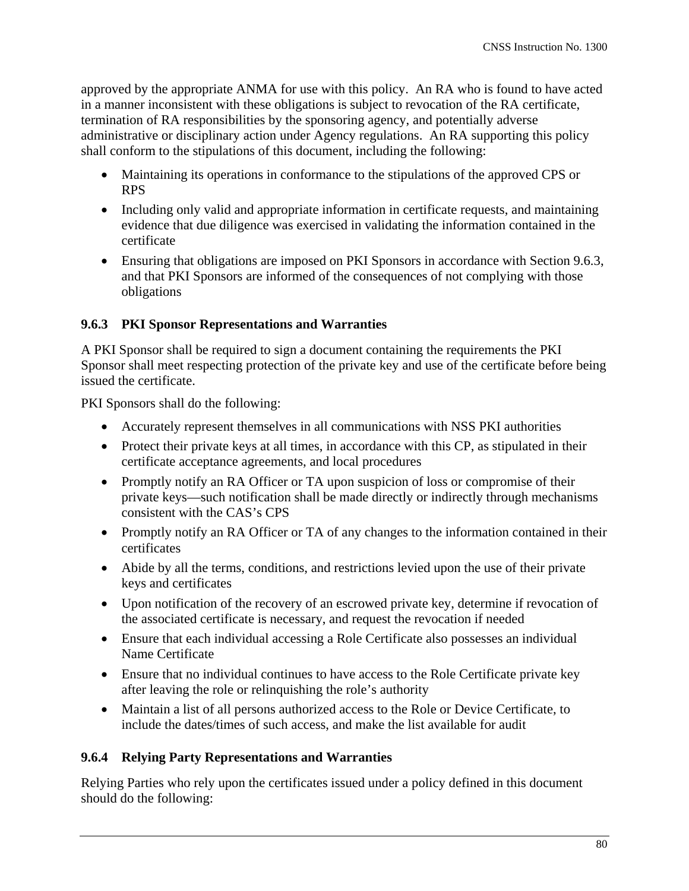approved by the appropriate ANMA for use with this policy. An RA who is found to have acted in a manner inconsistent with these obligations is subject to revocation of the RA certificate, termination of RA responsibilities by the sponsoring agency, and potentially adverse administrative or disciplinary action under Agency regulations. An RA supporting this policy shall conform to the stipulations of this document, including the following:

- Maintaining its operations in conformance to the stipulations of the approved CPS or RPS
- Including only valid and appropriate information in certificate requests, and maintaining evidence that due diligence was exercised in validating the information contained in the certificate
- Ensuring that obligations are imposed on PKI Sponsors in accordance with Section [9.6.3,](#page-89-0) and that PKI Sponsors are informed of the consequences of not complying with those obligations

### <span id="page-89-0"></span>**9.6.3 PKI Sponsor Representations and Warranties**

A PKI Sponsor shall be required to sign a document containing the requirements the PKI Sponsor shall meet respecting protection of the private key and use of the certificate before being issued the certificate.

PKI Sponsors shall do the following:

- Accurately represent themselves in all communications with NSS PKI authorities
- Protect their private keys at all times, in accordance with this CP, as stipulated in their certificate acceptance agreements, and local procedures
- Promptly notify an RA Officer or TA upon suspicion of loss or compromise of their private keys—such notification shall be made directly or indirectly through mechanisms consistent with the CAS's CPS
- Promptly notify an RA Officer or TA of any changes to the information contained in their certificates
- Abide by all the terms, conditions, and restrictions levied upon the use of their private keys and certificates
- Upon notification of the recovery of an escrowed private key, determine if revocation of the associated certificate is necessary, and request the revocation if needed
- Ensure that each individual accessing a Role Certificate also possesses an individual Name Certificate
- Ensure that no individual continues to have access to the Role Certificate private key after leaving the role or relinquishing the role's authority
- Maintain a list of all persons authorized access to the Role or Device Certificate, to include the dates/times of such access, and make the list available for audit

### **9.6.4 Relying Party Representations and Warranties**

Relying Parties who rely upon the certificates issued under a policy defined in this document should do the following: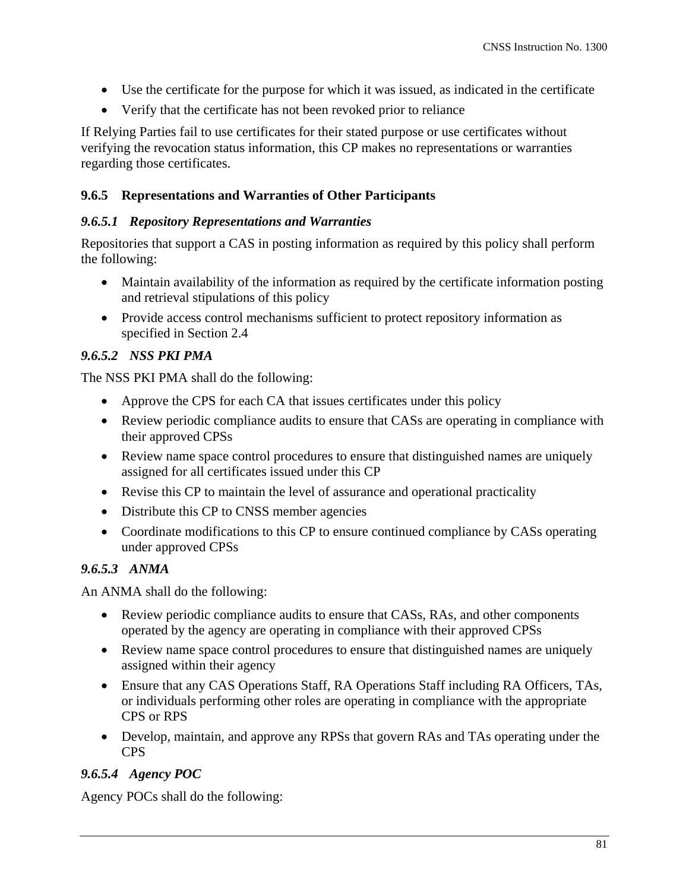- Use the certificate for the purpose for which it was issued, as indicated in the certificate
- Verify that the certificate has not been revoked prior to reliance

If Relying Parties fail to use certificates for their stated purpose or use certificates without verifying the revocation status information, this CP makes no representations or warranties regarding those certificates.

#### **9.6.5 Representations and Warranties of Other Participants**

#### *9.6.5.1 Repository Representations and Warranties*

Repositories that support a CAS in posting information as required by this policy shall perform the following:

- Maintain availability of the information as required by the certificate information posting and retrieval stipulations of this policy
- Provide access control mechanisms sufficient to protect repository information as specified in Section [2.4](#page-22-0)

### *9.6.5.2 NSS PKI PMA*

The NSS PKI PMA shall do the following:

- Approve the CPS for each CA that issues certificates under this policy
- Review periodic compliance audits to ensure that CASs are operating in compliance with their approved CPSs
- Review name space control procedures to ensure that distinguished names are uniquely assigned for all certificates issued under this CP
- Revise this CP to maintain the level of assurance and operational practicality
- Distribute this CP to CNSS member agencies
- Coordinate modifications to this CP to ensure continued compliance by CASs operating under approved CPSs

### *9.6.5.3 ANMA*

An ANMA shall do the following:

- Review periodic compliance audits to ensure that CASs, RAs, and other components operated by the agency are operating in compliance with their approved CPSs
- Review name space control procedures to ensure that distinguished names are uniquely assigned within their agency
- Ensure that any CAS Operations Staff, RA Operations Staff including RA Officers, TAs, or individuals performing other roles are operating in compliance with the appropriate CPS or RPS
- Develop, maintain, and approve any RPSs that govern RAs and TAs operating under the CPS

### *9.6.5.4 Agency POC*

Agency POCs shall do the following: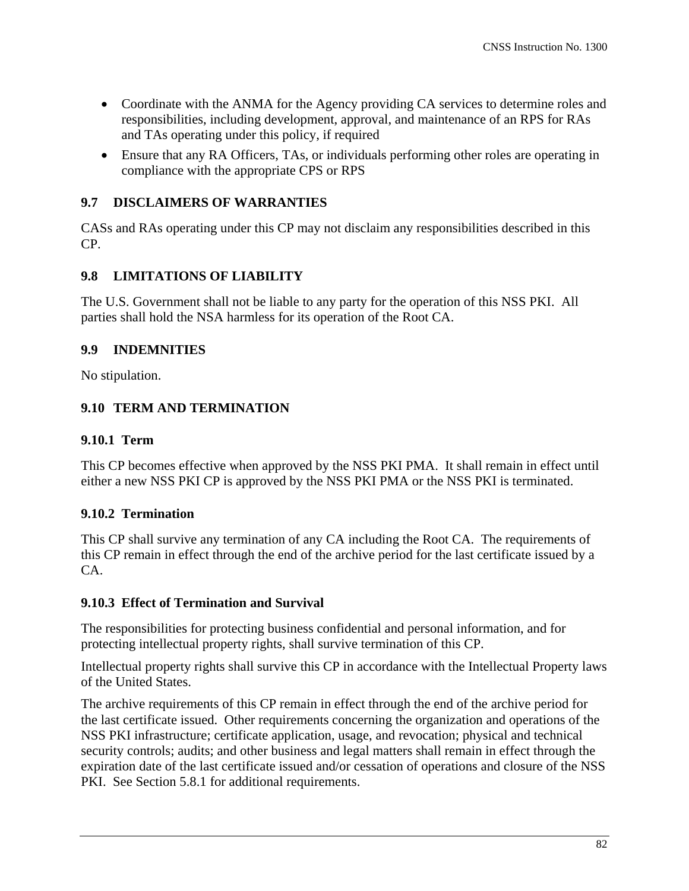- Coordinate with the ANMA for the Agency providing CA services to determine roles and responsibilities, including development, approval, and maintenance of an RPS for RAs and TAs operating under this policy, if required
- Ensure that any RA Officers, TAs, or individuals performing other roles are operating in compliance with the appropriate CPS or RPS

### **9.7 DISCLAIMERS OF WARRANTIES**

CASs and RAs operating under this CP may not disclaim any responsibilities described in this CP.

### **9.8 LIMITATIONS OF LIABILITY**

The U.S. Government shall not be liable to any party for the operation of this NSS PKI. All parties shall hold the NSA harmless for its operation of the Root CA.

### **9.9 INDEMNITIES**

No stipulation.

### **9.10 TERM AND TERMINATION**

### **9.10.1 Term**

This CP becomes effective when approved by the NSS PKI PMA. It shall remain in effect until either a new NSS PKI CP is approved by the NSS PKI PMA or the NSS PKI is terminated.

### **9.10.2 Termination**

This CP shall survive any termination of any CA including the Root CA. The requirements of this CP remain in effect through the end of the archive period for the last certificate issued by a CA.

### **9.10.3 Effect of Termination and Survival**

The responsibilities for protecting business confidential and personal information, and for protecting intellectual property rights, shall survive termination of this CP.

Intellectual property rights shall survive this CP in accordance with the Intellectual Property laws of the United States.

The archive requirements of this CP remain in effect through the end of the archive period for the last certificate issued. Other requirements concerning the organization and operations of the NSS PKI infrastructure; certificate application, usage, and revocation; physical and technical security controls; audits; and other business and legal matters shall remain in effect through the expiration date of the last certificate issued and/or cessation of operations and closure of the NSS PKI. See Section [5.8.1](#page-64-0) for additional requirements.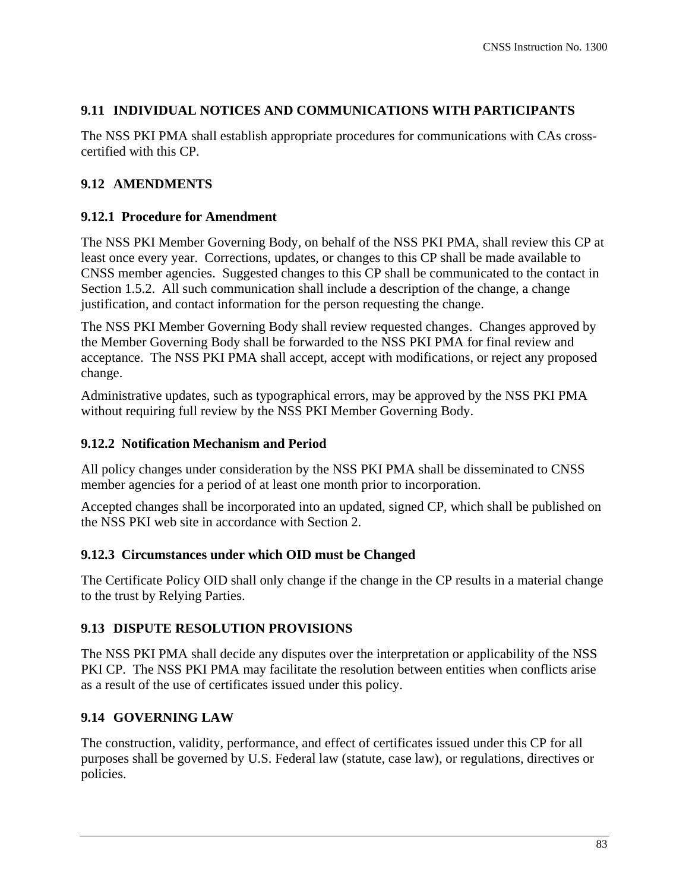#### **9.11 INDIVIDUAL NOTICES AND COMMUNICATIONS WITH PARTICIPANTS**

The NSS PKI PMA shall establish appropriate procedures for communications with CAs crosscertified with this CP.

#### <span id="page-92-1"></span>**9.12 AMENDMENTS**

#### **9.12.1 Procedure for Amendment**

The NSS PKI Member Governing Body, on behalf of the NSS PKI PMA, shall review this CP at least once every year. Corrections, updates, or changes to this CP shall be made available to CNSS member agencies. Suggested changes to this CP shall be communicated to the contact in Section [1.5.2.](#page-19-0) All such communication shall include a description of the change, a change justification, and contact information for the person requesting the change.

The NSS PKI Member Governing Body shall review requested changes. Changes approved by the Member Governing Body shall be forwarded to the NSS PKI PMA for final review and acceptance. The NSS PKI PMA shall accept, accept with modifications, or reject any proposed change.

Administrative updates, such as typographical errors, may be approved by the NSS PKI PMA without requiring full review by the NSS PKI Member Governing Body.

#### **9.12.2 Notification Mechanism and Period**

All policy changes under consideration by the NSS PKI PMA shall be disseminated to CNSS member agencies for a period of at least one month prior to incorporation.

Accepted changes shall be incorporated into an updated, signed CP, which shall be published on the NSS PKI web site in accordance with Section [2](#page-21-0).

#### **9.12.3 Circumstances under which OID must be Changed**

The Certificate Policy OID shall only change if the change in the CP results in a material change to the trust by Relying Parties.

#### **9.13 DISPUTE RESOLUTION PROVISIONS**

The NSS PKI PMA shall decide any disputes over the interpretation or applicability of the NSS PKI CP. The NSS PKI PMA may facilitate the resolution between entities when conflicts arise as a result of the use of certificates issued under this policy.

#### <span id="page-92-0"></span>**9.14 GOVERNING LAW**

The construction, validity, performance, and effect of certificates issued under this CP for all purposes shall be governed by U.S. Federal law (statute, case law), or regulations, directives or policies.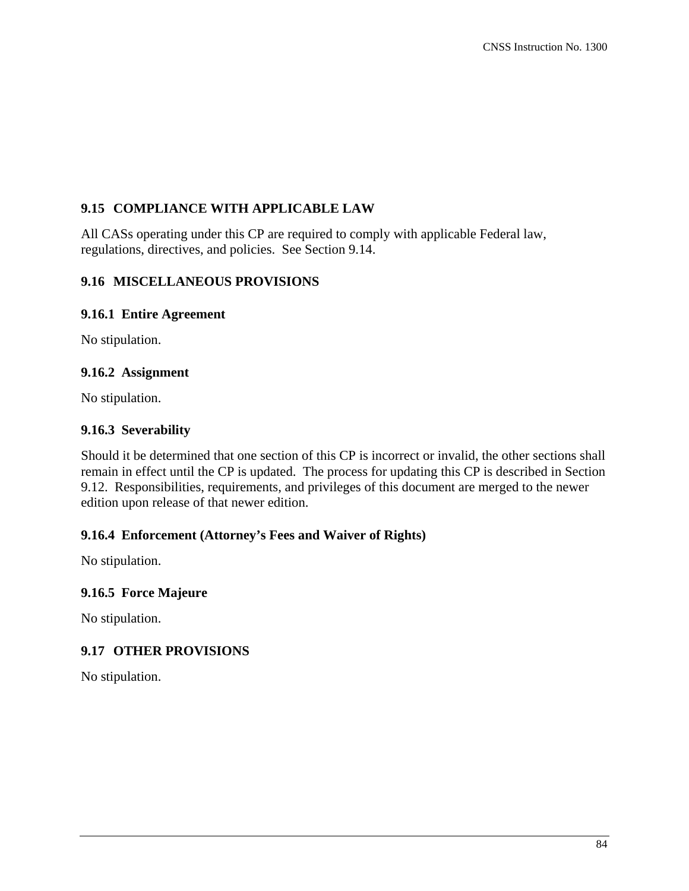### **9.15 COMPLIANCE WITH APPLICABLE LAW**

All CASs operating under this CP are required to comply with applicable Federal law, regulations, directives, and policies. See Section [9.14.](#page-92-0)

#### **9.16 MISCELLANEOUS PROVISIONS**

#### **9.16.1 Entire Agreement**

No stipulation.

#### **9.16.2 Assignment**

No stipulation.

#### **9.16.3 Severability**

Should it be determined that one section of this CP is incorrect or invalid, the other sections shall remain in effect until the CP is updated. The process for updating this CP is described in Section [9.12](#page-92-1). Responsibilities, requirements, and privileges of this document are merged to the newer edition upon release of that newer edition.

#### **9.16.4 Enforcement (Attorney's Fees and Waiver of Rights)**

No stipulation.

#### **9.16.5 Force Majeure**

No stipulation.

#### **9.17 OTHER PROVISIONS**

No stipulation.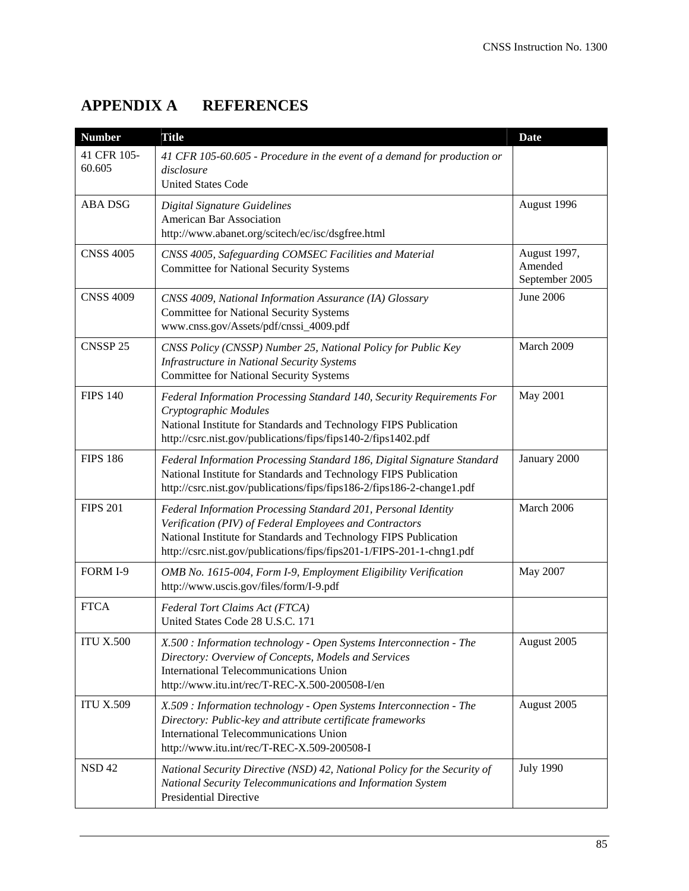# **APPENDIX A REFERENCES**

| <b>Number</b>         | <b>Title</b>                                                                                                                                                                                                                                                           | <b>Date</b>                               |
|-----------------------|------------------------------------------------------------------------------------------------------------------------------------------------------------------------------------------------------------------------------------------------------------------------|-------------------------------------------|
| 41 CFR 105-<br>60.605 | 41 CFR 105-60.605 - Procedure in the event of a demand for production or<br>disclosure<br><b>United States Code</b>                                                                                                                                                    |                                           |
| <b>ABA DSG</b>        | Digital Signature Guidelines<br>American Bar Association<br>http://www.abanet.org/scitech/ec/isc/dsgfree.html                                                                                                                                                          | August 1996                               |
| <b>CNSS 4005</b>      | CNSS 4005, Safeguarding COMSEC Facilities and Material<br><b>Committee for National Security Systems</b>                                                                                                                                                               | August 1997,<br>Amended<br>September 2005 |
| <b>CNSS 4009</b>      | CNSS 4009, National Information Assurance (IA) Glossary<br><b>Committee for National Security Systems</b><br>www.cnss.gov/Assets/pdf/cnssi_4009.pdf                                                                                                                    | June 2006                                 |
| CNSSP <sub>25</sub>   | CNSS Policy (CNSSP) Number 25, National Policy for Public Key<br><b>Infrastructure in National Security Systems</b><br><b>Committee for National Security Systems</b>                                                                                                  | March 2009                                |
| <b>FIPS 140</b>       | Federal Information Processing Standard 140, Security Requirements For<br>Cryptographic Modules<br>National Institute for Standards and Technology FIPS Publication<br>http://csrc.nist.gov/publications/fips/fips140-2/fips1402.pdf                                   | <b>May 2001</b>                           |
| <b>FIPS 186</b>       | Federal Information Processing Standard 186, Digital Signature Standard<br>National Institute for Standards and Technology FIPS Publication<br>http://csrc.nist.gov/publications/fips/fips186-2/fips186-2-change1.pdf                                                  | January 2000                              |
| <b>FIPS 201</b>       | Federal Information Processing Standard 201, Personal Identity<br>Verification (PIV) of Federal Employees and Contractors<br>National Institute for Standards and Technology FIPS Publication<br>http://csrc.nist.gov/publications/fips/fips201-1/FIPS-201-1-chng1.pdf | March 2006                                |
| FORM I-9              | OMB No. 1615-004, Form I-9, Employment Eligibility Verification<br>http://www.uscis.gov/files/form/I-9.pdf                                                                                                                                                             | May 2007                                  |
| <b>FTCA</b>           | Federal Tort Claims Act (FTCA)<br>United States Code 28 U.S.C. 171                                                                                                                                                                                                     |                                           |
| <b>ITU X.500</b>      | X.500 : Information technology - Open Systems Interconnection - The<br>Directory: Overview of Concepts, Models and Services<br>International Telecommunications Union<br>http://www.itu.int/rec/T-REC-X.500-200508-I/en                                                | August 2005                               |
| <b>ITU X.509</b>      | X.509 : Information technology - Open Systems Interconnection - The<br>Directory: Public-key and attribute certificate frameworks<br>International Telecommunications Union<br>http://www.itu.int/rec/T-REC-X.509-200508-I                                             | August 2005                               |
| <b>NSD 42</b>         | National Security Directive (NSD) 42, National Policy for the Security of<br>National Security Telecommunications and Information System<br><b>Presidential Directive</b>                                                                                              | <b>July 1990</b>                          |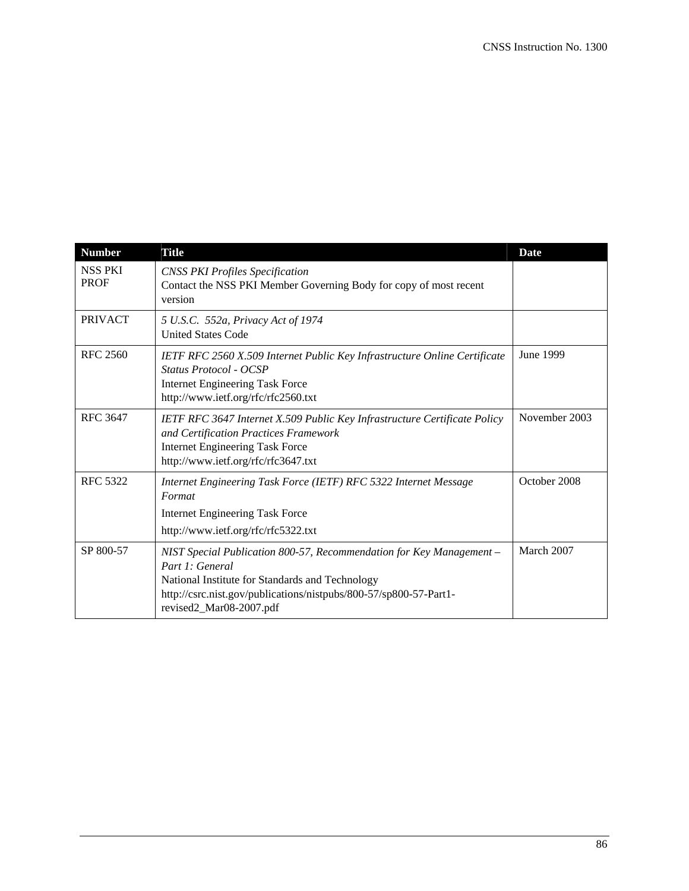| <b>Number</b>                 | <b>Title</b>                                                                                                                                                                                                                               | <b>Date</b>   |
|-------------------------------|--------------------------------------------------------------------------------------------------------------------------------------------------------------------------------------------------------------------------------------------|---------------|
| <b>NSS PKI</b><br><b>PROF</b> | <b>CNSS PKI Profiles Specification</b><br>Contact the NSS PKI Member Governing Body for copy of most recent<br>version                                                                                                                     |               |
| <b>PRIVACT</b>                | 5 U.S.C. 552a, Privacy Act of 1974<br><b>United States Code</b>                                                                                                                                                                            |               |
| RFC 2560                      | IETF RFC 2560 X.509 Internet Public Key Infrastructure Online Certificate<br>Status Protocol - OCSP<br><b>Internet Engineering Task Force</b><br>http://www.ietf.org/rfc/rfc2560.txt                                                       | June 1999     |
| <b>RFC 3647</b>               | IETF RFC 3647 Internet X.509 Public Key Infrastructure Certificate Policy<br>and Certification Practices Framework<br><b>Internet Engineering Task Force</b><br>http://www.ietf.org/rfc/rfc3647.txt                                        | November 2003 |
| <b>RFC 5322</b>               | Internet Engineering Task Force (IETF) RFC 5322 Internet Message<br>Format<br><b>Internet Engineering Task Force</b><br>http://www.ietf.org/rfc/rfc5322.txt                                                                                | October 2008  |
| SP 800-57                     | NIST Special Publication 800-57, Recommendation for Key Management -<br>Part 1: General<br>National Institute for Standards and Technology<br>http://csrc.nist.gov/publications/nistpubs/800-57/sp800-57-Part1-<br>revised2_Mar08-2007.pdf | March 2007    |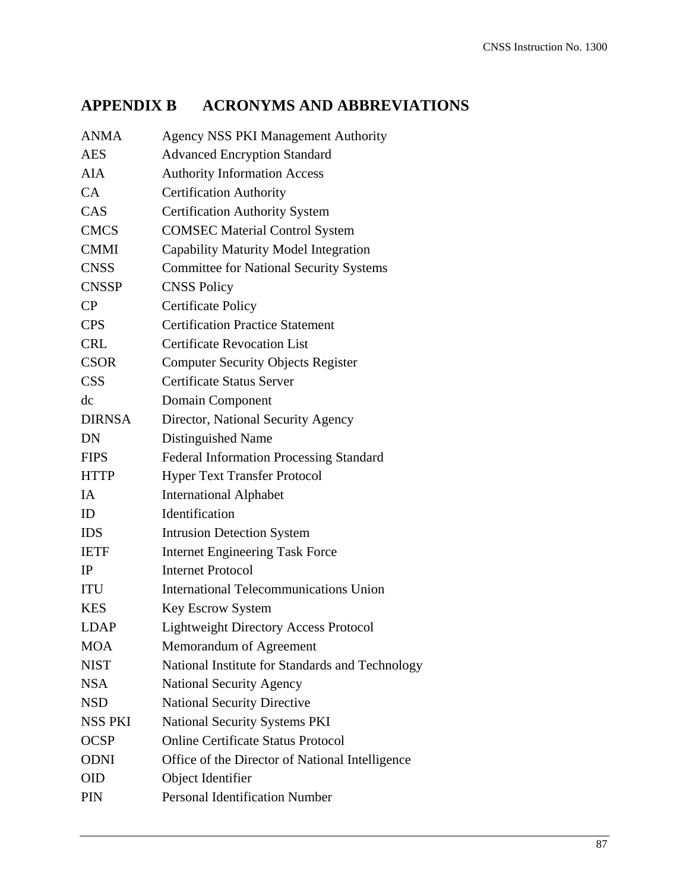# **APPENDIX B ACRONYMS AND ABBREVIATIONS**

| <b>ANMA</b>    | <b>Agency NSS PKI Management Authority</b>      |
|----------------|-------------------------------------------------|
| <b>AES</b>     | <b>Advanced Encryption Standard</b>             |
| <b>AIA</b>     | <b>Authority Information Access</b>             |
| CA             | <b>Certification Authority</b>                  |
| CAS            | <b>Certification Authority System</b>           |
| <b>CMCS</b>    | <b>COMSEC Material Control System</b>           |
| <b>CMMI</b>    | Capability Maturity Model Integration           |
| <b>CNSS</b>    | <b>Committee for National Security Systems</b>  |
| <b>CNSSP</b>   | <b>CNSS Policy</b>                              |
| CP             | <b>Certificate Policy</b>                       |
| <b>CPS</b>     | <b>Certification Practice Statement</b>         |
| <b>CRL</b>     | <b>Certificate Revocation List</b>              |
| <b>CSOR</b>    | <b>Computer Security Objects Register</b>       |
| <b>CSS</b>     | <b>Certificate Status Server</b>                |
| dc             | Domain Component                                |
| <b>DIRNSA</b>  | Director, National Security Agency              |
| DN             | Distinguished Name                              |
| <b>FIPS</b>    | <b>Federal Information Processing Standard</b>  |
| <b>HTTP</b>    | <b>Hyper Text Transfer Protocol</b>             |
| IA             | <b>International Alphabet</b>                   |
| ID             | Identification                                  |
| <b>IDS</b>     | <b>Intrusion Detection System</b>               |
| <b>IETF</b>    | <b>Internet Engineering Task Force</b>          |
| IP             | <b>Internet Protocol</b>                        |
| ITU            | <b>International Telecommunications Union</b>   |
| <b>KES</b>     | <b>Key Escrow System</b>                        |
| <b>LDAP</b>    | <b>Lightweight Directory Access Protocol</b>    |
| <b>MOA</b>     | Memorandum of Agreement                         |
| <b>NIST</b>    | National Institute for Standards and Technology |
| <b>NSA</b>     | <b>National Security Agency</b>                 |
| <b>NSD</b>     | <b>National Security Directive</b>              |
| <b>NSS PKI</b> | <b>National Security Systems PKI</b>            |
| <b>OCSP</b>    | <b>Online Certificate Status Protocol</b>       |
| <b>ODNI</b>    | Office of the Director of National Intelligence |
| <b>OID</b>     | Object Identifier                               |
| PIN            | <b>Personal Identification Number</b>           |
|                |                                                 |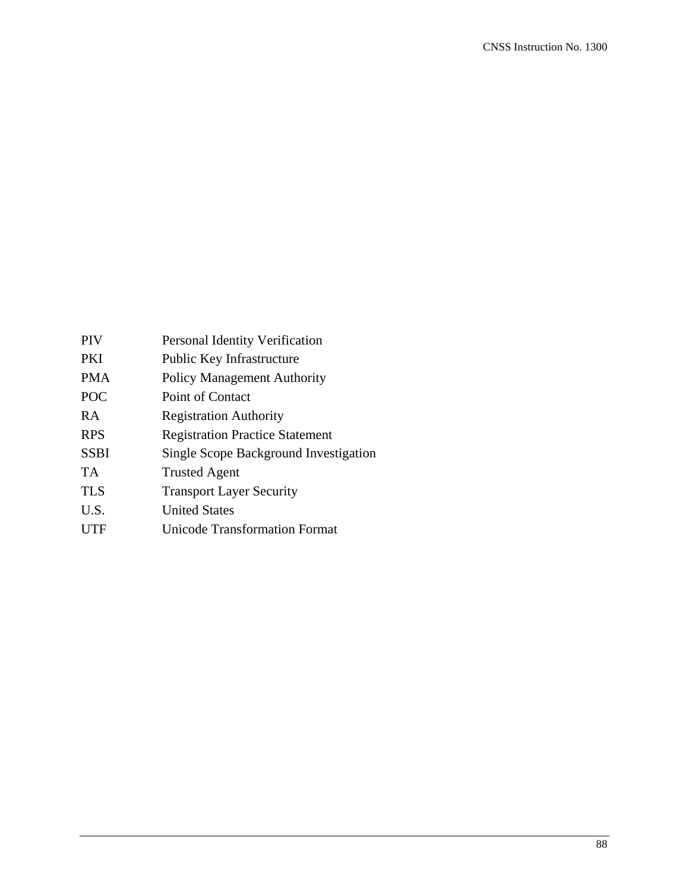| PIV         | Personal Identity Verification         |
|-------------|----------------------------------------|
| PKI         | Public Key Infrastructure              |
| PMA         | <b>Policy Management Authority</b>     |
| POC         | Point of Contact                       |
| R A         | <b>Registration Authority</b>          |
| <b>RPS</b>  | <b>Registration Practice Statement</b> |
| <b>SSBI</b> | Single Scope Background Investigation  |
| TA          | <b>Trusted Agent</b>                   |
| TLS         | <b>Transport Layer Security</b>        |
| U.S.        | <b>United States</b>                   |
| UTF         | <b>Unicode Transformation Format</b>   |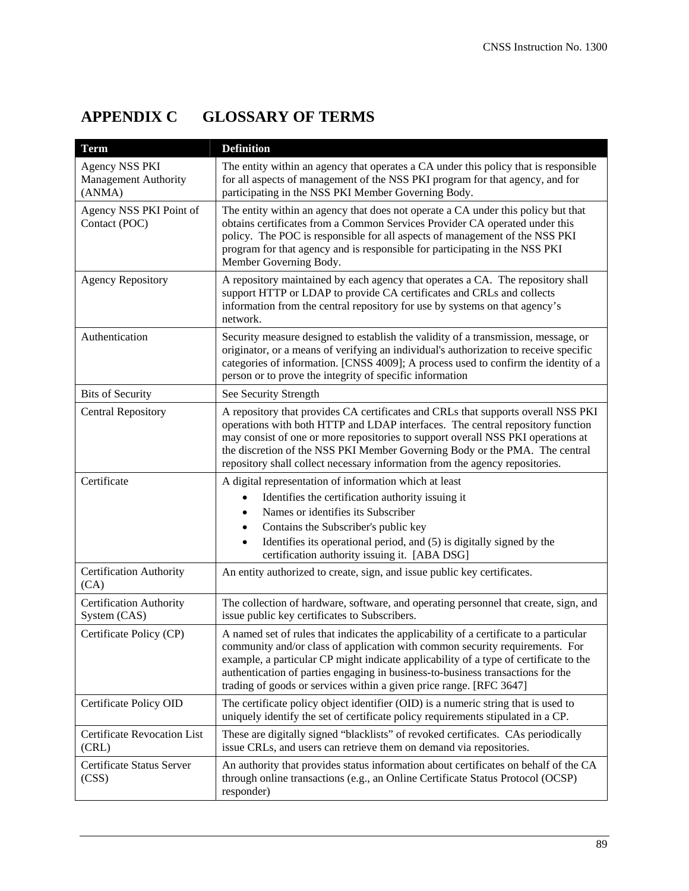# **APPENDIX C GLOSSARY OF TERMS**

| <b>Term</b>                                                    | <b>Definition</b>                                                                                                                                                                                                                                                                                                                                                                                                         |
|----------------------------------------------------------------|---------------------------------------------------------------------------------------------------------------------------------------------------------------------------------------------------------------------------------------------------------------------------------------------------------------------------------------------------------------------------------------------------------------------------|
| <b>Agency NSS PKI</b><br><b>Management Authority</b><br>(ANMA) | The entity within an agency that operates a CA under this policy that is responsible<br>for all aspects of management of the NSS PKI program for that agency, and for<br>participating in the NSS PKI Member Governing Body.                                                                                                                                                                                              |
| Agency NSS PKI Point of<br>Contact (POC)                       | The entity within an agency that does not operate a CA under this policy but that<br>obtains certificates from a Common Services Provider CA operated under this<br>policy. The POC is responsible for all aspects of management of the NSS PKI<br>program for that agency and is responsible for participating in the NSS PKI<br>Member Governing Body.                                                                  |
| <b>Agency Repository</b>                                       | A repository maintained by each agency that operates a CA. The repository shall<br>support HTTP or LDAP to provide CA certificates and CRLs and collects<br>information from the central repository for use by systems on that agency's<br>network.                                                                                                                                                                       |
| Authentication                                                 | Security measure designed to establish the validity of a transmission, message, or<br>originator, or a means of verifying an individual's authorization to receive specific<br>categories of information. [CNSS 4009]; A process used to confirm the identity of a<br>person or to prove the integrity of specific information                                                                                            |
| <b>Bits of Security</b>                                        | See Security Strength                                                                                                                                                                                                                                                                                                                                                                                                     |
| <b>Central Repository</b>                                      | A repository that provides CA certificates and CRLs that supports overall NSS PKI<br>operations with both HTTP and LDAP interfaces. The central repository function<br>may consist of one or more repositories to support overall NSS PKI operations at<br>the discretion of the NSS PKI Member Governing Body or the PMA. The central<br>repository shall collect necessary information from the agency repositories.    |
| Certificate                                                    | A digital representation of information which at least                                                                                                                                                                                                                                                                                                                                                                    |
|                                                                | Identifies the certification authority issuing it<br>٠                                                                                                                                                                                                                                                                                                                                                                    |
|                                                                | Names or identifies its Subscriber<br>$\bullet$                                                                                                                                                                                                                                                                                                                                                                           |
|                                                                | Contains the Subscriber's public key<br>$\bullet$<br>Identifies its operational period, and (5) is digitally signed by the<br>$\bullet$<br>certification authority issuing it. [ABA DSG]                                                                                                                                                                                                                                  |
| <b>Certification Authority</b><br>(CA)                         | An entity authorized to create, sign, and issue public key certificates.                                                                                                                                                                                                                                                                                                                                                  |
| <b>Certification Authority</b><br>System (CAS)                 | The collection of hardware, software, and operating personnel that create, sign, and<br>issue public key certificates to Subscribers.                                                                                                                                                                                                                                                                                     |
| Certificate Policy (CP)                                        | A named set of rules that indicates the applicability of a certificate to a particular<br>community and/or class of application with common security requirements. For<br>example, a particular CP might indicate applicability of a type of certificate to the<br>authentication of parties engaging in business-to-business transactions for the<br>trading of goods or services within a given price range. [RFC 3647] |
| Certificate Policy OID                                         | The certificate policy object identifier (OID) is a numeric string that is used to<br>uniquely identify the set of certificate policy requirements stipulated in a CP.                                                                                                                                                                                                                                                    |
| Certificate Revocation List<br>(CRL)                           | These are digitally signed "blacklists" of revoked certificates. CAs periodically<br>issue CRLs, and users can retrieve them on demand via repositories.                                                                                                                                                                                                                                                                  |
| Certificate Status Server<br>(CSS)                             | An authority that provides status information about certificates on behalf of the CA<br>through online transactions (e.g., an Online Certificate Status Protocol (OCSP)<br>responder)                                                                                                                                                                                                                                     |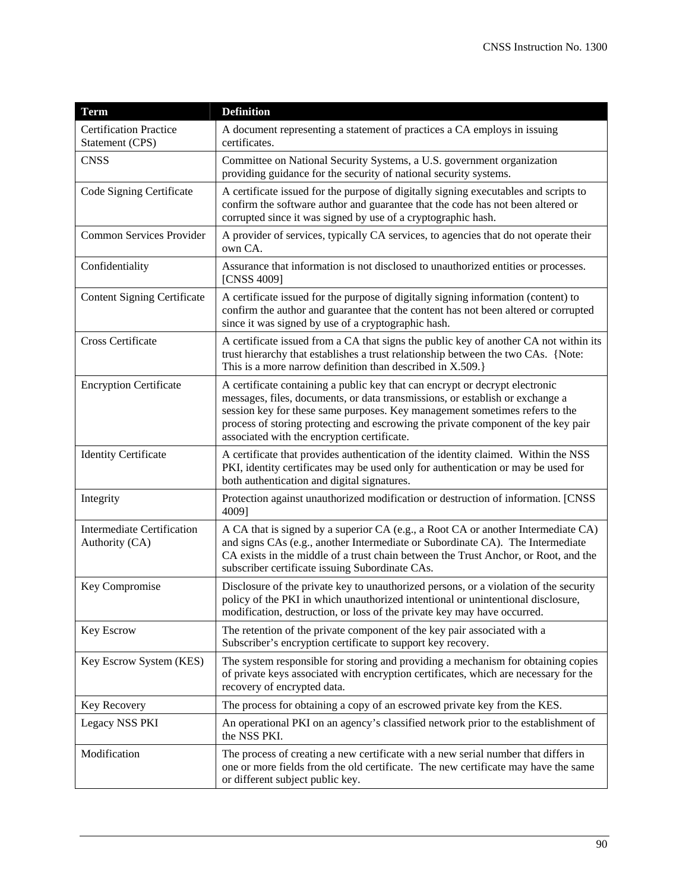| <b>Term</b>                                         | <b>Definition</b>                                                                                                                                                                                                                                                                                                                                                                |
|-----------------------------------------------------|----------------------------------------------------------------------------------------------------------------------------------------------------------------------------------------------------------------------------------------------------------------------------------------------------------------------------------------------------------------------------------|
| <b>Certification Practice</b><br>Statement (CPS)    | A document representing a statement of practices a CA employs in issuing<br>certificates.                                                                                                                                                                                                                                                                                        |
| <b>CNSS</b>                                         | Committee on National Security Systems, a U.S. government organization<br>providing guidance for the security of national security systems.                                                                                                                                                                                                                                      |
| Code Signing Certificate                            | A certificate issued for the purpose of digitally signing executables and scripts to<br>confirm the software author and guarantee that the code has not been altered or<br>corrupted since it was signed by use of a cryptographic hash.                                                                                                                                         |
| Common Services Provider                            | A provider of services, typically CA services, to agencies that do not operate their<br>own CA.                                                                                                                                                                                                                                                                                  |
| Confidentiality                                     | Assurance that information is not disclosed to unauthorized entities or processes.<br>[CNSS 4009]                                                                                                                                                                                                                                                                                |
| <b>Content Signing Certificate</b>                  | A certificate issued for the purpose of digitally signing information (content) to<br>confirm the author and guarantee that the content has not been altered or corrupted<br>since it was signed by use of a cryptographic hash.                                                                                                                                                 |
| <b>Cross Certificate</b>                            | A certificate issued from a CA that signs the public key of another CA not within its<br>trust hierarchy that establishes a trust relationship between the two CAs. {Note:<br>This is a more narrow definition than described in $X.509$ .                                                                                                                                       |
| <b>Encryption Certificate</b>                       | A certificate containing a public key that can encrypt or decrypt electronic<br>messages, files, documents, or data transmissions, or establish or exchange a<br>session key for these same purposes. Key management sometimes refers to the<br>process of storing protecting and escrowing the private component of the key pair<br>associated with the encryption certificate. |
| <b>Identity Certificate</b>                         | A certificate that provides authentication of the identity claimed. Within the NSS<br>PKI, identity certificates may be used only for authentication or may be used for<br>both authentication and digital signatures.                                                                                                                                                           |
| Integrity                                           | Protection against unauthorized modification or destruction of information. [CNSS<br>4009]                                                                                                                                                                                                                                                                                       |
| <b>Intermediate Certification</b><br>Authority (CA) | A CA that is signed by a superior CA (e.g., a Root CA or another Intermediate CA)<br>and signs CAs (e.g., another Intermediate or Subordinate CA). The Intermediate<br>CA exists in the middle of a trust chain between the Trust Anchor, or Root, and the<br>subscriber certificate issuing Subordinate CAs.                                                                    |
| Key Compromise                                      | Disclosure of the private key to unauthorized persons, or a violation of the security<br>policy of the PKI in which unauthorized intentional or unintentional disclosure,<br>modification, destruction, or loss of the private key may have occurred.                                                                                                                            |
| Key Escrow                                          | The retention of the private component of the key pair associated with a<br>Subscriber's encryption certificate to support key recovery.                                                                                                                                                                                                                                         |
| Key Escrow System (KES)                             | The system responsible for storing and providing a mechanism for obtaining copies<br>of private keys associated with encryption certificates, which are necessary for the<br>recovery of encrypted data.                                                                                                                                                                         |
| Key Recovery                                        | The process for obtaining a copy of an escrowed private key from the KES.                                                                                                                                                                                                                                                                                                        |
| Legacy NSS PKI                                      | An operational PKI on an agency's classified network prior to the establishment of<br>the NSS PKI.                                                                                                                                                                                                                                                                               |
| Modification                                        | The process of creating a new certificate with a new serial number that differs in<br>one or more fields from the old certificate. The new certificate may have the same<br>or different subject public key.                                                                                                                                                                     |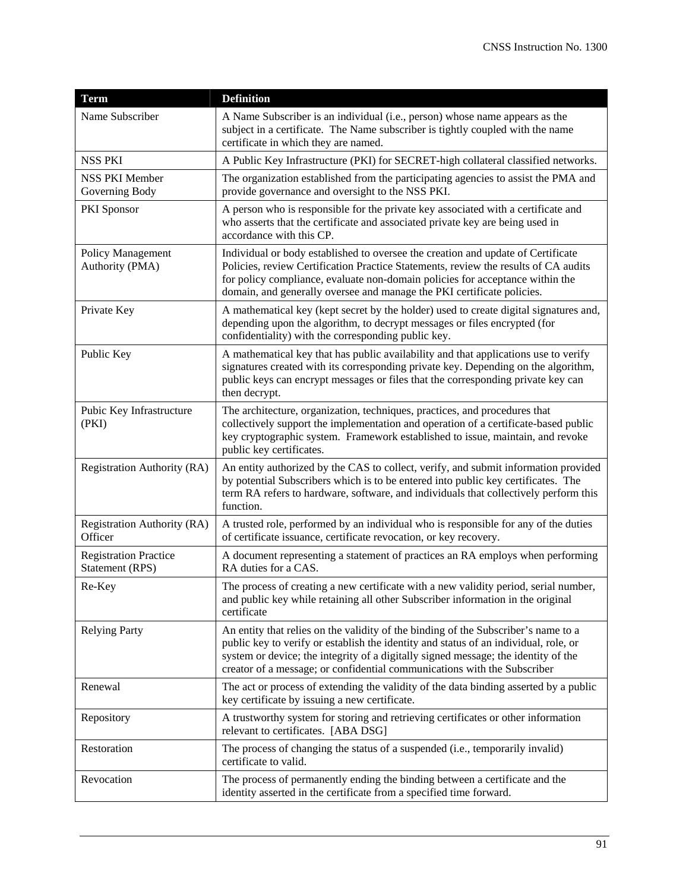| <b>Term</b>                                     | <b>Definition</b>                                                                                                                                                                                                                                                                                                                            |
|-------------------------------------------------|----------------------------------------------------------------------------------------------------------------------------------------------------------------------------------------------------------------------------------------------------------------------------------------------------------------------------------------------|
| Name Subscriber                                 | A Name Subscriber is an individual (i.e., person) whose name appears as the<br>subject in a certificate. The Name subscriber is tightly coupled with the name<br>certificate in which they are named.                                                                                                                                        |
| <b>NSS PKI</b>                                  | A Public Key Infrastructure (PKI) for SECRET-high collateral classified networks.                                                                                                                                                                                                                                                            |
| NSS PKI Member<br>Governing Body                | The organization established from the participating agencies to assist the PMA and<br>provide governance and oversight to the NSS PKI.                                                                                                                                                                                                       |
| <b>PKI</b> Sponsor                              | A person who is responsible for the private key associated with a certificate and<br>who asserts that the certificate and associated private key are being used in<br>accordance with this CP.                                                                                                                                               |
| Policy Management<br>Authority (PMA)            | Individual or body established to oversee the creation and update of Certificate<br>Policies, review Certification Practice Statements, review the results of CA audits<br>for policy compliance, evaluate non-domain policies for acceptance within the<br>domain, and generally oversee and manage the PKI certificate policies.           |
| Private Key                                     | A mathematical key (kept secret by the holder) used to create digital signatures and,<br>depending upon the algorithm, to decrypt messages or files encrypted (for<br>confidentiality) with the corresponding public key.                                                                                                                    |
| Public Key                                      | A mathematical key that has public availability and that applications use to verify<br>signatures created with its corresponding private key. Depending on the algorithm,<br>public keys can encrypt messages or files that the corresponding private key can<br>then decrypt.                                                               |
| Pubic Key Infrastructure<br>(PKI)               | The architecture, organization, techniques, practices, and procedures that<br>collectively support the implementation and operation of a certificate-based public<br>key cryptographic system. Framework established to issue, maintain, and revoke<br>public key certificates.                                                              |
| Registration Authority (RA)                     | An entity authorized by the CAS to collect, verify, and submit information provided<br>by potential Subscribers which is to be entered into public key certificates. The<br>term RA refers to hardware, software, and individuals that collectively perform this<br>function.                                                                |
| Registration Authority (RA)<br>Officer          | A trusted role, performed by an individual who is responsible for any of the duties<br>of certificate issuance, certificate revocation, or key recovery.                                                                                                                                                                                     |
| <b>Registration Practice</b><br>Statement (RPS) | A document representing a statement of practices an RA employs when performing<br>RA duties for a CAS.                                                                                                                                                                                                                                       |
| Re-Key                                          | The process of creating a new certificate with a new validity period, serial number,<br>and public key while retaining all other Subscriber information in the original<br>certificate                                                                                                                                                       |
| <b>Relying Party</b>                            | An entity that relies on the validity of the binding of the Subscriber's name to a<br>public key to verify or establish the identity and status of an individual, role, or<br>system or device; the integrity of a digitally signed message; the identity of the<br>creator of a message; or confidential communications with the Subscriber |
| Renewal                                         | The act or process of extending the validity of the data binding asserted by a public<br>key certificate by issuing a new certificate.                                                                                                                                                                                                       |
| Repository                                      | A trustworthy system for storing and retrieving certificates or other information<br>relevant to certificates. [ABA DSG]                                                                                                                                                                                                                     |
| Restoration                                     | The process of changing the status of a suspended (i.e., temporarily invalid)<br>certificate to valid.                                                                                                                                                                                                                                       |
| Revocation                                      | The process of permanently ending the binding between a certificate and the<br>identity asserted in the certificate from a specified time forward.                                                                                                                                                                                           |